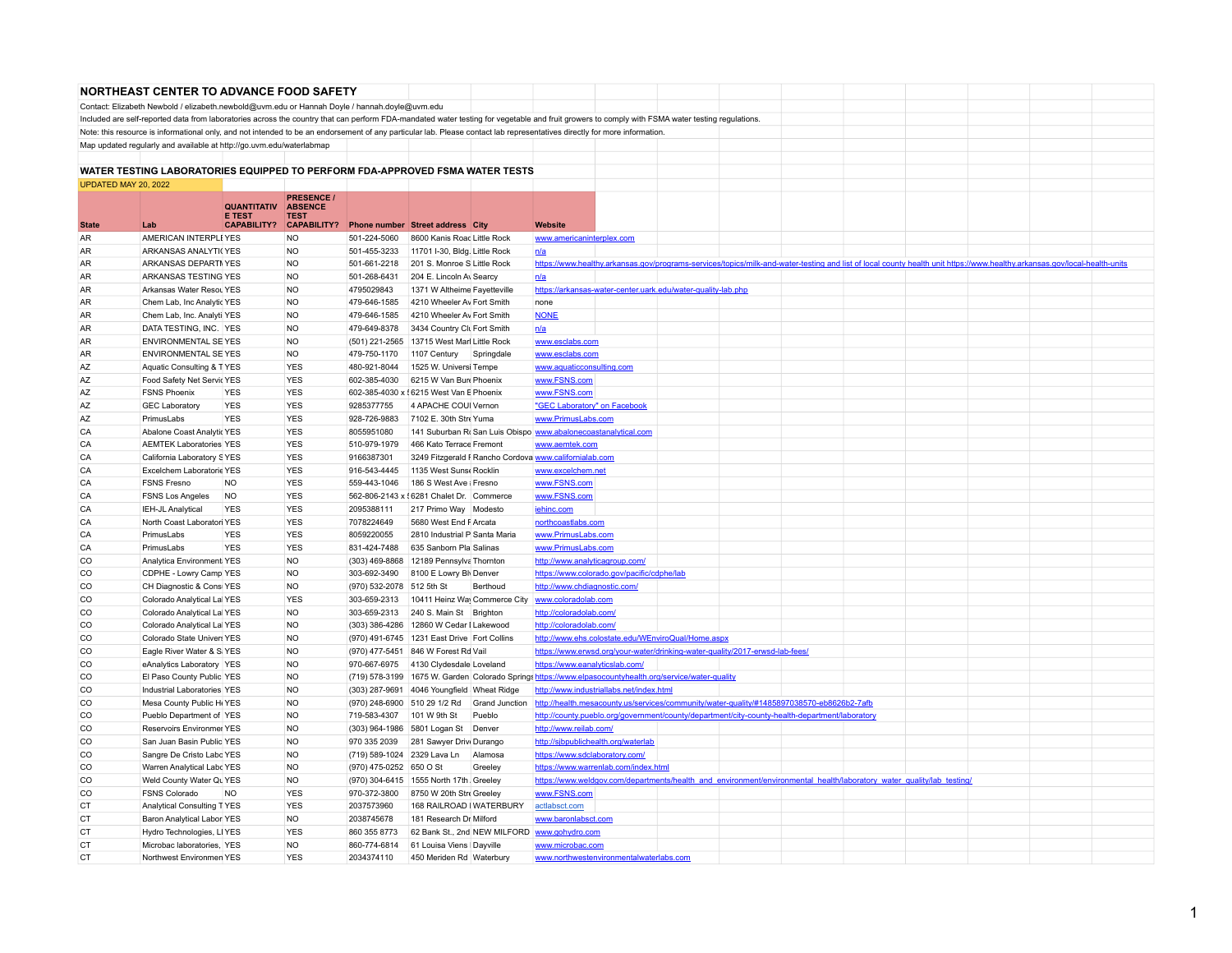|                      | <b>NORTHEAST CENTER TO ADVANCE FOOD SAFETY</b>                                                |                                                    |                                                     |                           |                                             |          |                                                                                                                                                                                                 |                                                                                                                                                                           |  |  |  |
|----------------------|-----------------------------------------------------------------------------------------------|----------------------------------------------------|-----------------------------------------------------|---------------------------|---------------------------------------------|----------|-------------------------------------------------------------------------------------------------------------------------------------------------------------------------------------------------|---------------------------------------------------------------------------------------------------------------------------------------------------------------------------|--|--|--|
|                      | Contact: Elizabeth Newbold / elizabeth.newbold@uvm.edu or Hannah Doyle / hannah.doyle@uvm.edu |                                                    |                                                     |                           |                                             |          |                                                                                                                                                                                                 |                                                                                                                                                                           |  |  |  |
|                      |                                                                                               |                                                    |                                                     |                           |                                             |          | Included are self-reported data from laboratories across the country that can perform FDA-mandated water testing for vegetable and fruit growers to comply with FSMA water testing regulations. |                                                                                                                                                                           |  |  |  |
|                      |                                                                                               |                                                    |                                                     |                           |                                             |          | Note: this resource is informational only, and not intended to be an endorsement of any particular lab. Please contact lab representatives directly for more information.                       |                                                                                                                                                                           |  |  |  |
|                      | Map updated regularly and available at http://go.uvm.edu/waterlabmap                          |                                                    |                                                     |                           |                                             |          |                                                                                                                                                                                                 |                                                                                                                                                                           |  |  |  |
|                      |                                                                                               |                                                    |                                                     |                           |                                             |          |                                                                                                                                                                                                 |                                                                                                                                                                           |  |  |  |
|                      | WATER TESTING LABORATORIES EQUIPPED TO PERFORM FDA-APPROVED FSMA WATER TESTS                  |                                                    |                                                     |                           |                                             |          |                                                                                                                                                                                                 |                                                                                                                                                                           |  |  |  |
| UPDATED MAY 20, 2022 |                                                                                               |                                                    |                                                     |                           |                                             |          |                                                                                                                                                                                                 |                                                                                                                                                                           |  |  |  |
|                      |                                                                                               |                                                    | <b>PRESENCE</b>                                     |                           |                                             |          |                                                                                                                                                                                                 |                                                                                                                                                                           |  |  |  |
|                      | Lab                                                                                           | QUANTITATIV<br><b>E TEST</b><br><b>CAPABILITY?</b> | <b>ABSENCE</b><br><b>TEST</b><br><b>CAPABILITY?</b> |                           |                                             |          |                                                                                                                                                                                                 |                                                                                                                                                                           |  |  |  |
| <b>State</b>         |                                                                                               |                                                    |                                                     |                           | <b>Phone number Street address City</b>     |          | <b>Website</b>                                                                                                                                                                                  |                                                                                                                                                                           |  |  |  |
| AR                   | AMERICAN INTERPLEYES                                                                          |                                                    | <b>NO</b>                                           | 501-224-5060              | 8600 Kanis Road Little Rock                 |          | www.americaninterplex.com                                                                                                                                                                       |                                                                                                                                                                           |  |  |  |
| AR                   | ARKANSAS ANALYTI(YES                                                                          |                                                    | <b>NO</b>                                           | 501-455-3233              | 11701 I-30, Bldg. Little Rock               |          | n/a                                                                                                                                                                                             |                                                                                                                                                                           |  |  |  |
| AR                   | ARKANSAS DEPARTIYES                                                                           |                                                    | N <sub>O</sub>                                      |                           | 501-661-2218 201 S. Monroe S Little Rock    |          |                                                                                                                                                                                                 | https://www.healthy.arkansas.gov/programs-services/topics/milk-and-water-testing and list of local county health unit https://www.healthy.arkansas.gov/local-health-units |  |  |  |
| <b>AR</b>            | ARKANSAS TESTING YES                                                                          |                                                    | <b>NO</b>                                           | 501-268-6431              | 204 E. Lincoln Av Searcy                    |          | n/a                                                                                                                                                                                             |                                                                                                                                                                           |  |  |  |
| AR                   | Arkansas Water Resou YES                                                                      |                                                    | N <sub>O</sub>                                      | 4795029843                | 1371 W Altheime Fayetteville                |          | https://arkansas-water-center.uark.edu/water-quality-lab.php                                                                                                                                    |                                                                                                                                                                           |  |  |  |
| AR                   | Chem Lab, Inc Analytic YES                                                                    |                                                    | <b>NO</b>                                           | 479-646-1585              | 4210 Wheeler Av Fort Smith                  |          | none                                                                                                                                                                                            |                                                                                                                                                                           |  |  |  |
| AR                   | Chem Lab, Inc. Analyti YES                                                                    |                                                    | <b>NO</b>                                           | 479-646-1585              | 4210 Wheeler Av Fort Smith                  |          | <b>NONE</b>                                                                                                                                                                                     |                                                                                                                                                                           |  |  |  |
| AR                   | DATA TESTING, INC. YES                                                                        |                                                    | <b>NO</b>                                           | 479-649-8378              | 3434 Country Cli Fort Smith                 |          | n/a                                                                                                                                                                                             |                                                                                                                                                                           |  |  |  |
| AR                   | <b>ENVIRONMENTAL SE YES</b>                                                                   |                                                    | <b>NO</b>                                           |                           | (501) 221-2565 13715 West Marl Little Rock  |          | www.esclabs.com                                                                                                                                                                                 |                                                                                                                                                                           |  |  |  |
| AR                   | ENVIRONMENTAL SE YES                                                                          |                                                    | <b>NO</b>                                           | 479-750-1170              | 1107 Century Springdale                     |          | www.esclabs.com                                                                                                                                                                                 |                                                                                                                                                                           |  |  |  |
| AZ                   | Aquatic Consulting & TYES                                                                     |                                                    | <b>YES</b>                                          | 480-921-8044              | 1525 W. Universi Tempe                      |          | www.aquaticconsulting.com                                                                                                                                                                       |                                                                                                                                                                           |  |  |  |
| AZ                   | Food Safety Net Servic YES                                                                    |                                                    | <b>YES</b>                                          | 602-385-4030              | 6215 W Van Burk Phoenix                     |          | www.FSNS.com                                                                                                                                                                                    |                                                                                                                                                                           |  |  |  |
| AZ                   | <b>FSNS Phoenix</b>                                                                           | <b>YES</b>                                         | <b>YES</b>                                          |                           | 602-385-4030 x { 6215 West Van E Phoenix    |          | www.FSNS.com                                                                                                                                                                                    |                                                                                                                                                                           |  |  |  |
| AZ                   | <b>GEC Laboratory</b>                                                                         | <b>YES</b>                                         | <b>YES</b>                                          | 9285377755                | 4 APACHE COUI Vernon                        |          | "GEC Laboratory" on Facebook                                                                                                                                                                    |                                                                                                                                                                           |  |  |  |
| AZ                   | PrimusLabs                                                                                    | <b>YES</b>                                         | <b>YES</b>                                          | 928-726-9883              | 7102 E. 30th Stre Yuma                      |          | www.PrimusLabs.com                                                                                                                                                                              |                                                                                                                                                                           |  |  |  |
| CA                   | Abalone Coast Analytic YES                                                                    |                                                    | <b>YES</b>                                          | 8055951080                |                                             |          | 141 Suburban Ro San Luis Obispo www.abalonecoastanalytical.com                                                                                                                                  |                                                                                                                                                                           |  |  |  |
| CA                   | <b>AEMTEK Laboratories YES</b>                                                                |                                                    | <b>YES</b>                                          | 510-979-1979              | 466 Kato Terrace Fremont                    |          | www.aemtek.com                                                                                                                                                                                  |                                                                                                                                                                           |  |  |  |
| CA                   | California Laboratory SYES                                                                    |                                                    | <b>YES</b>                                          | 9166387301                |                                             |          | 3249 Fitzgerald F Rancho Cordova www.californialab.com                                                                                                                                          |                                                                                                                                                                           |  |  |  |
| CA                   | Excelchem Laboratorie YES                                                                     |                                                    | <b>YES</b>                                          | 916-543-4445              | 1135 West Sunst Rocklin                     |          | www.excelchem.net                                                                                                                                                                               |                                                                                                                                                                           |  |  |  |
| CA                   | <b>FSNS Fresno</b>                                                                            | <b>NO</b>                                          | <b>YES</b>                                          | 559-443-1046              | 186 S West Ave : Fresno                     |          | www.FSNS.com                                                                                                                                                                                    |                                                                                                                                                                           |  |  |  |
| CA                   | <b>FSNS Los Angeles</b>                                                                       | <b>NO</b>                                          | <b>YES</b>                                          |                           | 562-806-2143 x { 6281 Chalet Dr. Commerce   |          | www.FSNS.com                                                                                                                                                                                    |                                                                                                                                                                           |  |  |  |
| CA                   | IEH-JL Analytical                                                                             | <b>YES</b>                                         | <b>YES</b>                                          | 2095388111                | 217 Primo Way Modesto                       |          | jehinc.com                                                                                                                                                                                      |                                                                                                                                                                           |  |  |  |
| CA                   | North Coast Laboratori YES                                                                    |                                                    | <b>YES</b>                                          | 7078224649                | 5680 West End F Arcata                      |          | northcoastlabs.com                                                                                                                                                                              |                                                                                                                                                                           |  |  |  |
| CA                   | PrimusLabs                                                                                    | <b>YES</b>                                         | <b>YES</b>                                          | 8059220055                | 2810 Industrial P Santa Maria               |          | www.PrimusLabs.com                                                                                                                                                                              |                                                                                                                                                                           |  |  |  |
| CA                   | PrimusLabs                                                                                    | <b>YES</b>                                         | <b>YES</b>                                          | 831-424-7488              | 635 Sanborn Pla Salinas                     |          | www.PrimusLabs.com                                                                                                                                                                              |                                                                                                                                                                           |  |  |  |
| CO                   | Analytica Environment YES                                                                     |                                                    | <b>NO</b>                                           |                           | (303) 469-8868 12189 Pennsylva Thornton     |          | http://www.analyticagroup.com/                                                                                                                                                                  |                                                                                                                                                                           |  |  |  |
| CO                   | CDPHE - Lowry Camp YES                                                                        |                                                    | <b>NO</b>                                           | 303-692-3490              | 8100 E Lowry Bly Denver                     |          | https://www.colorado.gov/pacific/cdphe/lab                                                                                                                                                      |                                                                                                                                                                           |  |  |  |
| CO                   | CH Diagnostic & Consi YES                                                                     |                                                    | N <sub>O</sub>                                      | (970) 532-2078 512 5th St |                                             | Berthoud | http://www.chdiagnostic.com                                                                                                                                                                     |                                                                                                                                                                           |  |  |  |
| CO                   | Colorado Analytical Lal YES                                                                   |                                                    | <b>YES</b>                                          |                           | 303-659-2313 10411 Heinz Way Commerce City  |          | www.coloradolab.com                                                                                                                                                                             |                                                                                                                                                                           |  |  |  |
| CO                   | Colorado Analytical LalYES                                                                    |                                                    | <b>NO</b>                                           | 303-659-2313              | 240 S. Main St Brighton                     |          | http://coloradolab.com/                                                                                                                                                                         |                                                                                                                                                                           |  |  |  |
| CO                   | Colorado Analytical Lal YES                                                                   |                                                    | <b>NO</b>                                           |                           | (303) 386-4286 12860 W Cedar I Lakewood     |          | http://coloradolab.com/                                                                                                                                                                         |                                                                                                                                                                           |  |  |  |
| CO                   | Colorado State Univers YES                                                                    |                                                    | <b>NO</b>                                           |                           | (970) 491-6745 1231 East Drive Fort Collins |          | http://www.ehs.colostate.edu/WEnviroQual/Home.aspx                                                                                                                                              |                                                                                                                                                                           |  |  |  |
| CO                   | Eagle River Water & S. YES                                                                    |                                                    | <b>NO</b>                                           |                           | (970) 477-5451 846 W Forest Rd Vail         |          | https://www.erwsd.org/your-water/drinking-water-quality/2017-erwsd-lab-fees/                                                                                                                    |                                                                                                                                                                           |  |  |  |
| CO                   | eAnalytics Laboratory YES                                                                     |                                                    | <b>NO</b>                                           | 970-667-6975              | 4130 Clydesdale Loveland                    |          | https://www.eanalyticslab.com/                                                                                                                                                                  |                                                                                                                                                                           |  |  |  |
| CO                   | El Paso County Public YES                                                                     |                                                    | <b>NO</b>                                           |                           |                                             |          | (719) 578-3199 1675 W. Garden Colorado Springs https://www.elpasocountyhealth.org/service/water-quality                                                                                         |                                                                                                                                                                           |  |  |  |
| CO                   | Industrial Laboratories YES                                                                   |                                                    | <b>NO</b>                                           |                           | (303) 287-9691 4046 Youngfield Wheat Ridge  |          | http://www.industriallabs.net/index.html                                                                                                                                                        |                                                                                                                                                                           |  |  |  |
| CO                   | Mesa County Public HeYES                                                                      |                                                    | <b>NO</b>                                           |                           | (970) 248-6900 510 29 1/2 Rd Grand Junction |          |                                                                                                                                                                                                 | http://health.mesacounty.us/services/community/water-quality/#1485897038570-eb8626b2-7afb                                                                                 |  |  |  |
| CO                   | Pueblo Department of YES                                                                      |                                                    | <b>NO</b>                                           | 719-583-4307              | 101 W 9th St                                | Pueblo   |                                                                                                                                                                                                 | http://county.pueblo.org/government/county/department/city-county-health-department/laboratory                                                                            |  |  |  |
| CO                   | Reservoirs Environmer YES                                                                     |                                                    | <b>NO</b>                                           |                           | (303) 964-1986 5801 Logan St Denver         |          | http://www.reilab.com/                                                                                                                                                                          |                                                                                                                                                                           |  |  |  |
| CO                   | San Juan Basin Public YES                                                                     |                                                    | <b>NO</b>                                           | 970 335 2039              | 281 Sawyer Drivi Durango                    |          | http://sjbpublichealth.org/waterlab                                                                                                                                                             |                                                                                                                                                                           |  |  |  |
| CO                   | Sangre De Cristo Labo YES                                                                     |                                                    | <b>NO</b>                                           |                           | (719) 589-1024 2329 Lava Ln                 | Alamosa  | https://www.sdclaboratory.com/                                                                                                                                                                  |                                                                                                                                                                           |  |  |  |
| CO                   | Warren Analytical Labc YES                                                                    |                                                    | <b>NO</b>                                           | (970) 475-0252 650 O St   |                                             | Greeley  | https://www.warrenlab.com/index.html                                                                                                                                                            |                                                                                                                                                                           |  |  |  |
| CO                   | Weld County Water Qu YES                                                                      |                                                    | N <sub>O</sub>                                      |                           | (970) 304-6415 1555 North 17th Greeley      |          |                                                                                                                                                                                                 | https://www.weldgov.com/departments/health and environment/environmental health/laboratory water quality/lab testing/                                                     |  |  |  |
| CO                   | <b>FSNS Colorado</b>                                                                          | <b>NO</b>                                          | <b>YES</b>                                          | 970-372-3800              | 8750 W 20th Stre Greeley                    |          | www.FSNS.com                                                                                                                                                                                    |                                                                                                                                                                           |  |  |  |
| CT                   | Analytical Consulting TYES                                                                    |                                                    | <b>YES</b>                                          | 2037573960                | 168 RAILROAD I WATERBURY                    |          | actlabsct.com                                                                                                                                                                                   |                                                                                                                                                                           |  |  |  |
| <b>CT</b>            | Baron Analytical Labor YES                                                                    |                                                    | N <sub>O</sub>                                      | 2038745678                | 181 Research Dr Milford                     |          | www.baronlabsct.com                                                                                                                                                                             |                                                                                                                                                                           |  |  |  |
| CT                   | Hydro Technologies, LIYES                                                                     |                                                    | <b>YES</b>                                          | 860 355 8773              |                                             |          | 62 Bank St., 2nd NEW MILFORD www.gohydro.com                                                                                                                                                    |                                                                                                                                                                           |  |  |  |
| CT                   | Microbac laboratories, YES                                                                    |                                                    | <b>NO</b>                                           | 860-774-6814              | 61 Louisa Viens   Dayville                  |          |                                                                                                                                                                                                 |                                                                                                                                                                           |  |  |  |
| CT                   | Northwest Environmen YES                                                                      |                                                    | <b>YES</b>                                          | 2034374110                | 450 Meriden Rd Waterbury                    |          | www.microbac.com                                                                                                                                                                                |                                                                                                                                                                           |  |  |  |
|                      |                                                                                               |                                                    |                                                     |                           |                                             |          | www.northwestenvironmentalwaterlabs.com                                                                                                                                                         |                                                                                                                                                                           |  |  |  |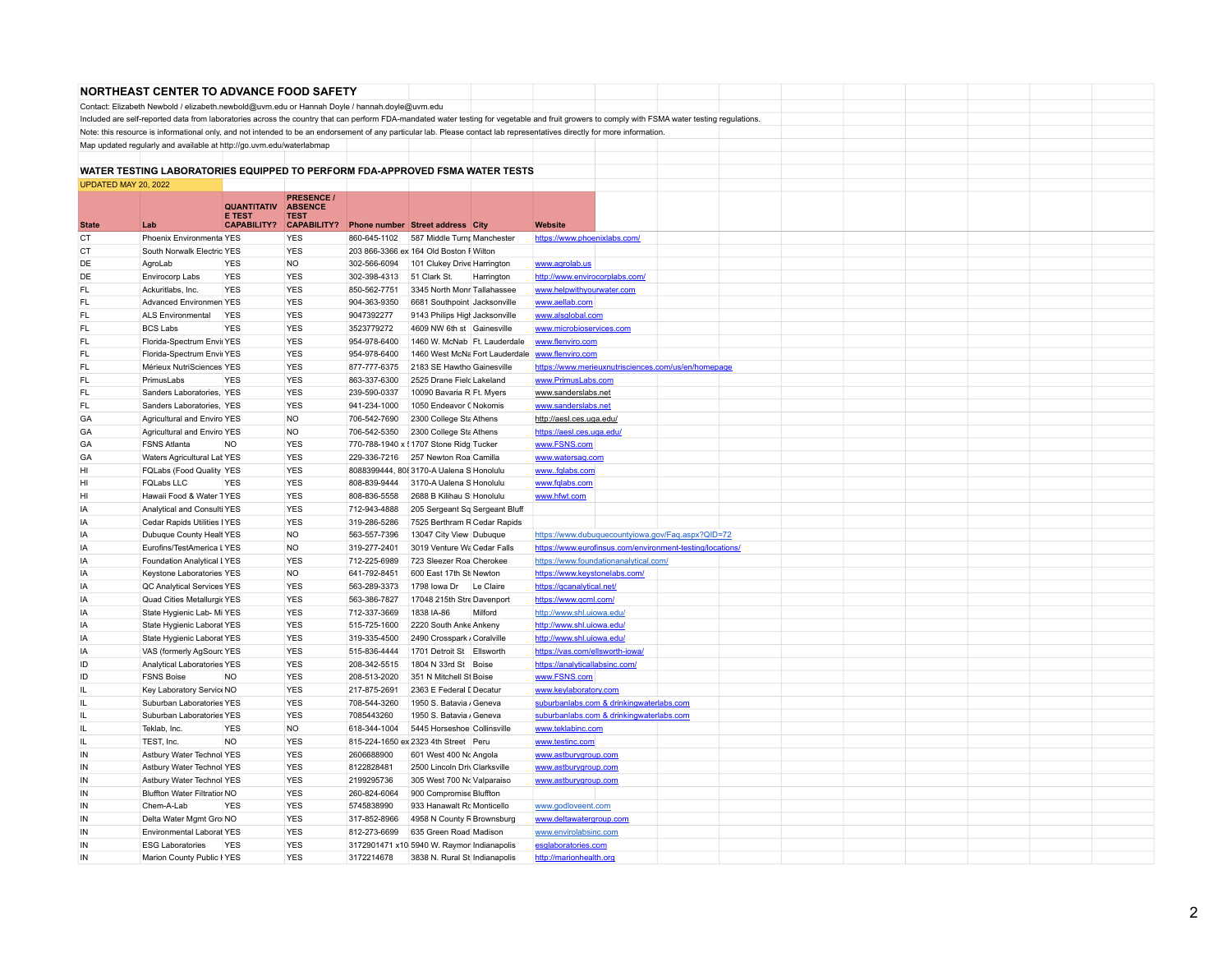|                      | <b>NORTHEAST CENTER TO ADVANCE FOOD SAFETY</b>                                                                                                                                                  |                                     |                                   |              |                                            |            |                                                           |  |  |  |  |  |
|----------------------|-------------------------------------------------------------------------------------------------------------------------------------------------------------------------------------------------|-------------------------------------|-----------------------------------|--------------|--------------------------------------------|------------|-----------------------------------------------------------|--|--|--|--|--|
|                      |                                                                                                                                                                                                 |                                     |                                   |              |                                            |            |                                                           |  |  |  |  |  |
|                      | Contact: Elizabeth Newbold / elizabeth.newbold@uvm.edu or Hannah Doyle / hannah.doyle@uvm.edu                                                                                                   |                                     |                                   |              |                                            |            |                                                           |  |  |  |  |  |
|                      | Included are self-reported data from laboratories across the country that can perform FDA-mandated water testing for vegetable and fruit growers to comply with FSMA water testing regulations. |                                     |                                   |              |                                            |            |                                                           |  |  |  |  |  |
|                      | Note: this resource is informational only, and not intended to be an endorsement of any particular lab. Please contact lab representatives directly for more information.                       |                                     |                                   |              |                                            |            |                                                           |  |  |  |  |  |
|                      | Map updated regularly and available at http://go.uvm.edu/waterlabmap                                                                                                                            |                                     |                                   |              |                                            |            |                                                           |  |  |  |  |  |
|                      |                                                                                                                                                                                                 |                                     |                                   |              |                                            |            |                                                           |  |  |  |  |  |
|                      | WATER TESTING LABORATORIES EQUIPPED TO PERFORM FDA-APPROVED FSMA WATER TESTS                                                                                                                    |                                     |                                   |              |                                            |            |                                                           |  |  |  |  |  |
| UPDATED MAY 20, 2022 |                                                                                                                                                                                                 |                                     |                                   |              |                                            |            |                                                           |  |  |  |  |  |
|                      |                                                                                                                                                                                                 |                                     | <b>PRESENCE /</b>                 |              |                                            |            |                                                           |  |  |  |  |  |
|                      |                                                                                                                                                                                                 | <b>QUANTITATIV</b>                  | <b>ABSENCE</b>                    |              |                                            |            |                                                           |  |  |  |  |  |
| <b>State</b>         | 1 ab                                                                                                                                                                                            | <b>E TEST</b><br><b>CAPABILITY?</b> | <b>TEST</b><br><b>CAPABILITY?</b> |              | Phone number Street address City           |            | <b>Website</b>                                            |  |  |  |  |  |
| СT                   | Phoenix Environmenta YES                                                                                                                                                                        |                                     | <b>YES</b>                        | 860-645-1102 | 587 Middle Turnr Manchester                |            | https://www.phoenixlabs.com/                              |  |  |  |  |  |
| <b>CT</b>            | South Norwalk Electric YES                                                                                                                                                                      |                                     | <b>YES</b>                        |              | 203 866-3366 ex 164 Old Boston F Wilton    |            |                                                           |  |  |  |  |  |
| DE                   | AgroLab                                                                                                                                                                                         | <b>YES</b>                          | <b>NO</b>                         | 302-566-6094 | 101 Clukey Drive Harrington                |            | www.agrolab.us                                            |  |  |  |  |  |
| DE                   | Envirocorp Labs                                                                                                                                                                                 | <b>YES</b>                          | <b>YES</b>                        | 302-398-4313 | 51 Clark St.                               | Harrington | http://www.envirocorplabs.com/                            |  |  |  |  |  |
| FL                   | Ackuritlabs, Inc.                                                                                                                                                                               | <b>YES</b>                          | <b>YES</b>                        | 850-562-7751 | 3345 North Monr Tallahassee                |            | www.helpwithyourwater.com                                 |  |  |  |  |  |
| FL.                  | Advanced Environmen YES                                                                                                                                                                         |                                     | <b>YES</b>                        | 904-363-9350 | 6681 Southpoint Jacksonville               |            | www.aellab.com                                            |  |  |  |  |  |
| FL.                  |                                                                                                                                                                                                 |                                     | <b>YES</b>                        |              |                                            |            |                                                           |  |  |  |  |  |
|                      | ALS Environmental                                                                                                                                                                               | <b>YES</b>                          |                                   | 9047392277   | 9143 Philips High Jacksonville             |            | www.alsglobal.com                                         |  |  |  |  |  |
| <b>FL</b>            | <b>BCS Labs</b>                                                                                                                                                                                 | <b>YES</b>                          | <b>YES</b>                        | 3523779272   | 4609 NW 6th st Gainesville                 |            | www.microbioservices.com                                  |  |  |  |  |  |
| <b>FL</b>            | Florida-Spectrum Envir YES                                                                                                                                                                      |                                     | <b>YES</b>                        | 954-978-6400 | 1460 W. McNab   Ft. Lauderdale             |            | www.flenviro.com                                          |  |  |  |  |  |
| FL.                  | Florida-Spectrum Envir YES                                                                                                                                                                      |                                     | <b>YES</b>                        | 954-978-6400 | 1460 West McNa Fort Lauderdale             |            | www.flenviro.com                                          |  |  |  |  |  |
| FL                   | Mérieux NutriSciences YES                                                                                                                                                                       |                                     | <b>YES</b>                        | 877-777-6375 | 2183 SE Hawtho Gainesville                 |            | https://www.merieuxnutrisciences.com/us/en/homepage       |  |  |  |  |  |
| FL.                  | Primusl abs                                                                                                                                                                                     | <b>YES</b>                          | <b>YES</b>                        | 863-337-6300 | 2525 Drane Field Lakeland                  |            | www.PrimusLabs.com                                        |  |  |  |  |  |
| FL                   | Sanders Laboratories, YES                                                                                                                                                                       |                                     | <b>YES</b>                        | 239-590-0337 | 10090 Bavaria R Ft. Myers                  |            | www.sanderslabs.net                                       |  |  |  |  |  |
| FL.                  | Sanders Laboratories, YES                                                                                                                                                                       |                                     | <b>YES</b>                        | 941-234-1000 | 1050 Endeavor (Nokomis                     |            | www.sanderslabs.net                                       |  |  |  |  |  |
| GA                   | Agricultural and Enviro YES                                                                                                                                                                     |                                     | <b>NO</b>                         | 706-542-7690 | 2300 College Sta Athens                    |            | http://aesl.ces.uga.edu/                                  |  |  |  |  |  |
| GA                   | Agricultural and Enviro YES                                                                                                                                                                     |                                     | <b>NO</b>                         | 706-542-5350 | 2300 College Sta Athens                    |            | https://aesl.ces.uga.edu/                                 |  |  |  |  |  |
| GA                   | <b>FSNS Atlanta</b>                                                                                                                                                                             | <b>NO</b>                           | <b>YES</b>                        |              | 770-788-1940 x { 1707 Stone Ridg Tucker    |            | www.FSNS.com                                              |  |  |  |  |  |
| GA                   | Waters Agricultural Lat YES                                                                                                                                                                     |                                     | <b>YES</b>                        | 229-336-7216 | 257 Newton Roa Camilla                     |            | www.watersag.com                                          |  |  |  |  |  |
| HI                   | FQLabs (Food Quality YES                                                                                                                                                                        |                                     | <b>YES</b>                        |              | 8088399444, 808 3170-A Ualena S Honolulu   |            | wwwfqlabs.com                                             |  |  |  |  |  |
| HI                   | <b>FQLabs LLC</b>                                                                                                                                                                               | <b>YES</b>                          | <b>YES</b>                        | 808-839-9444 | 3170-A Ualena S Honolulu                   |            | www.fqlabs.com                                            |  |  |  |  |  |
| HI                   | Hawaii Food & Water 1YES                                                                                                                                                                        |                                     | <b>YES</b>                        | 808-836-5558 | 2688 B Kilihau S Honolulu                  |            | www.hfwt.com                                              |  |  |  |  |  |
| IA                   | Analytical and Consulti YES                                                                                                                                                                     |                                     | <b>YES</b>                        | 712-943-4888 | 205 Sergeant Sq Sergeant Bluff             |            |                                                           |  |  |  |  |  |
| IA                   | Cedar Rapids Utilities   YES                                                                                                                                                                    |                                     | <b>YES</b>                        | 319-286-5286 | 7525 Berthram R Cedar Rapids               |            |                                                           |  |  |  |  |  |
| IA                   | Dubuque County Healt YES                                                                                                                                                                        |                                     | <b>NO</b>                         | 563-557-7396 | 13047 City View Dubuque                    |            | https://www.dubuquecountyiowa.gov/Faq.aspx?QID=72         |  |  |  |  |  |
| IA                   | Eurofins/TestAmerica LYES                                                                                                                                                                       |                                     | <b>NO</b>                         | 319-277-2401 | 3019 Venture Wa Cedar Falls                |            | https://www.eurofinsus.com/environment-testing/locations/ |  |  |  |  |  |
| IA                   | Foundation Analytical LYES                                                                                                                                                                      |                                     | <b>YES</b>                        | 712-225-6989 | 723 Sleezer Roa Cherokee                   |            | https://www.foundationanalytical.com/                     |  |  |  |  |  |
| IA                   | Keystone Laboratories YES                                                                                                                                                                       |                                     | <b>NO</b>                         | 641-792-8451 | 600 East 17th St Newton                    |            | https://www.keystonelabs.com/                             |  |  |  |  |  |
| IA                   | QC Analytical Services YES                                                                                                                                                                      |                                     | <b>YES</b>                        | 563-289-3373 | 1798 lowa Dr Le Claire                     |            |                                                           |  |  |  |  |  |
| IA                   |                                                                                                                                                                                                 |                                     | <b>YES</b>                        | 563-386-7827 | 17048 215th Stre Davenport                 |            | https://gcanalytical.net/                                 |  |  |  |  |  |
| IA                   | Quad Cities Metallurgic YES                                                                                                                                                                     |                                     | <b>YES</b>                        | 712-337-3669 | 1838 IA-86                                 | Milford    | https://www.qcml.com/                                     |  |  |  |  |  |
|                      | State Hygienic Lab- Mi YES                                                                                                                                                                      |                                     |                                   |              |                                            |            | http://www.shl.uiowa.edu/                                 |  |  |  |  |  |
| IA                   | State Hygienic Laborat YES                                                                                                                                                                      |                                     | <b>YES</b>                        | 515-725-1600 | 2220 South Anke Ankeny                     |            | http://www.shl.uiowa.edu/                                 |  |  |  |  |  |
| IA                   | State Hygienic Laborat YES                                                                                                                                                                      |                                     | <b>YES</b>                        | 319-335-4500 | 2490 Crosspark / Coralville                |            | http://www.shl.uiowa.edu/                                 |  |  |  |  |  |
| IA                   | VAS (formerly AgSourc YES                                                                                                                                                                       |                                     | <b>YES</b>                        | 515-836-4444 | 1701 Detroit St Ellsworth                  |            | https://vas.com/ellsworth-iowa/                           |  |  |  |  |  |
| ID                   | Analytical Laboratories YES                                                                                                                                                                     |                                     | <b>YES</b>                        | 208-342-5515 | 1804 N 33rd St Boise                       |            | https://analyticallabsinc.com/                            |  |  |  |  |  |
| ID                   | <b>FSNS Boise</b>                                                                                                                                                                               | <b>NO</b>                           | <b>YES</b>                        | 208-513-2020 | 351 N Mitchell St Boise                    |            | www.FSNS.com                                              |  |  |  |  |  |
| IL.                  | Key Laboratory Service NO                                                                                                                                                                       |                                     | <b>YES</b>                        | 217-875-2691 | 2363 E Federal I Decatur                   |            | www.keylaboratory.com                                     |  |  |  |  |  |
| Ш.                   | Suburban Laboratories YES                                                                                                                                                                       |                                     | <b>YES</b>                        | 708-544-3260 | 1950 S. Batavia / Geneva                   |            | suburbanlabs.com & drinkingwaterlabs.com                  |  |  |  |  |  |
| IL.                  | Suburban Laboratories YES                                                                                                                                                                       |                                     | <b>YES</b>                        | 7085443260   | 1950 S. Batavia / Geneva                   |            | suburbanlabs.com & drinkingwaterlabs.com                  |  |  |  |  |  |
| IL                   | Teklab, Inc.                                                                                                                                                                                    | <b>YES</b>                          | <b>NO</b>                         | 618-344-1004 | 5445 Horseshoe Collinsville                |            | www.teklabinc.com                                         |  |  |  |  |  |
| IL.                  | TEST, Inc.                                                                                                                                                                                      | <b>NO</b>                           | <b>YES</b>                        |              | 815-224-1650 ex 2323 4th Street Peru       |            | www.testinc.com                                           |  |  |  |  |  |
| IN                   | Astbury Water Technol YES                                                                                                                                                                       |                                     | <b>YES</b>                        | 2606688900   | 601 West 400 No Angola                     |            | www.astburygroup.com                                      |  |  |  |  |  |
| IN                   | Astbury Water Technol YES                                                                                                                                                                       |                                     | <b>YES</b>                        | 8122828481   | 2500 Lincoln Driv Clarksville              |            | www.astburygroup.com                                      |  |  |  |  |  |
| IN                   | Astbury Water Technol YES                                                                                                                                                                       |                                     | <b>YES</b>                        | 2199295736   | 305 West 700 No Valparaiso                 |            | www.astburygroup.com                                      |  |  |  |  |  |
| IN                   | <b>Bluffton Water Filtratior NO</b>                                                                                                                                                             |                                     | <b>YES</b>                        | 260-824-6064 | 900 Compromise Bluffton                    |            |                                                           |  |  |  |  |  |
| IN                   | Chem-A-Lab                                                                                                                                                                                      | <b>YES</b>                          | <b>YES</b>                        | 5745838990   | 933 Hanawalt Rd Monticello                 |            | www.godloveent.com                                        |  |  |  |  |  |
| IN                   | Delta Water Mgmt Gro NO                                                                                                                                                                         |                                     | <b>YES</b>                        | 317-852-8966 | 4958 N County F Brownsburg                 |            | www.deltawatergroup.com                                   |  |  |  |  |  |
| IN                   | Environmental Laborat YES                                                                                                                                                                       |                                     | <b>YES</b>                        | 812-273-6699 | 635 Green Road Madison                     |            | www.envirolabsinc.com                                     |  |  |  |  |  |
| IN                   | <b>ESG Laboratories</b>                                                                                                                                                                         | <b>YES</b>                          | <b>YES</b>                        |              | 3172901471 x10 5940 W. Raymor Indianapolis |            | esglaboratories.com                                       |  |  |  |  |  |
| IN                   | Marion County Public I YES                                                                                                                                                                      |                                     | <b>YES</b>                        | 3172214678   | 3838 N. Rural St Indianapolis              |            | http://marionhealth.org                                   |  |  |  |  |  |
|                      |                                                                                                                                                                                                 |                                     |                                   |              |                                            |            |                                                           |  |  |  |  |  |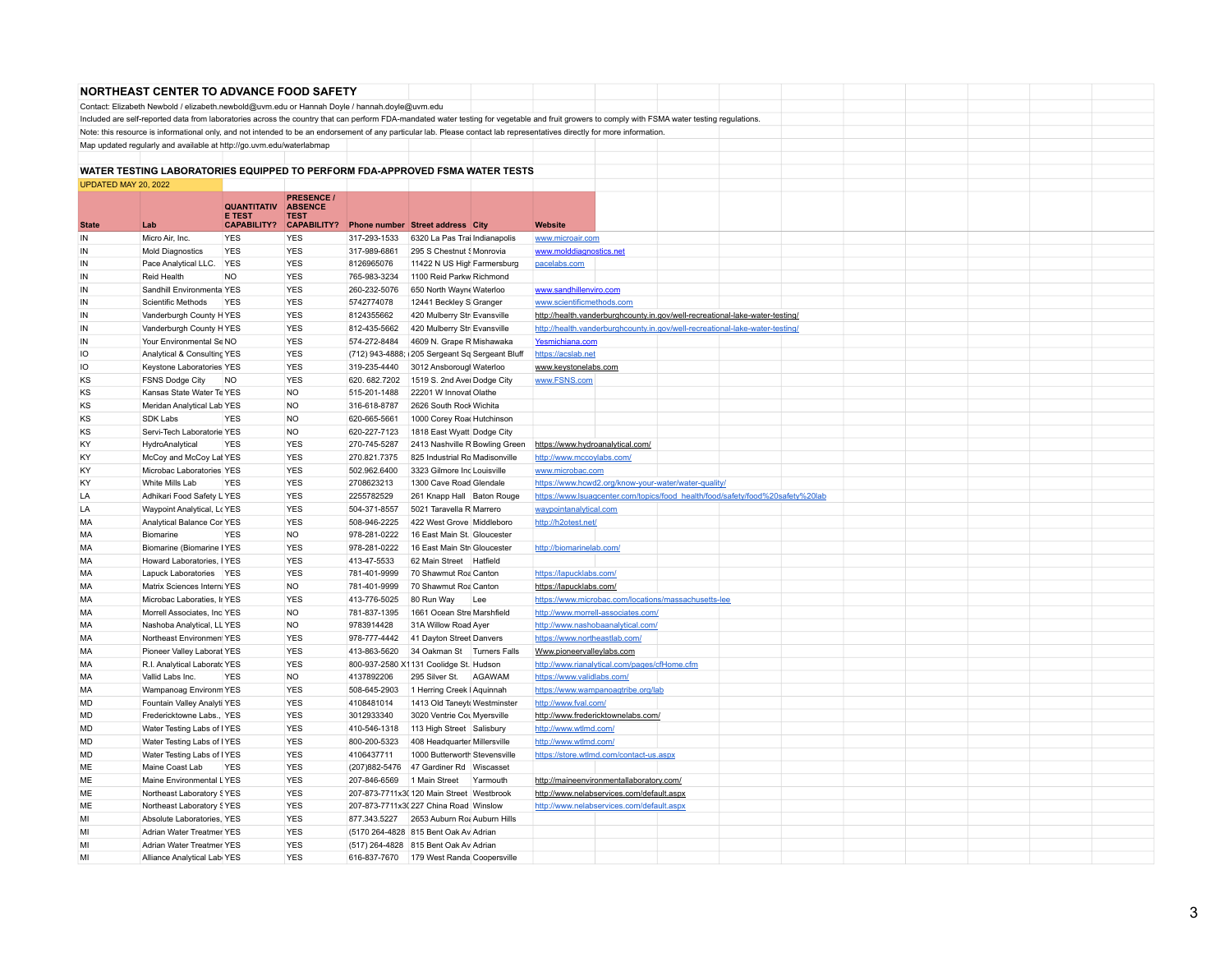|                      | <b>NORTHEAST CENTER TO ADVANCE FOOD SAFETY</b>                                                |                              |                                                    |                            |                                                                                                                                                                                                 |                                                             |  |                                                                                |  |  |  |
|----------------------|-----------------------------------------------------------------------------------------------|------------------------------|----------------------------------------------------|----------------------------|-------------------------------------------------------------------------------------------------------------------------------------------------------------------------------------------------|-------------------------------------------------------------|--|--------------------------------------------------------------------------------|--|--|--|
|                      | Contact: Elizabeth Newbold / elizabeth.newbold@uvm.edu or Hannah Doyle / hannah.doyle@uvm.edu |                              |                                                    |                            |                                                                                                                                                                                                 |                                                             |  |                                                                                |  |  |  |
|                      |                                                                                               |                              |                                                    |                            | Included are self-reported data from laboratories across the country that can perform FDA-mandated water testing for vegetable and fruit growers to comply with FSMA water testing regulations. |                                                             |  |                                                                                |  |  |  |
|                      |                                                                                               |                              |                                                    |                            | Note: this resource is informational only, and not intended to be an endorsement of any particular lab. Please contact lab representatives directly for more information.                       |                                                             |  |                                                                                |  |  |  |
|                      | Map updated regularly and available at http://go.uvm.edu/waterlabmap                          |                              |                                                    |                            |                                                                                                                                                                                                 |                                                             |  |                                                                                |  |  |  |
|                      |                                                                                               |                              |                                                    |                            |                                                                                                                                                                                                 |                                                             |  |                                                                                |  |  |  |
|                      |                                                                                               |                              |                                                    |                            | WATER TESTING LABORATORIES EQUIPPED TO PERFORM FDA-APPROVED FSMA WATER TESTS                                                                                                                    |                                                             |  |                                                                                |  |  |  |
| UPDATED MAY 20, 2022 |                                                                                               |                              |                                                    |                            |                                                                                                                                                                                                 |                                                             |  |                                                                                |  |  |  |
|                      |                                                                                               | <b>QUANTITATIV</b><br>E TEST | <b>PRESENCE /</b><br><b>ABSENCE</b><br><b>TEST</b> |                            |                                                                                                                                                                                                 |                                                             |  |                                                                                |  |  |  |
| <b>State</b>         | Lab                                                                                           | <b>CAPABILITY?</b>           | <b>CAPABILITY?</b><br><b>YES</b>                   |                            | Phone number Street address City                                                                                                                                                                | Website                                                     |  |                                                                                |  |  |  |
| IN                   | Micro Air, Inc.                                                                               | <b>YES</b>                   |                                                    | 317-293-1533               | 6320 La Pas Trai Indianapolis                                                                                                                                                                   | www.microair.com                                            |  |                                                                                |  |  |  |
| IN<br>${\sf IN}$     | <b>Mold Diagnostics</b><br>Pace Analytical LLC.                                               | <b>YES</b><br>YES            | <b>YES</b><br><b>YES</b>                           | 317-989-6861<br>8126965076 | 295 S Chestnut § Monrovia<br>11422 N US High Farmersburg                                                                                                                                        | www.molddiagnostics.net                                     |  |                                                                                |  |  |  |
| IN                   | <b>Reid Health</b>                                                                            | NO.                          | <b>YES</b>                                         | 765-983-3234               | 1100 Reid Parkw Richmond                                                                                                                                                                        | pacelabs.com                                                |  |                                                                                |  |  |  |
| ${\sf IN}$           | Sandhill Environmenta YES                                                                     |                              | <b>YES</b>                                         | 260-232-5076               | 650 North Wayne Waterloo                                                                                                                                                                        | www.sandhillenviro.com                                      |  |                                                                                |  |  |  |
| IN                   | Scientific Methods                                                                            | <b>YES</b>                   | <b>YES</b>                                         | 5742774078                 | 12441 Beckley S Granger                                                                                                                                                                         | www.scientificmethods.com                                   |  |                                                                                |  |  |  |
| IN                   | Vanderburgh County HYES                                                                       |                              | <b>YES</b>                                         | 8124355662                 | 420 Mulberry Str Evansville                                                                                                                                                                     |                                                             |  | http://health.vanderburghcounty.in.gov/well-recreational-lake-water-testing/   |  |  |  |
| IN                   | Vanderburgh County HYES                                                                       |                              | <b>YES</b>                                         | 812-435-5662               | 420 Mulberry Str Evansville                                                                                                                                                                     |                                                             |  | http://health.vanderburghcounty.in.gov/well-recreational-lake-water-testing/   |  |  |  |
| IN                   | Your Environmental Se NO                                                                      |                              | <b>YES</b>                                         | 574-272-8484               | 4609 N. Grape R Mishawaka                                                                                                                                                                       | Yesmichiana.com                                             |  |                                                                                |  |  |  |
| IO                   | Analytical & Consulting YES                                                                   |                              | <b>YES</b>                                         |                            | (712) 943-4888; 205 Sergeant Sq Sergeant Bluff                                                                                                                                                  | https://acslab.net                                          |  |                                                                                |  |  |  |
| IO                   | Keystone Laboratories YES                                                                     |                              | <b>YES</b>                                         | 319-235-4440               | 3012 Ansborougl Waterloo                                                                                                                                                                        | www.keystonelabs.com                                        |  |                                                                                |  |  |  |
| KS                   | <b>FSNS Dodge City</b>                                                                        | <b>NO</b>                    | <b>YES</b>                                         | 620.682.7202               | 1519 S. 2nd Avei Dodge City                                                                                                                                                                     | www.FSNS.com                                                |  |                                                                                |  |  |  |
| KS                   | Kansas State Water Te YES                                                                     |                              | <b>NO</b>                                          | 515-201-1488               | 22201 W Innovat Olathe                                                                                                                                                                          |                                                             |  |                                                                                |  |  |  |
| KS                   | Meridan Analytical Lab YES                                                                    |                              | <b>NO</b>                                          | 316-618-8787               | 2626 South Rock Wichita                                                                                                                                                                         |                                                             |  |                                                                                |  |  |  |
| KS                   | SDK Labs                                                                                      | <b>YES</b>                   | N <sub>O</sub>                                     | 620-665-5661               | 1000 Corey Road Hutchinson                                                                                                                                                                      |                                                             |  |                                                                                |  |  |  |
| ΚS                   | Servi-Tech Laboratorie YES                                                                    |                              | NO                                                 | 620-227-7123               | 1818 East Wyatt Dodge City                                                                                                                                                                      |                                                             |  |                                                                                |  |  |  |
| KY                   | HydroAnalytical                                                                               | <b>YES</b>                   | <b>YES</b>                                         | 270-745-5287               | 2413 Nashville R Bowling Green                                                                                                                                                                  | https://www.hydroanalytical.com/                            |  |                                                                                |  |  |  |
| KY                   | McCoy and McCoy Lat YES                                                                       |                              | <b>YES</b>                                         | 270.821.7375               | 825 Industrial Ro Madisonville                                                                                                                                                                  | http://www.mccoylabs.com/                                   |  |                                                                                |  |  |  |
| KY                   | Microbac Laboratories YES                                                                     |                              | <b>YES</b>                                         | 502.962.6400               | 3323 Gilmore Inc Louisville                                                                                                                                                                     | www.microbac.com                                            |  |                                                                                |  |  |  |
| KY                   | White Mills Lab                                                                               | <b>YES</b>                   | <b>YES</b>                                         | 2708623213                 | 1300 Cave Road Glendale                                                                                                                                                                         | https://www.hcwd2.org/know-your-water/water-quality.        |  |                                                                                |  |  |  |
| LA                   | Adhikari Food Safety L YES                                                                    |                              | <b>YES</b>                                         | 2255782529                 | 261 Knapp Hall Baton Rouge                                                                                                                                                                      |                                                             |  | https://www.lsuagcenter.com/topics/food_health/food/safety/food%20safety%20lab |  |  |  |
| LA                   | Waypoint Analytical, Lc YES                                                                   |                              | <b>YES</b>                                         | 504-371-8557               | 5021 Taravella R Marrero                                                                                                                                                                        | waypointanalytical.com                                      |  |                                                                                |  |  |  |
| MA                   | Analytical Balance Cor YES                                                                    |                              | <b>YES</b>                                         | 508-946-2225               | 422 West Grove Middleboro                                                                                                                                                                       | http://h2otest.net/                                         |  |                                                                                |  |  |  |
| MA                   | Biomarine                                                                                     | <b>YES</b>                   | <b>NO</b>                                          | 978-281-0222               | 16 East Main St. Gloucester                                                                                                                                                                     |                                                             |  |                                                                                |  |  |  |
| <b>MA</b>            | Biomarine (Biomarine IYES                                                                     |                              | <b>YES</b>                                         | 978-281-0222               | 16 East Main Str Gloucester                                                                                                                                                                     | http://biomarinelab.com/                                    |  |                                                                                |  |  |  |
| MA                   | Howard Laboratories, IYES                                                                     |                              | <b>YES</b>                                         | 413-47-5533                | 62 Main Street Hatfield                                                                                                                                                                         |                                                             |  |                                                                                |  |  |  |
| MA                   | Lapuck Laboratories YES                                                                       |                              | <b>YES</b>                                         | 781-401-9999               | 70 Shawmut Roa Canton                                                                                                                                                                           | https://lapucklabs.com/                                     |  |                                                                                |  |  |  |
| MA                   | Matrix Sciences Intern; YES                                                                   |                              | <b>NO</b>                                          | 781-401-9999               | 70 Shawmut Roa Canton                                                                                                                                                                           | https://lapucklabs.com/                                     |  |                                                                                |  |  |  |
| MA                   | Microbac Laboraties, Ir YES                                                                   |                              | <b>YES</b>                                         | 413-776-5025               | 80 Run Way<br>Lee                                                                                                                                                                               | https://www.microbac.com/locations/massachusetts-lee        |  |                                                                                |  |  |  |
| MA                   | Morrell Associates, Inc YES                                                                   |                              | <b>NO</b>                                          | 781-837-1395               | 1661 Ocean Stre Marshfield                                                                                                                                                                      | http://www.morrell-associates.com/                          |  |                                                                                |  |  |  |
| MA                   | Nashoba Analytical, LL YES                                                                    |                              | NO                                                 | 9783914428                 | 31A Willow Road Ayer                                                                                                                                                                            | http://www.nashobaanalytical.com/                           |  |                                                                                |  |  |  |
| MA                   | Northeast Environment YES                                                                     |                              | <b>YES</b>                                         | 978-777-4442               | 41 Dayton Street Danvers                                                                                                                                                                        | https://www.northeastlab.com/                               |  |                                                                                |  |  |  |
| MA                   | Pioneer Valley Laborat YES                                                                    |                              | <b>YES</b>                                         | 413-863-5620               | 34 Oakman St Turners Falls                                                                                                                                                                      | Www.pioneervalleylabs.com                                   |  |                                                                                |  |  |  |
| МA                   | R.I. Analytical Laboratc YES                                                                  |                              | <b>YES</b>                                         |                            | 800-937-2580 X1131 Coolidge St. Hudson                                                                                                                                                          | http://www.rianalytical.com/pages/cfHome.cfm                |  |                                                                                |  |  |  |
| МA                   | Vallid Labs Inc.                                                                              | <b>YES</b>                   | NO                                                 | 4137892206                 | 295 Silver St.<br>AGAWAM                                                                                                                                                                        | https://www.validlabs.com/                                  |  |                                                                                |  |  |  |
| MA                   | Wampanoag Environm YES                                                                        |                              | <b>YES</b>                                         | 508-645-2903               | 1 Herring Creek   Aquinnah                                                                                                                                                                      | https://www.wampanoagtribe.org/lab                          |  |                                                                                |  |  |  |
| MD<br>MD             | Fountain Valley Analyti YES<br>Fredericktowne Labs., YES                                      |                              | <b>YES</b><br><b>YES</b>                           | 4108481014<br>3012933340   | 1413 Old Taneyt Westminster                                                                                                                                                                     | http://www.fval.com/                                        |  |                                                                                |  |  |  |
| <b>MD</b>            | Water Testing Labs of IYES                                                                    |                              | <b>YES</b>                                         | 410-546-1318               | 3020 Ventrie Cou Myersville<br>113 High Street Salisbury                                                                                                                                        | http://www.fredericktownelabs.com/<br>http://www.wtlmd.com/ |  |                                                                                |  |  |  |
| <b>MD</b>            | Water Testing Labs of IYES                                                                    |                              | <b>YES</b>                                         | 800-200-5323               | 408 Headquarter Millersville                                                                                                                                                                    | http://www.wtlmd.com/                                       |  |                                                                                |  |  |  |
| <b>MD</b>            | Water Testing Labs of IYES                                                                    |                              | <b>YES</b>                                         | 4106437711                 | 1000 Butterworth Stevensville                                                                                                                                                                   | https://store.wtlmd.com/contact-us.aspx                     |  |                                                                                |  |  |  |
| ME                   | Maine Coast Lab                                                                               | <b>YES</b>                   | <b>YES</b>                                         |                            | (207) 882-5476 47 Gardiner Rd Wiscasset                                                                                                                                                         |                                                             |  |                                                                                |  |  |  |
| ME                   | Maine Environmental LYES                                                                      |                              | <b>YES</b>                                         | 207-846-6569               | 1 Main Street<br>Yarmouth                                                                                                                                                                       | http://maineenvironmentallaboratory.com/                    |  |                                                                                |  |  |  |
| ME                   | Northeast Laboratory § YES                                                                    |                              | <b>YES</b>                                         |                            | 207-873-7711x3(120 Main Street Westbrook                                                                                                                                                        | http://www.nelabservices.com/default.aspx                   |  |                                                                                |  |  |  |
| ME                   | Northeast Laboratory § YES                                                                    |                              | <b>YES</b>                                         |                            | 207-873-7711x3(227 China Road Winslow                                                                                                                                                           | http://www.nelabservices.com/default.aspx                   |  |                                                                                |  |  |  |
| MI                   | Absolute Laboratories, YES                                                                    |                              | <b>YES</b>                                         | 877.343.5227               | 2653 Auburn Ro: Auburn Hills                                                                                                                                                                    |                                                             |  |                                                                                |  |  |  |
| MI                   | Adrian Water Treatmer YES                                                                     |                              | <b>YES</b>                                         |                            | (5170 264-4828 815 Bent Oak Av Adrian                                                                                                                                                           |                                                             |  |                                                                                |  |  |  |
| MI                   | Adrian Water Treatmer YES                                                                     |                              | <b>YES</b>                                         |                            | (517) 264-4828 815 Bent Oak Av Adrian                                                                                                                                                           |                                                             |  |                                                                                |  |  |  |
| MI                   | Alliance Analytical Labi YES                                                                  |                              | <b>YES</b>                                         |                            | 616-837-7670 179 West Randa Coopersville                                                                                                                                                        |                                                             |  |                                                                                |  |  |  |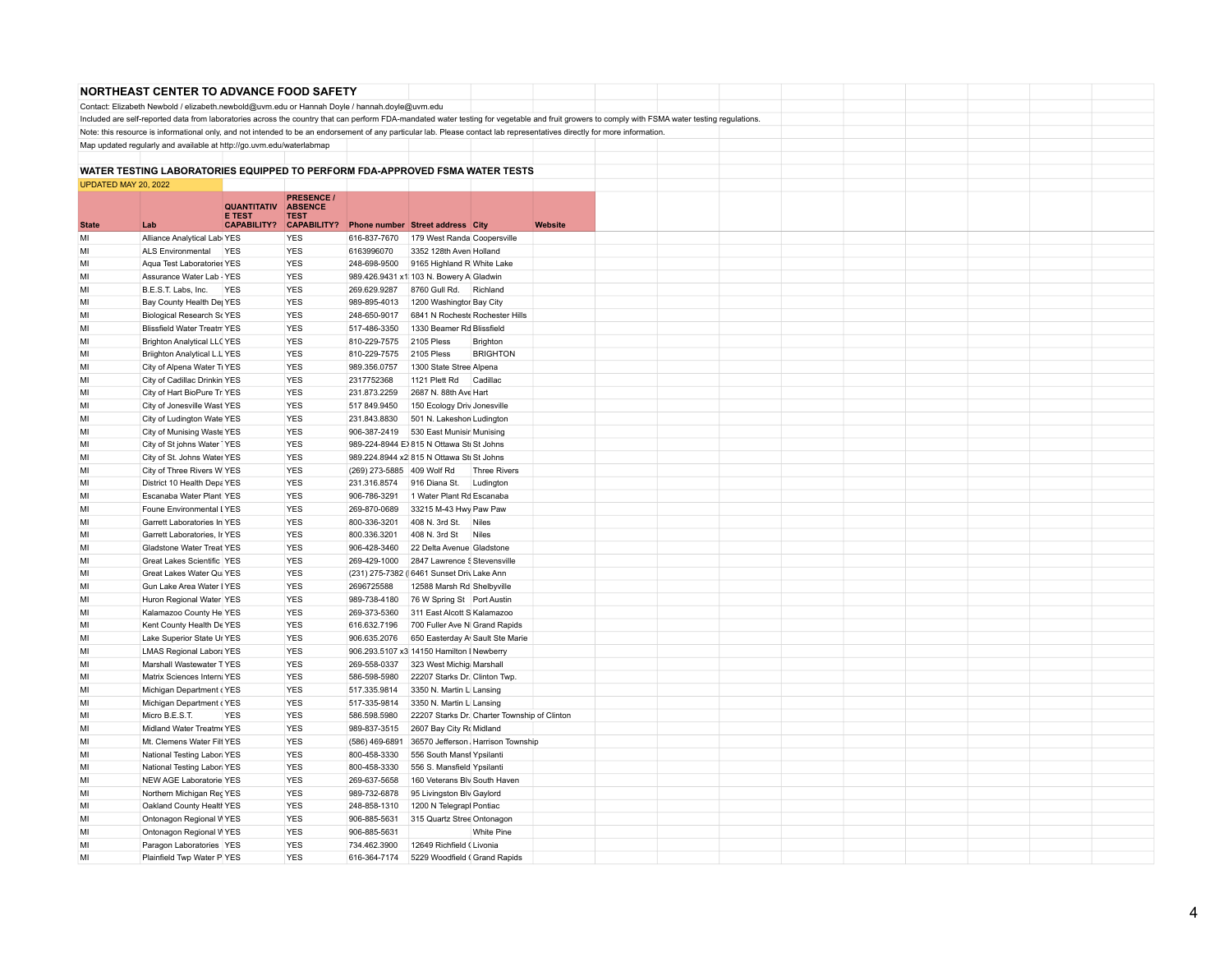|                      | NORTHEAST CENTER TO ADVANCE FOOD SAFETY                                                                                                                                   |                                     |                               |                              |                                                           |                     |                |                                                                                                                                                                                                 |  |  |  |  |
|----------------------|---------------------------------------------------------------------------------------------------------------------------------------------------------------------------|-------------------------------------|-------------------------------|------------------------------|-----------------------------------------------------------|---------------------|----------------|-------------------------------------------------------------------------------------------------------------------------------------------------------------------------------------------------|--|--|--|--|
|                      | Contact: Elizabeth Newbold / elizabeth.newbold@uvm.edu or Hannah Doyle / hannah.doyle@uvm.edu                                                                             |                                     |                               |                              |                                                           |                     |                |                                                                                                                                                                                                 |  |  |  |  |
|                      |                                                                                                                                                                           |                                     |                               |                              |                                                           |                     |                | Included are self-reported data from laboratories across the country that can perform FDA-mandated water testing for vegetable and fruit growers to comply with FSMA water testing regulations. |  |  |  |  |
|                      | Note: this resource is informational only, and not intended to be an endorsement of any particular lab. Please contact lab representatives directly for more information. |                                     |                               |                              |                                                           |                     |                |                                                                                                                                                                                                 |  |  |  |  |
|                      | Map updated regularly and available at http://go.uvm.edu/waterlabmap                                                                                                      |                                     |                               |                              |                                                           |                     |                |                                                                                                                                                                                                 |  |  |  |  |
|                      |                                                                                                                                                                           |                                     |                               |                              |                                                           |                     |                |                                                                                                                                                                                                 |  |  |  |  |
|                      | WATER TESTING LABORATORIES EQUIPPED TO PERFORM FDA-APPROVED FSMA WATER TESTS                                                                                              |                                     |                               |                              |                                                           |                     |                |                                                                                                                                                                                                 |  |  |  |  |
| UPDATED MAY 20, 2022 |                                                                                                                                                                           |                                     |                               |                              |                                                           |                     |                |                                                                                                                                                                                                 |  |  |  |  |
|                      |                                                                                                                                                                           |                                     | <b>PRESENCE /</b>             |                              |                                                           |                     |                |                                                                                                                                                                                                 |  |  |  |  |
|                      |                                                                                                                                                                           | <b>QUANTITATIV</b><br><b>E TEST</b> | <b>ABSENCE</b><br><b>TEST</b> |                              |                                                           |                     |                |                                                                                                                                                                                                 |  |  |  |  |
| <b>State</b>         | Lab                                                                                                                                                                       | <b>CAPABILITY?</b>                  | <b>CAPABILITY?</b>            |                              | Phone number Street address City                          |                     | <b>Website</b> |                                                                                                                                                                                                 |  |  |  |  |
| MI                   | Alliance Analytical Labi YES                                                                                                                                              |                                     | <b>YES</b>                    | 616-837-7670                 | 179 West Randa Coopersville                               |                     |                |                                                                                                                                                                                                 |  |  |  |  |
| M                    | ALS Environmental                                                                                                                                                         | <b>YES</b>                          | <b>YES</b>                    | 6163996070                   | 3352 128th Aven Holland                                   |                     |                |                                                                                                                                                                                                 |  |  |  |  |
| MI                   | Aqua Test Laboratories YES                                                                                                                                                |                                     | <b>YES</b>                    | 248-698-9500                 | 9165 Highland R White Lake                                |                     |                |                                                                                                                                                                                                 |  |  |  |  |
| MI                   | Assurance Water Lab - YES                                                                                                                                                 |                                     | <b>YES</b>                    |                              | 989.426.9431 x1 103 N. Bowery A Gladwin                   |                     |                |                                                                                                                                                                                                 |  |  |  |  |
| MI                   | B.E.S.T. Labs, Inc.                                                                                                                                                       | <b>YES</b>                          | <b>YES</b>                    | 269.629.9287                 | 8760 Gull Rd.                                             | Richland            |                |                                                                                                                                                                                                 |  |  |  |  |
| MI                   | Bay County Health Dej YES                                                                                                                                                 |                                     | <b>YES</b>                    | 989-895-4013                 | 1200 Washingtor Bay City                                  |                     |                |                                                                                                                                                                                                 |  |  |  |  |
| MI                   | Biological Research ScYES                                                                                                                                                 |                                     | <b>YES</b>                    | 248-650-9017                 | 6841 N Rocheste Rochester Hills                           |                     |                |                                                                                                                                                                                                 |  |  |  |  |
| MI                   | <b>Blissfield Water Treatm YES</b>                                                                                                                                        |                                     | <b>YES</b>                    | 517-486-3350                 | 1330 Beamer Rd Blissfield                                 |                     |                |                                                                                                                                                                                                 |  |  |  |  |
| MI                   | <b>Brighton Analytical LLC YES</b>                                                                                                                                        |                                     | <b>YES</b>                    | 810-229-7575                 | 2105 Pless                                                | Brighton            |                |                                                                                                                                                                                                 |  |  |  |  |
| MI                   | Briighton Analytical L.L YES                                                                                                                                              |                                     | <b>YES</b>                    | 810-229-7575                 | 2105 Pless                                                | <b>BRIGHTON</b>     |                |                                                                                                                                                                                                 |  |  |  |  |
| MI                   | City of Alpena Water Ti YES                                                                                                                                               |                                     | <b>YES</b><br><b>YES</b>      | 989.356.0757<br>2317752368   | 1300 State Stree Alpena                                   |                     |                |                                                                                                                                                                                                 |  |  |  |  |
| MI<br>MI             | City of Cadillac Drinkin YES                                                                                                                                              |                                     | <b>YES</b>                    |                              | 1121 Plett Rd                                             | Cadillac            |                |                                                                                                                                                                                                 |  |  |  |  |
| MI                   | City of Hart BioPure Tr YES<br>City of Jonesville Wast YES                                                                                                                |                                     | <b>YES</b>                    | 231.873.2259<br>517 849.9450 | 2687 N. 88th Ave Hart<br>150 Ecology Driv Jonesville      |                     |                |                                                                                                                                                                                                 |  |  |  |  |
| MI                   | City of Ludington Wate YES                                                                                                                                                |                                     | <b>YES</b>                    | 231.843.8830                 | 501 N. Lakeshor Ludington                                 |                     |                |                                                                                                                                                                                                 |  |  |  |  |
| MI                   | City of Munising Waste YES                                                                                                                                                |                                     | YES                           | 906-387-2419                 | 530 East Munisir Munising                                 |                     |                |                                                                                                                                                                                                 |  |  |  |  |
| MI                   | City of St johns Water   YES                                                                                                                                              |                                     | <b>YES</b>                    |                              | 989-224-8944 E>815 N Ottawa Sti St Johns                  |                     |                |                                                                                                                                                                                                 |  |  |  |  |
| MI                   | City of St. Johns Water YES                                                                                                                                               |                                     | <b>YES</b>                    |                              | 989.224.8944 x2 815 N Ottawa Sti St Johns                 |                     |                |                                                                                                                                                                                                 |  |  |  |  |
| MI                   | City of Three Rivers W YES                                                                                                                                                |                                     | <b>YES</b>                    | (269) 273-5885 409 Wolf Rd   |                                                           | <b>Three Rivers</b> |                |                                                                                                                                                                                                 |  |  |  |  |
| MI                   | District 10 Health Depa YES                                                                                                                                               |                                     | <b>YES</b>                    | 231.316.8574                 | 916 Diana St.                                             | Ludington           |                |                                                                                                                                                                                                 |  |  |  |  |
| MI                   | Escanaba Water Plant YES                                                                                                                                                  |                                     | <b>YES</b>                    | 906-786-3291                 | 1 Water Plant Rd Escanaba                                 |                     |                |                                                                                                                                                                                                 |  |  |  |  |
| MI                   | Foune Environmental LYES                                                                                                                                                  |                                     | <b>YES</b>                    | 269-870-0689                 | 33215 M-43 Hwy Paw Paw                                    |                     |                |                                                                                                                                                                                                 |  |  |  |  |
| MI                   | Garrett Laboratories In YES                                                                                                                                               |                                     | <b>YES</b>                    | 800-336-3201                 | 408 N. 3rd St.                                            | <b>Niles</b>        |                |                                                                                                                                                                                                 |  |  |  |  |
| MI                   | Garrett Laboratories, Ir YES                                                                                                                                              |                                     | <b>YES</b>                    | 800.336.3201                 | 408 N. 3rd St                                             | <b>Niles</b>        |                |                                                                                                                                                                                                 |  |  |  |  |
| MI                   | Gladstone Water Treat YES                                                                                                                                                 |                                     | <b>YES</b>                    | 906-428-3460                 | 22 Delta Avenue Gladstone                                 |                     |                |                                                                                                                                                                                                 |  |  |  |  |
| MI                   | Great Lakes Scientific YES                                                                                                                                                |                                     | YES                           | 269-429-1000                 | 2847 Lawrence S Stevensville                              |                     |                |                                                                                                                                                                                                 |  |  |  |  |
| MI                   | Great Lakes Water Qui YES                                                                                                                                                 |                                     | <b>YES</b>                    |                              | (231) 275-7382 (6461 Sunset Driv Lake Ann                 |                     |                |                                                                                                                                                                                                 |  |  |  |  |
| MI                   | Gun Lake Area Water I YES                                                                                                                                                 |                                     | <b>YES</b>                    | 2696725588                   | 12588 Marsh Rd Shelbyville                                |                     |                |                                                                                                                                                                                                 |  |  |  |  |
| MI                   | Huron Regional Water YES                                                                                                                                                  |                                     | <b>YES</b>                    | 989-738-4180                 | 76 W Spring St Port Austin                                |                     |                |                                                                                                                                                                                                 |  |  |  |  |
| MI                   | Kalamazoo County He YES                                                                                                                                                   |                                     | <b>YES</b>                    | 269-373-5360                 | 311 East Alcott S Kalamazoo                               |                     |                |                                                                                                                                                                                                 |  |  |  |  |
| MI                   | Kent County Health De YES                                                                                                                                                 |                                     | <b>YES</b>                    | 616.632.7196                 | 700 Fuller Ave N Grand Rapids                             |                     |                |                                                                                                                                                                                                 |  |  |  |  |
| MI                   | Lake Superior State Ur YES                                                                                                                                                |                                     | <b>YES</b>                    | 906.635.2076                 | 650 Easterday A Sault Ste Marie                           |                     |                |                                                                                                                                                                                                 |  |  |  |  |
| MI                   | <b>LMAS Regional Labora YES</b>                                                                                                                                           |                                     | <b>YES</b>                    |                              | 906.293.5107 x3 14150 Hamilton I Newberry                 |                     |                |                                                                                                                                                                                                 |  |  |  |  |
| MI<br>MI             | Marshall Wastewater TYES<br>Matrix Sciences Intern; YES                                                                                                                   |                                     | <b>YES</b><br><b>YES</b>      | 269-558-0337<br>586-598-5980 | 323 West Michig Marshall<br>22207 Starks Dr. Clinton Twp. |                     |                |                                                                                                                                                                                                 |  |  |  |  |
| MI                   | Michigan Department (YES                                                                                                                                                  |                                     | <b>YES</b>                    | 517.335.9814                 | 3350 N. Martin L Lansing                                  |                     |                |                                                                                                                                                                                                 |  |  |  |  |
| MI                   | Michigan Department (YES                                                                                                                                                  |                                     | YES                           | 517-335-9814                 | 3350 N. Martin L Lansing                                  |                     |                |                                                                                                                                                                                                 |  |  |  |  |
| MI                   | Micro B.E.S.T.                                                                                                                                                            | <b>YES</b>                          | <b>YES</b>                    | 586.598.5980                 | 22207 Starks Dr. Charter Township of Clinton              |                     |                |                                                                                                                                                                                                 |  |  |  |  |
| MI                   | Midland Water Treatme YES                                                                                                                                                 |                                     | <b>YES</b>                    | 989-837-3515                 | 2607 Bay City Ro Midland                                  |                     |                |                                                                                                                                                                                                 |  |  |  |  |
| MI                   | Mt. Clemens Water Filt YES                                                                                                                                                |                                     | <b>YES</b>                    | (586) 469-6891               | 36570 Jefferson Harrison Township                         |                     |                |                                                                                                                                                                                                 |  |  |  |  |
| MI                   | National Testing Labor: YES                                                                                                                                               |                                     | <b>YES</b>                    | 800-458-3330                 | 556 South Mansf Ypsilanti                                 |                     |                |                                                                                                                                                                                                 |  |  |  |  |
| MI                   | National Testing Labor: YES                                                                                                                                               |                                     | <b>YES</b>                    | 800-458-3330                 | 556 S. Mansfield Ypsilanti                                |                     |                |                                                                                                                                                                                                 |  |  |  |  |
| MI                   | NEW AGE Laboratorie YES                                                                                                                                                   |                                     | YES                           | 269-637-5658                 | 160 Veterans Blv South Haven                              |                     |                |                                                                                                                                                                                                 |  |  |  |  |
| MI                   | Northern Michigan Reg YES                                                                                                                                                 |                                     | <b>YES</b>                    | 989-732-6878                 | 95 Livingston Blv Gaylord                                 |                     |                |                                                                                                                                                                                                 |  |  |  |  |
| MI                   | Oakland County Health YES                                                                                                                                                 |                                     | <b>YES</b>                    | 248-858-1310                 | 1200 N Telegrapi Pontiac                                  |                     |                |                                                                                                                                                                                                 |  |  |  |  |
| MI                   | Ontonagon Regional WYES                                                                                                                                                   |                                     | <b>YES</b>                    | 906-885-5631                 | 315 Quartz Stree Ontonagon                                |                     |                |                                                                                                                                                                                                 |  |  |  |  |
| MI                   | Ontonagon Regional WYES                                                                                                                                                   |                                     | <b>YES</b>                    | 906-885-5631                 |                                                           | <b>White Pine</b>   |                |                                                                                                                                                                                                 |  |  |  |  |
| MI                   | Paragon Laboratories YES                                                                                                                                                  |                                     | <b>YES</b>                    | 734.462.3900                 | 12649 Richfield (Livonia                                  |                     |                |                                                                                                                                                                                                 |  |  |  |  |
| MI                   | Plainfield Twp Water PIYES                                                                                                                                                |                                     | <b>YES</b>                    | 616-364-7174                 | 5229 Woodfield (Grand Rapids                              |                     |                |                                                                                                                                                                                                 |  |  |  |  |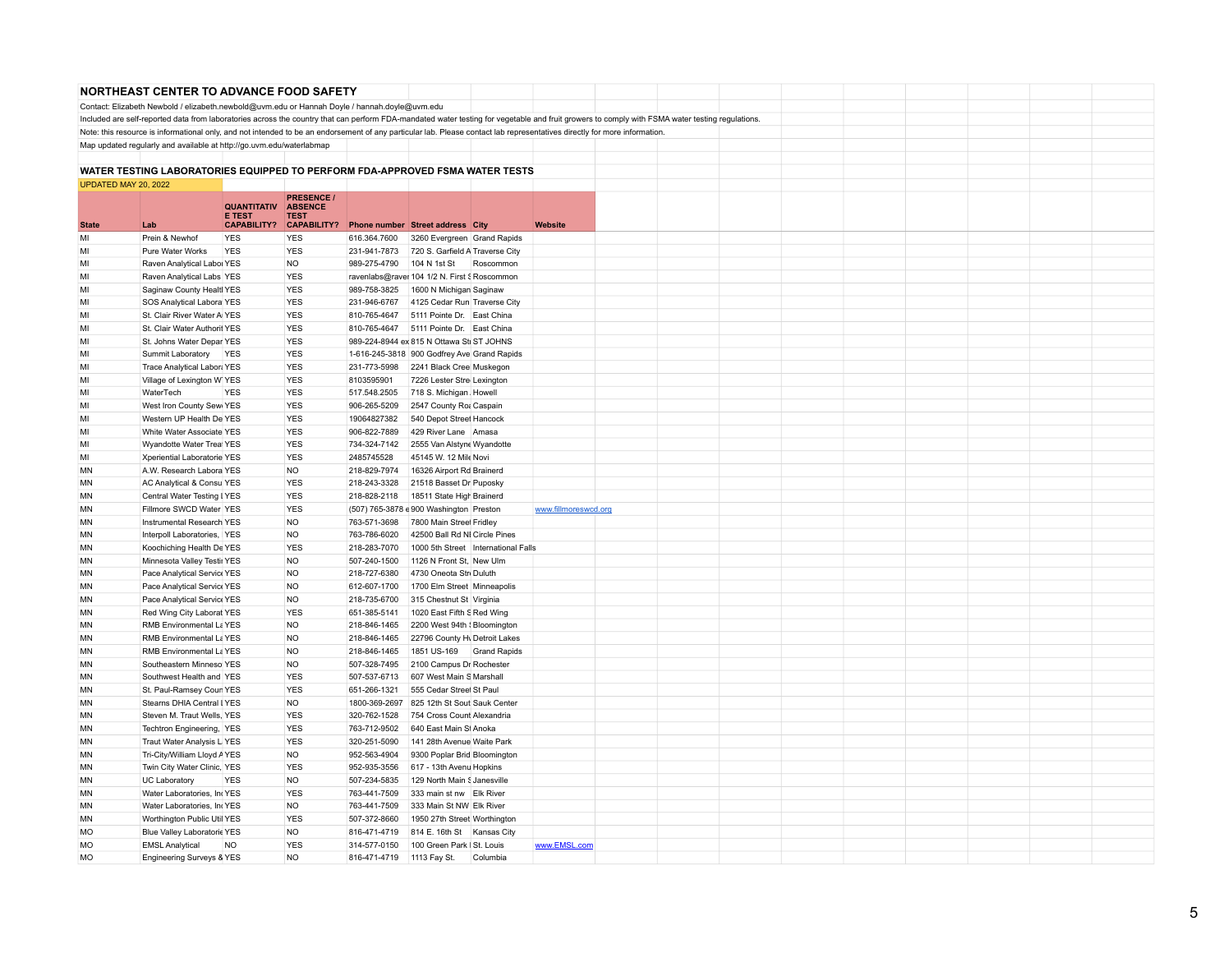|                      | NORTHEAST CENTER TO ADVANCE FOOD SAFETY                                                                                                                                   |                                     |                               |                              |                                                      |                     |                      |                                                                                                                                                                                                 |  |  |  |  |
|----------------------|---------------------------------------------------------------------------------------------------------------------------------------------------------------------------|-------------------------------------|-------------------------------|------------------------------|------------------------------------------------------|---------------------|----------------------|-------------------------------------------------------------------------------------------------------------------------------------------------------------------------------------------------|--|--|--|--|
|                      | Contact: Elizabeth Newbold / elizabeth.newbold@uvm.edu or Hannah Doyle / hannah.doyle@uvm.edu                                                                             |                                     |                               |                              |                                                      |                     |                      |                                                                                                                                                                                                 |  |  |  |  |
|                      |                                                                                                                                                                           |                                     |                               |                              |                                                      |                     |                      | Included are self-reported data from laboratories across the country that can perform FDA-mandated water testing for vegetable and fruit growers to comply with FSMA water testing regulations. |  |  |  |  |
|                      | Note: this resource is informational only, and not intended to be an endorsement of any particular lab. Please contact lab representatives directly for more information. |                                     |                               |                              |                                                      |                     |                      |                                                                                                                                                                                                 |  |  |  |  |
|                      | Map updated regularly and available at http://go.uvm.edu/waterlabmap                                                                                                      |                                     |                               |                              |                                                      |                     |                      |                                                                                                                                                                                                 |  |  |  |  |
|                      |                                                                                                                                                                           |                                     |                               |                              |                                                      |                     |                      |                                                                                                                                                                                                 |  |  |  |  |
|                      | WATER TESTING LABORATORIES EQUIPPED TO PERFORM FDA-APPROVED FSMA WATER TESTS                                                                                              |                                     |                               |                              |                                                      |                     |                      |                                                                                                                                                                                                 |  |  |  |  |
| UPDATED MAY 20, 2022 |                                                                                                                                                                           |                                     |                               |                              |                                                      |                     |                      |                                                                                                                                                                                                 |  |  |  |  |
|                      |                                                                                                                                                                           |                                     | <b>PRESENCE /</b>             |                              |                                                      |                     |                      |                                                                                                                                                                                                 |  |  |  |  |
|                      |                                                                                                                                                                           | <b>QUANTITATIV</b><br><b>E TEST</b> | <b>ABSENCE</b><br><b>TEST</b> |                              |                                                      |                     |                      |                                                                                                                                                                                                 |  |  |  |  |
| <b>State</b>         | Lab                                                                                                                                                                       | <b>CAPABILITY?</b>                  | <b>CAPABILITY?</b>            |                              | Phone number Street address City                     |                     | <b>Website</b>       |                                                                                                                                                                                                 |  |  |  |  |
| MI                   | Prein & Newhof                                                                                                                                                            | <b>YES</b>                          | <b>YES</b>                    | 616.364.7600                 | 3260 Evergreen Grand Rapids                          |                     |                      |                                                                                                                                                                                                 |  |  |  |  |
| M                    | Pure Water Works                                                                                                                                                          | <b>YES</b>                          | <b>YES</b>                    | 231-941-7873                 | 720 S. Garfield A Traverse City                      |                     |                      |                                                                                                                                                                                                 |  |  |  |  |
| MI                   | Raven Analytical Labor YES                                                                                                                                                |                                     | <b>NO</b>                     | 989-275-4790                 | 104 N 1st St                                         | Roscommon           |                      |                                                                                                                                                                                                 |  |  |  |  |
| MI                   | Raven Analytical Labs YES                                                                                                                                                 |                                     | <b>YES</b>                    |                              | ravenlabs@raver 104 1/2 N. First § Roscommon         |                     |                      |                                                                                                                                                                                                 |  |  |  |  |
| MI                   | Saginaw County Healtl YES                                                                                                                                                 |                                     | <b>YES</b>                    | 989-758-3825                 | 1600 N Michigan Saginaw                              |                     |                      |                                                                                                                                                                                                 |  |  |  |  |
| MI                   | SOS Analytical Labora YES                                                                                                                                                 |                                     | <b>YES</b>                    | 231-946-6767                 | 4125 Cedar Run Traverse City                         |                     |                      |                                                                                                                                                                                                 |  |  |  |  |
| MI                   | St. Clair River Water A YES                                                                                                                                               |                                     | <b>YES</b>                    | 810-765-4647                 | 5111 Pointe Dr. East China                           |                     |                      |                                                                                                                                                                                                 |  |  |  |  |
| MI                   | St. Clair Water Authorit YES                                                                                                                                              |                                     | <b>YES</b>                    |                              | 810-765-4647 5111 Pointe Dr. East China              |                     |                      |                                                                                                                                                                                                 |  |  |  |  |
| MI                   | St. Johns Water Depar YES                                                                                                                                                 |                                     | <b>YES</b>                    |                              | 989-224-8944 ex 815 N Ottawa Sti ST JOHNS            |                     |                      |                                                                                                                                                                                                 |  |  |  |  |
| MI                   | Summit Laboratory                                                                                                                                                         | <b>YES</b>                          | <b>YES</b>                    |                              | 1-616-245-3818 900 Godfrey Ave Grand Rapids          |                     |                      |                                                                                                                                                                                                 |  |  |  |  |
| MI                   | Trace Analytical Labor: YES                                                                                                                                               |                                     | <b>YES</b>                    | 231-773-5998                 | 2241 Black Cree Muskegon                             |                     |                      |                                                                                                                                                                                                 |  |  |  |  |
| MI                   | Village of Lexington W YES                                                                                                                                                |                                     | <b>YES</b>                    | 8103595901                   | 7226 Lester Stre Lexington                           |                     |                      |                                                                                                                                                                                                 |  |  |  |  |
| MI                   | WaterTech                                                                                                                                                                 | <b>YES</b>                          | <b>YES</b>                    | 517.548.2505                 | 718 S. Michigan, Howell                              |                     |                      |                                                                                                                                                                                                 |  |  |  |  |
| MI<br>MI             | West Iron County Sew YES<br>Western UP Health De YES                                                                                                                      |                                     | <b>YES</b><br><b>YES</b>      | 906-265-5209<br>19064827382  | 2547 County Roa Caspain<br>540 Depot Street Hancock  |                     |                      |                                                                                                                                                                                                 |  |  |  |  |
| MI                   | White Water Associate YES                                                                                                                                                 |                                     | YES                           | 906-822-7889                 | 429 River Lane Amasa                                 |                     |                      |                                                                                                                                                                                                 |  |  |  |  |
| MI                   | Wyandotte Water Treal YES                                                                                                                                                 |                                     | <b>YES</b>                    | 734-324-7142                 | 2555 Van Alstyne Wyandotte                           |                     |                      |                                                                                                                                                                                                 |  |  |  |  |
| MI                   | Xperiential Laboratorie YES                                                                                                                                               |                                     | <b>YES</b>                    | 2485745528                   | 45145 W. 12 Mile Novi                                |                     |                      |                                                                                                                                                                                                 |  |  |  |  |
| MN                   | A.W. Research Labora YES                                                                                                                                                  |                                     | NO.                           | 218-829-7974                 | 16326 Airport Rd Brainerd                            |                     |                      |                                                                                                                                                                                                 |  |  |  |  |
| MN                   | AC Analytical & Consul YES                                                                                                                                                |                                     | <b>YES</b>                    | 218-243-3328                 | 21518 Basset Dr Puposky                              |                     |                      |                                                                                                                                                                                                 |  |  |  |  |
| MN                   | Central Water Testing IYES                                                                                                                                                |                                     | <b>YES</b>                    | 218-828-2118                 | 18511 State High Brainerd                            |                     |                      |                                                                                                                                                                                                 |  |  |  |  |
| MN                   | Fillmore SWCD Water YES                                                                                                                                                   |                                     | <b>YES</b>                    |                              | (507) 765-3878 e 900 Washington Preston              |                     | www.fillmoreswcd.org |                                                                                                                                                                                                 |  |  |  |  |
| <b>MN</b>            | Instrumental Research YES                                                                                                                                                 |                                     | <b>NO</b>                     | 763-571-3698                 | 7800 Main Street Fridley                             |                     |                      |                                                                                                                                                                                                 |  |  |  |  |
| MN                   | Interpoll Laboratories, IYES                                                                                                                                              |                                     | <b>NO</b>                     | 763-786-6020                 | 42500 Ball Rd NI Circle Pines                        |                     |                      |                                                                                                                                                                                                 |  |  |  |  |
| MN                   | Koochiching Health De YES                                                                                                                                                 |                                     | YES                           | 218-283-7070                 | 1000 5th Street International Falls                  |                     |                      |                                                                                                                                                                                                 |  |  |  |  |
| MN                   | Minnesota Valley Testir YES                                                                                                                                               |                                     | <b>NO</b>                     | 507-240-1500                 | 1126 N Front St, New Ulm                             |                     |                      |                                                                                                                                                                                                 |  |  |  |  |
| <b>MN</b>            | Pace Analytical Service YES                                                                                                                                               |                                     | <b>NO</b>                     | 218-727-6380                 | 4730 Oneota Stri Duluth                              |                     |                      |                                                                                                                                                                                                 |  |  |  |  |
| <b>MN</b>            | Pace Analytical Service YES                                                                                                                                               |                                     | <b>NO</b>                     | 612-607-1700                 | 1700 Elm Street Minneapolis                          |                     |                      |                                                                                                                                                                                                 |  |  |  |  |
| MN                   | Pace Analytical Service YES                                                                                                                                               |                                     | <b>NO</b>                     | 218-735-6700                 | 315 Chestnut St Virginia                             |                     |                      |                                                                                                                                                                                                 |  |  |  |  |
| <b>MN</b>            | Red Wing City Laborat YES                                                                                                                                                 |                                     | <b>YES</b>                    | 651-385-5141                 | 1020 East Fifth S Red Wing                           |                     |                      |                                                                                                                                                                                                 |  |  |  |  |
| <b>MN</b>            | RMB Environmental La YES                                                                                                                                                  |                                     | <b>NO</b>                     | 218-846-1465                 | 2200 West 94th { Bloomington                         |                     |                      |                                                                                                                                                                                                 |  |  |  |  |
| <b>MN</b>            | RMB Environmental La YES                                                                                                                                                  |                                     | <b>NO</b>                     | 218-846-1465                 | 22796 County Hy Detroit Lakes                        |                     |                      |                                                                                                                                                                                                 |  |  |  |  |
| <b>MN</b>            | RMB Environmental La YES                                                                                                                                                  |                                     | <b>NO</b>                     | 218-846-1465                 | 1851 US-169                                          | <b>Grand Rapids</b> |                      |                                                                                                                                                                                                 |  |  |  |  |
| MN                   | Southeastern Minneso YES                                                                                                                                                  |                                     | <b>NO</b>                     | 507-328-7495                 | 2100 Campus Dr Rochester                             |                     |                      |                                                                                                                                                                                                 |  |  |  |  |
| <b>MN</b><br>MN      | Southwest Health and YES<br>St. Paul-Ramsey Coun YES                                                                                                                      |                                     | <b>YES</b><br><b>YES</b>      | 507-537-6713<br>651-266-1321 | 607 West Main S Marshall<br>555 Cedar Streel St Paul |                     |                      |                                                                                                                                                                                                 |  |  |  |  |
| <b>MN</b>            | Stearns DHIA Central I YES                                                                                                                                                |                                     | <b>NO</b>                     | 1800-369-2697                | 825 12th St Sout Sauk Center                         |                     |                      |                                                                                                                                                                                                 |  |  |  |  |
| <b>MN</b>            | Steven M. Traut Wells, YES                                                                                                                                                |                                     | <b>YES</b>                    | 320-762-1528                 | 754 Cross Count Alexandria                           |                     |                      |                                                                                                                                                                                                 |  |  |  |  |
| <b>MN</b>            | Techtron Engineering, YES                                                                                                                                                 |                                     | <b>YES</b>                    | 763-712-9502                 | 640 East Main St Anoka                               |                     |                      |                                                                                                                                                                                                 |  |  |  |  |
| MN                   | Traut Water Analysis L YES                                                                                                                                                |                                     | <b>YES</b>                    | 320-251-5090                 | 141 28th Avenue Waite Park                           |                     |                      |                                                                                                                                                                                                 |  |  |  |  |
| MN                   | Tri-City/William Lloyd AYES                                                                                                                                               |                                     | <b>NO</b>                     | 952-563-4904                 | 9300 Poplar Brid Bloomington                         |                     |                      |                                                                                                                                                                                                 |  |  |  |  |
| MN                   | Twin City Water Clinic, YES                                                                                                                                               |                                     | <b>YES</b>                    | 952-935-3556                 | 617 - 13th Avenu Hopkins                             |                     |                      |                                                                                                                                                                                                 |  |  |  |  |
| <b>MN</b>            | UC Laboratory                                                                                                                                                             | YES                                 | <b>NO</b>                     | 507-234-5835                 | 129 North Main § Janesville                          |                     |                      |                                                                                                                                                                                                 |  |  |  |  |
| <b>MN</b>            | Water Laboratories, In YES                                                                                                                                                |                                     | <b>YES</b>                    | 763-441-7509                 | 333 main st nw Elk River                             |                     |                      |                                                                                                                                                                                                 |  |  |  |  |
| MN                   | Water Laboratories, In YES                                                                                                                                                |                                     | <b>NO</b>                     | 763-441-7509                 | 333 Main St NW Elk River                             |                     |                      |                                                                                                                                                                                                 |  |  |  |  |
| MN                   | Worthington Public Util YES                                                                                                                                               |                                     | <b>YES</b>                    | 507-372-8660                 | 1950 27th Street Worthington                         |                     |                      |                                                                                                                                                                                                 |  |  |  |  |
| <b>MO</b>            | Blue Valley Laboratoric YES                                                                                                                                               |                                     | <b>NO</b>                     | 816-471-4719                 | 814 E. 16th St Kansas City                           |                     |                      |                                                                                                                                                                                                 |  |  |  |  |
| <b>MO</b>            | <b>EMSL Analytical</b>                                                                                                                                                    | <b>NO</b>                           | <b>YES</b>                    | 314-577-0150                 | 100 Green Park   St. Louis                           |                     | www.EMSL.com         |                                                                                                                                                                                                 |  |  |  |  |
| <b>MO</b>            | Engineering Surveys & YES                                                                                                                                                 |                                     | <b>NO</b>                     | 816-471-4719 1113 Fay St.    |                                                      | Columbia            |                      |                                                                                                                                                                                                 |  |  |  |  |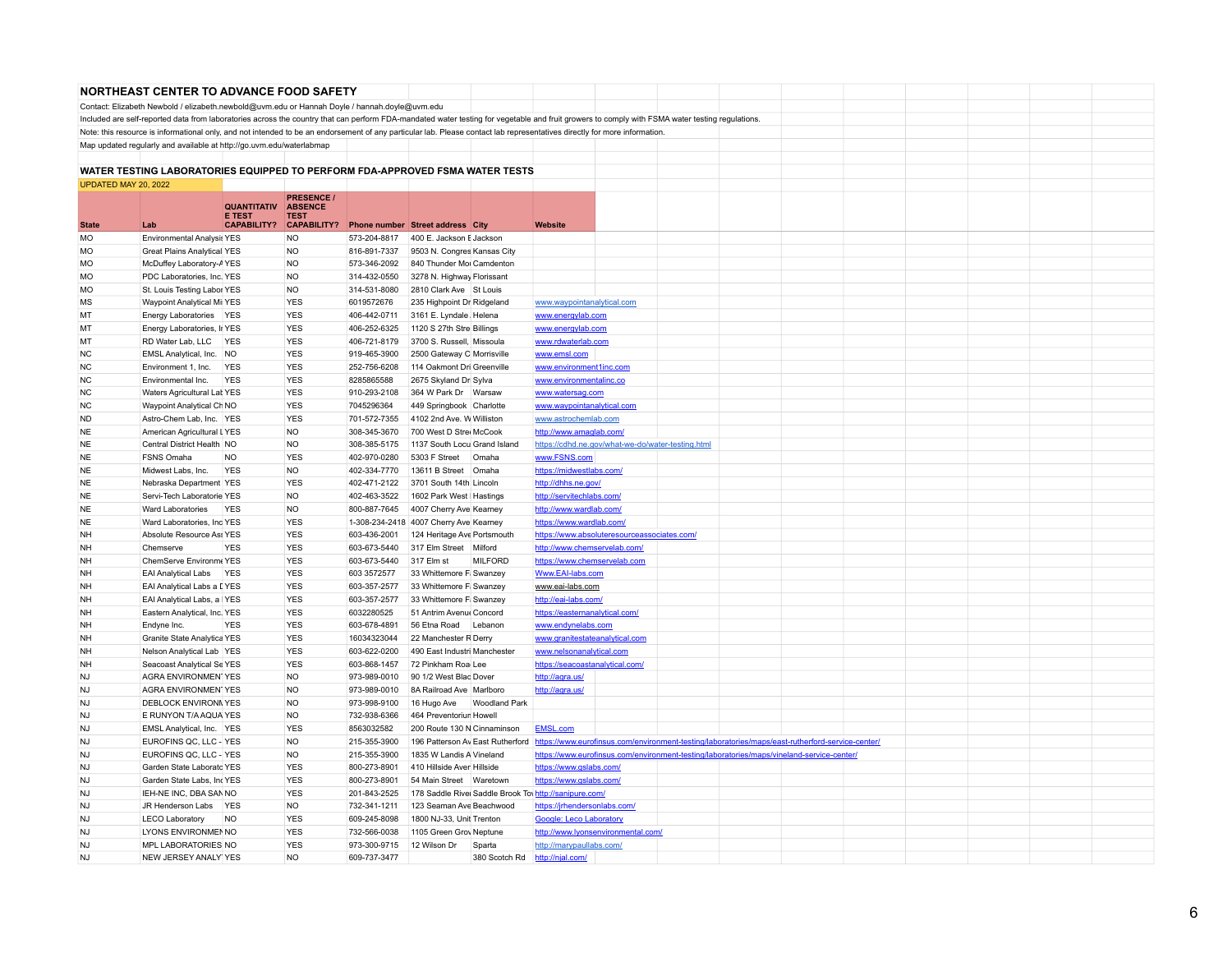|                        | NORTHEAST CENTER TO ADVANCE FOOD SAFETY                                                                                                                                   |                                     |                               |                              |                                                    |                      |                                                       |                                                                                                                                                                                                 |  |  |  |  |
|------------------------|---------------------------------------------------------------------------------------------------------------------------------------------------------------------------|-------------------------------------|-------------------------------|------------------------------|----------------------------------------------------|----------------------|-------------------------------------------------------|-------------------------------------------------------------------------------------------------------------------------------------------------------------------------------------------------|--|--|--|--|
|                        | Contact: Elizabeth Newbold / elizabeth.newbold@uvm.edu or Hannah Doyle / hannah.doyle@uvm.edu                                                                             |                                     |                               |                              |                                                    |                      |                                                       |                                                                                                                                                                                                 |  |  |  |  |
|                        |                                                                                                                                                                           |                                     |                               |                              |                                                    |                      |                                                       | Included are self-reported data from laboratories across the country that can perform FDA-mandated water testing for vegetable and fruit growers to comply with FSMA water testing regulations. |  |  |  |  |
|                        | Note: this resource is informational only, and not intended to be an endorsement of any particular lab. Please contact lab representatives directly for more information. |                                     |                               |                              |                                                    |                      |                                                       |                                                                                                                                                                                                 |  |  |  |  |
|                        | Map updated regularly and available at http://go.uvm.edu/waterlabmap                                                                                                      |                                     |                               |                              |                                                    |                      |                                                       |                                                                                                                                                                                                 |  |  |  |  |
|                        |                                                                                                                                                                           |                                     |                               |                              |                                                    |                      |                                                       |                                                                                                                                                                                                 |  |  |  |  |
|                        | WATER TESTING LABORATORIES EQUIPPED TO PERFORM FDA-APPROVED FSMA WATER TESTS                                                                                              |                                     |                               |                              |                                                    |                      |                                                       |                                                                                                                                                                                                 |  |  |  |  |
| UPDATED MAY 20, 2022   |                                                                                                                                                                           |                                     |                               |                              |                                                    |                      |                                                       |                                                                                                                                                                                                 |  |  |  |  |
|                        |                                                                                                                                                                           |                                     | <b>PRESENCE /</b>             |                              |                                                    |                      |                                                       |                                                                                                                                                                                                 |  |  |  |  |
|                        |                                                                                                                                                                           | <b>QUANTITATIV</b><br><b>E TEST</b> | <b>ABSENCE</b><br><b>TEST</b> |                              |                                                    |                      |                                                       |                                                                                                                                                                                                 |  |  |  |  |
| <b>State</b>           | Lab                                                                                                                                                                       | <b>CAPABILITY?</b>                  | <b>CAPABILITY?</b>            |                              | <b>Phone number Street address City</b>            |                      | <b>Website</b>                                        |                                                                                                                                                                                                 |  |  |  |  |
| <b>MO</b>              | <b>Environmental Analysis YES</b>                                                                                                                                         |                                     | NO.                           | 573-204-8817                 | 400 E. Jackson E Jackson                           |                      |                                                       |                                                                                                                                                                                                 |  |  |  |  |
| <b>MO</b>              | <b>Great Plains Analytical YES</b>                                                                                                                                        |                                     | <b>NO</b>                     | 816-891-7337                 | 9503 N. Congres Kansas City                        |                      |                                                       |                                                                                                                                                                                                 |  |  |  |  |
| <b>MO</b>              | McDuffey Laboratory-AYES                                                                                                                                                  |                                     | NO.                           | 573-346-2092                 | 840 Thunder Moi Camdenton                          |                      |                                                       |                                                                                                                                                                                                 |  |  |  |  |
| <b>MO</b>              | PDC Laboratories, Inc. YES                                                                                                                                                |                                     | <b>NO</b>                     | 314-432-0550                 | 3278 N. Highway Florissant                         |                      |                                                       |                                                                                                                                                                                                 |  |  |  |  |
| <b>MO</b>              | St. Louis Testing Labor YES                                                                                                                                               |                                     | <b>NO</b>                     | 314-531-8080                 | 2810 Clark Ave St Louis                            |                      |                                                       |                                                                                                                                                                                                 |  |  |  |  |
| <b>MS</b>              | Waypoint Analytical Mi: YES                                                                                                                                               |                                     | <b>YES</b>                    | 6019572676                   | 235 Highpoint Dr Ridgeland                         |                      | www.waypointanalytical.com                            |                                                                                                                                                                                                 |  |  |  |  |
| MT                     | Energy Laboratories YES                                                                                                                                                   |                                     | <b>YES</b>                    | 406-442-0711                 | 3161 E. Lyndale, Helena                            |                      | www.energylab.com                                     |                                                                                                                                                                                                 |  |  |  |  |
| MT                     | Energy Laboratories, Ir YES                                                                                                                                               |                                     | <b>YES</b>                    | 406-252-6325                 | 1120 S 27th Stre Billings                          |                      | www.energylab.com                                     |                                                                                                                                                                                                 |  |  |  |  |
| MT                     | RD Water Lab, LLC YES                                                                                                                                                     |                                     | <b>YES</b>                    | 406-721-8179                 | 3700 S. Russell, Missoula                          |                      | www.rdwaterlab.com                                    |                                                                                                                                                                                                 |  |  |  |  |
| <b>NC</b>              | EMSL Analytical, Inc. NO                                                                                                                                                  |                                     | <b>YES</b>                    | 919-465-3900                 | 2500 Gateway C Morrisville                         |                      | www.emsl.com                                          |                                                                                                                                                                                                 |  |  |  |  |
| <b>NC</b>              | Environment 1, Inc.                                                                                                                                                       | <b>YES</b>                          | <b>YES</b>                    | 252-756-6208                 | 114 Oakmont Dri Greenville                         |                      | www.environment1inc.com                               |                                                                                                                                                                                                 |  |  |  |  |
| <b>NC</b>              | Environmental Inc.                                                                                                                                                        | <b>YES</b>                          | <b>YES</b>                    | 8285865588                   | 2675 Skyland Dr Sylva                              |                      | www.environmentalinc.co                               |                                                                                                                                                                                                 |  |  |  |  |
| <b>NC</b>              | Waters Agricultural Lat YES                                                                                                                                               |                                     | <b>YES</b>                    | 910-293-2108                 | 364 W Park Dr Warsaw                               |                      | www.watersag.com                                      |                                                                                                                                                                                                 |  |  |  |  |
| <b>NC</b>              | Waypoint Analytical Ch NO                                                                                                                                                 |                                     | <b>YES</b>                    | 7045296364                   | 449 Springbook Charlotte                           |                      | www.waypointanalytical.com                            |                                                                                                                                                                                                 |  |  |  |  |
| <b>ND</b>              | Astro-Chem Lab, Inc. YES                                                                                                                                                  |                                     | <b>YES</b>                    | 701-572-7355                 | 4102 2nd Ave. W Williston                          |                      | www.astrochemlab.com                                  |                                                                                                                                                                                                 |  |  |  |  |
| <b>NE</b>              | American Agricultural LYES                                                                                                                                                |                                     | <b>NO</b>                     | 308-345-3670                 | 700 West D Stree McCook                            |                      | http://www.amaglab.com/                               |                                                                                                                                                                                                 |  |  |  |  |
| <b>NE</b>              | Central District Health NO                                                                                                                                                |                                     | <b>NO</b>                     | 308-385-5175                 | 1137 South Locu Grand Island                       |                      |                                                       | https://cdhd.ne.gov/what-we-do/water-testing.html                                                                                                                                               |  |  |  |  |
| <b>NE</b>              | FSNS Omaha                                                                                                                                                                | <b>NO</b>                           | <b>YES</b>                    | 402-970-0280                 | 5303 F Street                                      | Omaha                | www.FSNS.com                                          |                                                                                                                                                                                                 |  |  |  |  |
| <b>NE</b>              | Midwest Labs, Inc.                                                                                                                                                        | <b>YES</b>                          | <b>NO</b>                     | 402-334-7770                 | 13611 B Street Omaha                               |                      | https://midwestlabs.com/                              |                                                                                                                                                                                                 |  |  |  |  |
| <b>NE</b>              | Nebraska Department YES                                                                                                                                                   |                                     | <b>YES</b>                    | 402-471-2122                 | 3701 South 14th Lincoln                            |                      | http://dhhs.ne.gov/                                   |                                                                                                                                                                                                 |  |  |  |  |
| <b>NE</b>              | Servi-Tech Laboratorie YES                                                                                                                                                |                                     | NO.                           | 402-463-3522                 | 1602 Park West   Hastings                          |                      | http://servitechlabs.com/                             |                                                                                                                                                                                                 |  |  |  |  |
| <b>NE</b>              | Ward Laboratories                                                                                                                                                         | <b>YES</b>                          | NO.                           | 800-887-7645                 | 4007 Cherry Ave Kearney                            |                      | http://www.wardlab.com/                               |                                                                                                                                                                                                 |  |  |  |  |
| <b>NE</b>              | Ward Laboratories, Inc YES                                                                                                                                                |                                     | <b>YES</b>                    |                              | 1-308-234-2418 4007 Cherry Ave Kearney             |                      | https://www.wardlab.com                               |                                                                                                                                                                                                 |  |  |  |  |
| NH                     | Absolute Resource Ass YES                                                                                                                                                 |                                     | <b>YES</b>                    | 603-436-2001                 | 124 Heritage Ave Portsmouth                        |                      |                                                       | https://www.absoluteresourceassociates.com/                                                                                                                                                     |  |  |  |  |
| <b>NH</b>              | Chemserve                                                                                                                                                                 | <b>YES</b>                          | <b>YES</b>                    | 603-673-5440                 | 317 Elm Street Milford                             |                      | http://www.chemservelab.com/                          |                                                                                                                                                                                                 |  |  |  |  |
| <b>NH</b><br><b>NH</b> | ChemServe Environme YES<br><b>EAI Analytical Labs</b>                                                                                                                     | <b>YES</b>                          | <b>YES</b><br><b>YES</b>      | 603-673-5440<br>603 3572577  | 317 Elm st<br>33 Whittemore F Swanzey              | <b>MILFORD</b>       | https://www.chemservelab.com                          |                                                                                                                                                                                                 |  |  |  |  |
|                        | EAI Analytical Labs a [YES                                                                                                                                                |                                     | <b>YES</b>                    |                              |                                                    |                      | Www.EAI-labs.com                                      |                                                                                                                                                                                                 |  |  |  |  |
| <b>NH</b><br><b>NH</b> | EAI Analytical Labs, a IYES                                                                                                                                               |                                     | <b>YES</b>                    | 603-357-2577<br>603-357-2577 | 33 Whittemore F Swanzey<br>33 Whittemore F Swanzey |                      | www.eai-labs.com<br>http://eai-labs.com/              |                                                                                                                                                                                                 |  |  |  |  |
| NH                     | Eastern Analytical, Inc. YES                                                                                                                                              |                                     | YES                           | 6032280525                   | 51 Antrim Avenue Concord                           |                      | https://easternanalytical.com/                        |                                                                                                                                                                                                 |  |  |  |  |
| <b>NH</b>              | Endyne Inc.                                                                                                                                                               | <b>YFS</b>                          | <b>YES</b>                    | 603-678-4891                 | 56 Ftna Road                                       | Lebanon              | www.endynelabs.com                                    |                                                                                                                                                                                                 |  |  |  |  |
| <b>NH</b>              | Granite State Analytica YES                                                                                                                                               |                                     | <b>YES</b>                    | 16034323044                  | 22 Manchester R Derry                              |                      | www.granitestateanalytical.com                        |                                                                                                                                                                                                 |  |  |  |  |
| <b>NH</b>              | Nelson Analytical Lab YES                                                                                                                                                 |                                     | <b>YES</b>                    | 603-622-0200                 | 490 East Industri Manchester                       |                      | www.nelsonanalytical.com                              |                                                                                                                                                                                                 |  |  |  |  |
| <b>NH</b>              | Seacoast Analytical Se YES                                                                                                                                                |                                     | <b>YES</b>                    | 603-868-1457                 | 72 Pinkham Roa Lee                                 |                      | https://seacoastanalytical.com/                       |                                                                                                                                                                                                 |  |  |  |  |
| <b>NJ</b>              | <b>AGRA ENVIRONMENTYES</b>                                                                                                                                                |                                     | <b>NO</b>                     | 973-989-0010                 | 90 1/2 West Blac Dover                             |                      | http://agra.us/                                       |                                                                                                                                                                                                 |  |  |  |  |
| <b>NJ</b>              | <b>AGRA ENVIRONMENTYES</b>                                                                                                                                                |                                     | <b>NO</b>                     | 973-989-0010                 | 8A Railroad Ave Marlboro                           |                      | http://agra.us/                                       |                                                                                                                                                                                                 |  |  |  |  |
| <b>NJ</b>              | <b>DEBLOCK ENVIRONN YES</b>                                                                                                                                               |                                     | <b>NO</b>                     | 973-998-9100                 | 16 Hugo Ave                                        | <b>Woodland Park</b> |                                                       |                                                                                                                                                                                                 |  |  |  |  |
| N <sub>1</sub>         | E RUNYON T/A AQUA YES                                                                                                                                                     |                                     | <b>NO</b>                     | 732-938-6366                 | 464 Preventoriun Howell                            |                      |                                                       |                                                                                                                                                                                                 |  |  |  |  |
| <b>NJ</b>              | EMSL Analytical, Inc. YES                                                                                                                                                 |                                     | <b>YES</b>                    | 8563032582                   | 200 Route 130 N Cinnaminson                        |                      | EMSL.com                                              |                                                                                                                                                                                                 |  |  |  |  |
| <b>NJ</b>              | EUROFINS QC, LLC - YES                                                                                                                                                    |                                     | NO.                           | 215-355-3900                 | 196 Patterson Av East Rutherford                   |                      |                                                       | https://www.eurofinsus.com/environment-testing/laboratories/maps/east-rutherford-service-center/                                                                                                |  |  |  |  |
| <b>NJ</b>              | EUROFINS QC, LLC - YES                                                                                                                                                    |                                     | <b>NO</b>                     | 215-355-3900                 | 1835 W Landis A Vineland                           |                      |                                                       | https://www.eurofinsus.com/environment-testing/laboratories/maps/vineland-service-center/                                                                                                       |  |  |  |  |
| <b>NJ</b>              | Garden State Laborato YES                                                                                                                                                 |                                     | <b>YES</b>                    | 800-273-8901                 | 410 Hillside Aver Hillside                         |                      | https://www.gslabs.com/                               |                                                                                                                                                                                                 |  |  |  |  |
| <b>NJ</b>              | Garden State Labs, Inc YES                                                                                                                                                |                                     | <b>YES</b>                    | 800-273-8901                 | 54 Main Street Waretown                            |                      | https://www.gslabs.com/                               |                                                                                                                                                                                                 |  |  |  |  |
| <b>NJ</b>              | IEH-NE INC, DBA SAN NO                                                                                                                                                    |                                     | <b>YES</b>                    | 201-843-2525                 |                                                    |                      | 178 Saddle Rive Saddle Brook Tov http://sanipure.com/ |                                                                                                                                                                                                 |  |  |  |  |
| <b>NJ</b>              | JR Henderson Labs YES                                                                                                                                                     |                                     | <b>NO</b>                     | 732-341-1211                 | 123 Seaman Ave Beachwood                           |                      | https://jrhendersonlabs.com/                          |                                                                                                                                                                                                 |  |  |  |  |
| NJ                     | <b>LECO Laboratory</b>                                                                                                                                                    | <b>NO</b>                           | <b>YES</b>                    | 609-245-8098                 | 1800 NJ-33, Unit Trenton                           |                      | Google: Leco Laboratory                               |                                                                                                                                                                                                 |  |  |  |  |
| <b>NJ</b>              | LYONS ENVIRONMENNO                                                                                                                                                        |                                     | <b>YES</b>                    | 732-566-0038                 | 1105 Green Grov Neptune                            |                      |                                                       | http://www.lyonsenvironmental.com/                                                                                                                                                              |  |  |  |  |
| <b>NJ</b>              | MPL LABORATORIES NO                                                                                                                                                       |                                     | <b>YFS</b>                    | 973-300-9715                 | 12 Wilson Dr                                       | Sparta               | http://marypaullabs.com/                              |                                                                                                                                                                                                 |  |  |  |  |
| N <sub>1</sub>         | NEW JERSEY ANALY YES                                                                                                                                                      |                                     | <b>NO</b>                     | 609-737-3477                 |                                                    | 380 Scotch Rd        | http://njal.com/                                      |                                                                                                                                                                                                 |  |  |  |  |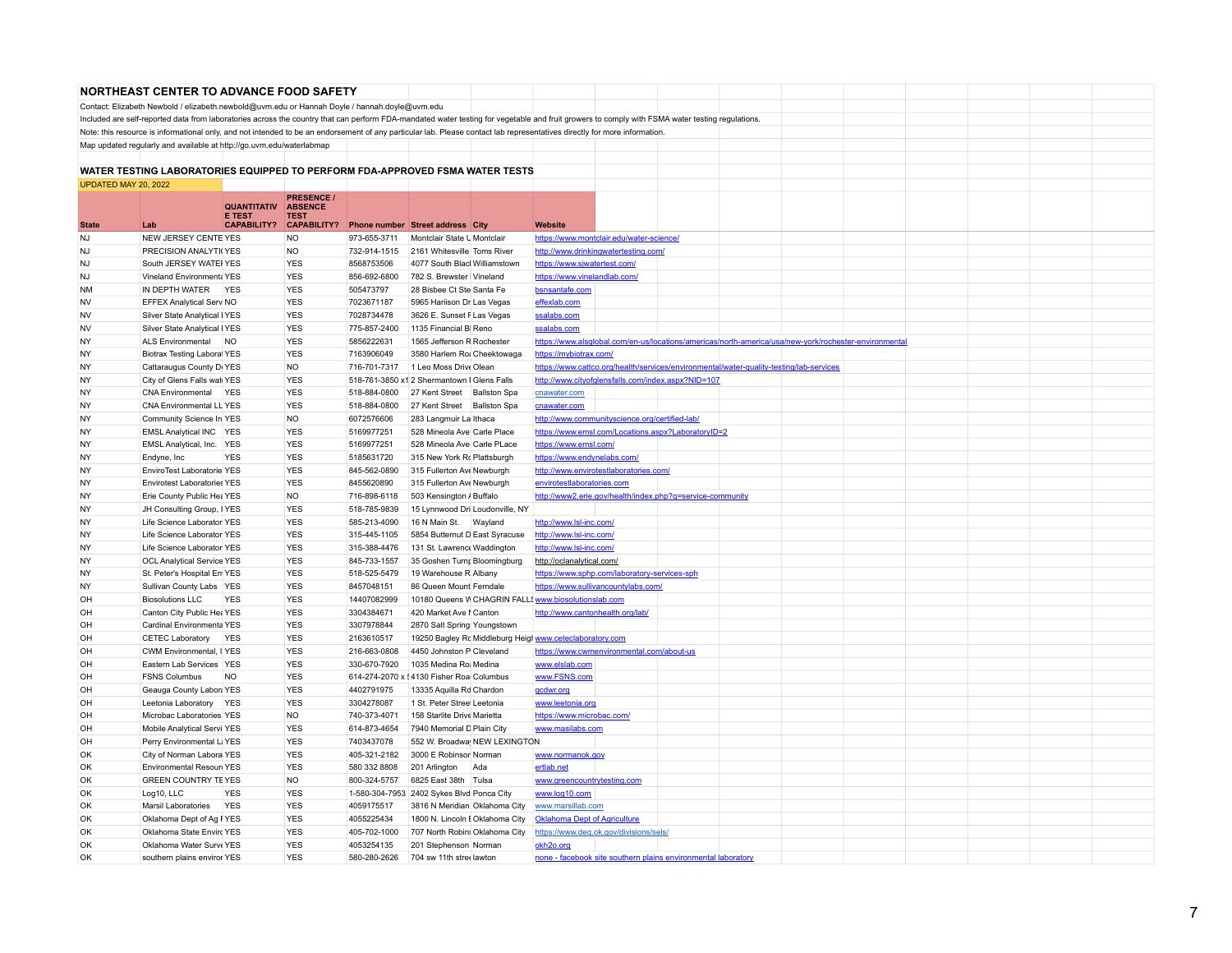|                      | <b>NORTHEAST CENTER TO ADVANCE FOOD SAFETY</b>                                                                                                                                                  |                                     |                                   |              |                                             |     |                                                                                                       |  |  |  |  |  |
|----------------------|-------------------------------------------------------------------------------------------------------------------------------------------------------------------------------------------------|-------------------------------------|-----------------------------------|--------------|---------------------------------------------|-----|-------------------------------------------------------------------------------------------------------|--|--|--|--|--|
|                      | Contact: Elizabeth Newbold / elizabeth.newbold@uvm.edu or Hannah Doyle / hannah.doyle@uvm.edu                                                                                                   |                                     |                                   |              |                                             |     |                                                                                                       |  |  |  |  |  |
|                      | Included are self-reported data from laboratories across the country that can perform FDA-mandated water testing for vegetable and fruit growers to comply with FSMA water testing regulations. |                                     |                                   |              |                                             |     |                                                                                                       |  |  |  |  |  |
|                      | Note: this resource is informational only, and not intended to be an endorsement of any particular lab. Please contact lab representatives directly for more information.                       |                                     |                                   |              |                                             |     |                                                                                                       |  |  |  |  |  |
|                      | Map updated regularly and available at http://go.uvm.edu/waterlabmap                                                                                                                            |                                     |                                   |              |                                             |     |                                                                                                       |  |  |  |  |  |
|                      |                                                                                                                                                                                                 |                                     |                                   |              |                                             |     |                                                                                                       |  |  |  |  |  |
|                      | WATER TESTING LABORATORIES EQUIPPED TO PERFORM FDA-APPROVED FSMA WATER TESTS                                                                                                                    |                                     |                                   |              |                                             |     |                                                                                                       |  |  |  |  |  |
| UPDATED MAY 20, 2022 |                                                                                                                                                                                                 |                                     |                                   |              |                                             |     |                                                                                                       |  |  |  |  |  |
|                      |                                                                                                                                                                                                 |                                     | <b>PRESENCE /</b>                 |              |                                             |     |                                                                                                       |  |  |  |  |  |
|                      |                                                                                                                                                                                                 | <b>QUANTITATIV</b>                  | <b>ABSENCE</b>                    |              |                                             |     |                                                                                                       |  |  |  |  |  |
| <b>State</b>         | 1 ab                                                                                                                                                                                            | <b>E TEST</b><br><b>CAPABILITY?</b> | <b>TEST</b><br><b>CAPABILITY?</b> |              | <b>Phone number Street address City</b>     |     | <b>Website</b>                                                                                        |  |  |  |  |  |
| NJ                   | NEW JERSEY CENTEYES                                                                                                                                                                             |                                     | <b>NO</b>                         | 973-655-3711 | Montclair State U Montclair                 |     | https://www.montclair.edu/water-science/                                                              |  |  |  |  |  |
| N <sub>1</sub>       | PRECISION ANALYTI(YES                                                                                                                                                                           |                                     | <b>NO</b>                         | 732-914-1515 | 2161 Whitesville Toms River                 |     | http://www.drinkingwatertesting.com/                                                                  |  |  |  |  |  |
| NJ                   | South JERSEY WATE YES                                                                                                                                                                           |                                     | <b>YES</b>                        | 8568753506   | 4077 South Blaci Williamstown               |     | https://www.sjwatertest.com/                                                                          |  |  |  |  |  |
| <b>NJ</b>            | Vineland Environmenta YES                                                                                                                                                                       |                                     | <b>YES</b>                        | 856-692-6800 | 782 S. Brewster   Vineland                  |     | https://www.vinelandlab.com/                                                                          |  |  |  |  |  |
| NM                   | IN DEPTH WATER YES                                                                                                                                                                              |                                     | <b>YES</b>                        | 505473797    | 28 Bisbee Ct Ste Santa Fe                   |     | bsnsantafe.com                                                                                        |  |  |  |  |  |
| <b>NV</b>            | <b>EFFEX Analytical Serv NO</b>                                                                                                                                                                 |                                     | <b>YES</b>                        | 7023671187   | 5965 Hariison Dr Las Vegas                  |     | effexlab.com                                                                                          |  |  |  |  |  |
| NV                   | Silver State Analytical IYES                                                                                                                                                                    |                                     | <b>YES</b>                        | 7028734478   | 3626 E. Sunset F Las Vegas                  |     | ssalabs.com                                                                                           |  |  |  |  |  |
| <b>NV</b>            | Silver State Analytical IYES                                                                                                                                                                    |                                     | <b>YES</b>                        | 775-857-2400 | 1135 Financial BI Reno                      |     | ssalabs.com                                                                                           |  |  |  |  |  |
| NY                   | ALS Environmental                                                                                                                                                                               | <b>NO</b>                           | <b>YES</b>                        | 5856222631   | 1565 Jefferson R Rochester                  |     | https://www.alsglobal.com/en-us/locations/americas/north-america/usa/new-york/rochester-environmental |  |  |  |  |  |
| <b>NY</b>            | <b>Biotrax Testing Laboral YES</b>                                                                                                                                                              |                                     | <b>YES</b>                        | 7163906049   | 3580 Harlem Ro: Cheektowaga                 |     | https://mybiotrax.com/                                                                                |  |  |  |  |  |
| <b>NY</b>            | Cattaraugus County Dr YES                                                                                                                                                                       |                                     | <b>NO</b>                         | 716-701-7317 | 1 Leo Moss Drive Olean                      |     | https://www.cattco.org/health/services/environmental/water-quality-testing/lab-services               |  |  |  |  |  |
| <b>NY</b>            | City of Glens Falls wat YES                                                                                                                                                                     |                                     | <b>YES</b>                        |              | 518-761-3850 x1 2 Shermantown I Glens Falls |     | http://www.cityofglensfalls.com/index.aspx?NID=107                                                    |  |  |  |  |  |
| <b>NY</b>            |                                                                                                                                                                                                 |                                     |                                   |              |                                             |     |                                                                                                       |  |  |  |  |  |
|                      | CNA Environmental                                                                                                                                                                               | <b>YES</b>                          | <b>YES</b>                        | 518-884-0800 | 27 Kent Street Ballston Spa                 |     | cnawater.com                                                                                          |  |  |  |  |  |
| <b>NY</b>            | CNA Environmental LL YES                                                                                                                                                                        |                                     | <b>YES</b>                        | 518-884-0800 | 27 Kent Street Ballston Spa                 |     | cnawater.com                                                                                          |  |  |  |  |  |
| <b>NY</b>            | Community Science In YES                                                                                                                                                                        |                                     | <b>NO</b>                         | 6072576606   | 283 Langmuir La Ithaca                      |     | http://www.communityscience.org/certified-lab/                                                        |  |  |  |  |  |
| NY                   | EMSL Analytical INC YES                                                                                                                                                                         |                                     | <b>YES</b>                        | 5169977251   | 528 Mineola Ave Carle Place                 |     | https://www.emsl.com/Locations.aspx?LaboratoryID=2                                                    |  |  |  |  |  |
| NY                   | EMSL Analytical, Inc. YES                                                                                                                                                                       |                                     | <b>YES</b>                        | 5169977251   | 528 Mineola Ave Carle PLace                 |     | https://www.emsl.com/                                                                                 |  |  |  |  |  |
| NY                   | Endyne, Inc.                                                                                                                                                                                    | <b>YES</b>                          | <b>YES</b>                        | 5185631720   | 315 New York Rc Plattsburgh                 |     | https://www.endynelabs.com/                                                                           |  |  |  |  |  |
| <b>NY</b>            | EnviroTest Laboratorie YES                                                                                                                                                                      |                                     | <b>YES</b>                        | 845-562-0890 | 315 Fullerton Ave Newburgh                  |     | http://www.envirotestlaboratories.com/                                                                |  |  |  |  |  |
| NY                   | <b>Envirotest Laboratories YES</b>                                                                                                                                                              |                                     | <b>YES</b>                        | 8455620890   | 315 Fullerton Ave Newburgh                  |     | envirotestlaboratories.com                                                                            |  |  |  |  |  |
| NY                   | Erie County Public Hea YES                                                                                                                                                                      |                                     | <b>NO</b>                         | 716-898-6118 | 503 Kensington / Buffalo                    |     | http://www2.erie.gov/health/index.php?q=service-community                                             |  |  |  |  |  |
| NY                   | JH Consulting Group, IYES                                                                                                                                                                       |                                     | <b>YES</b>                        | 518-785-9839 | 15 Lynnwood Dri Loudonville, NY             |     |                                                                                                       |  |  |  |  |  |
| <b>NY</b>            | Life Science Laborator YES                                                                                                                                                                      |                                     | <b>YES</b>                        | 585-213-4090 | 16 N Main St. Wayland                       |     | http://www.lsl-inc.com/                                                                               |  |  |  |  |  |
| <b>NY</b>            | Life Science Laborator YES                                                                                                                                                                      |                                     | <b>YES</b>                        | 315-445-1105 | 5854 Butternut D East Syracuse              |     | http://www.lsl-inc.com/                                                                               |  |  |  |  |  |
| NY                   | Life Science Laborator YES                                                                                                                                                                      |                                     | <b>YES</b>                        | 315-388-4476 | 131 St. Lawrence Waddington                 |     | http://www.lsl-inc.com/                                                                               |  |  |  |  |  |
| NY                   | <b>OCL Analytical Service YES</b>                                                                                                                                                               |                                     | <b>YES</b>                        | 845-733-1557 | 35 Goshen Turn; Bloomingburg                |     | http://oclanalytical.com/                                                                             |  |  |  |  |  |
| <b>NY</b>            | St. Peter's Hospital En YES                                                                                                                                                                     |                                     | <b>YES</b>                        | 518-525-5479 | 19 Warehouse R Albany                       |     | https://www.sphp.com/laboratory-services-sph                                                          |  |  |  |  |  |
| <b>NY</b>            | Sullivan County Labs YES                                                                                                                                                                        |                                     | <b>YES</b>                        | 8457048151   | 86 Queen Mount Ferndale                     |     | https://www.sullivancountylabs.com/                                                                   |  |  |  |  |  |
| OH                   | <b>Biosolutions LLC</b>                                                                                                                                                                         | <b>YES</b>                          | <b>YES</b>                        | 14407082999  |                                             |     | 10180 Queens V CHAGRIN FALL (www.biosolutionslab.com                                                  |  |  |  |  |  |
| OH                   | Canton City Public Hea YES                                                                                                                                                                      |                                     | <b>YES</b>                        | 3304384671   | 420 Market Ave I Canton                     |     | http://www.cantonhealth.org/lab/                                                                      |  |  |  |  |  |
| OH                   | Cardinal Environmenta YES                                                                                                                                                                       |                                     | <b>YES</b>                        | 3307978844   | 2870 Salt Spring Youngstown                 |     |                                                                                                       |  |  |  |  |  |
| OH                   | CETEC Laboratory YES                                                                                                                                                                            |                                     | <b>YES</b>                        | 2163610517   |                                             |     | 19250 Bagley Rc Middleburg Heigl www.ceteclaboratory.com                                              |  |  |  |  |  |
| OH                   | CWM Environmental, I YES                                                                                                                                                                        |                                     | <b>YES</b>                        | 216-663-0808 | 4450 Johnston P Cleveland                   |     | https://www.cwmenvironmental.com/about-us                                                             |  |  |  |  |  |
| OH                   | Eastern Lab Services YES                                                                                                                                                                        |                                     | <b>YES</b>                        | 330-670-7920 | 1035 Medina Roi Medina                      |     | www.elslab.com                                                                                        |  |  |  |  |  |
| OH                   | <b>FSNS Columbus</b>                                                                                                                                                                            | <b>NO</b>                           | <b>YES</b>                        |              | 614-274-2070 x < 4130 Fisher Roa Columbus   |     | www.FSNS.com                                                                                          |  |  |  |  |  |
| OH                   | Geauga County Labor: YES                                                                                                                                                                        |                                     | <b>YES</b>                        | 4402791975   | 13335 Aquilla Rd Chardon                    |     | gcdwr.org                                                                                             |  |  |  |  |  |
| OH                   | Leetonia Laboratory YES                                                                                                                                                                         |                                     | <b>YES</b>                        | 3304278087   | 1 St. Peter Stree Leetonia                  |     | www.leetonia.org                                                                                      |  |  |  |  |  |
| OH                   | Microbac Laboratories YES                                                                                                                                                                       |                                     | <b>NO</b>                         | 740-373-4071 | 158 Starlite Drive Marietta                 |     | https://www.microbac.com/                                                                             |  |  |  |  |  |
| OH                   | Mobile Analytical Servi YES                                                                                                                                                                     |                                     | <b>YES</b>                        | 614-873-4654 | 7940 Memorial D Plain City                  |     | www.masilabs.com                                                                                      |  |  |  |  |  |
| OH                   | Perry Environmental Li YES                                                                                                                                                                      |                                     | <b>YES</b>                        | 7403437078   | 552 W. Broadway NEW LEXINGTON               |     |                                                                                                       |  |  |  |  |  |
| OK                   | City of Norman Labora YES                                                                                                                                                                       |                                     | <b>YES</b>                        | 405-321-2182 | 3000 E Robinsor Norman                      |     | www.normanok.gov                                                                                      |  |  |  |  |  |
| OK                   | Environmental Resourt YES                                                                                                                                                                       |                                     | <b>YES</b>                        | 580 332 8808 | 201 Arlington                               | Ada | ertlab.net                                                                                            |  |  |  |  |  |
| OK                   | <b>GREEN COUNTRY TEYES</b>                                                                                                                                                                      |                                     | <b>NO</b>                         | 800-324-5757 | 6825 East 38th Tulsa                        |     | www.greencountrytesting.com                                                                           |  |  |  |  |  |
| OK                   | Log10, LLC                                                                                                                                                                                      | <b>YES</b>                          | <b>YES</b>                        |              | 1-580-304-7953 2402 Sykes Blvd Ponca City   |     | www.log10.com                                                                                         |  |  |  |  |  |
| OK                   | Marsil Laboratories YES                                                                                                                                                                         |                                     | <b>YES</b>                        | 4059175517   | 3816 N Meridian Oklahoma City               |     | www.marsillab.com                                                                                     |  |  |  |  |  |
| $\bigcap K$          | Oklahoma Dept of Ag I YES                                                                                                                                                                       |                                     | <b>YES</b>                        | 4055225434   | 1800 N. Lincoln I Oklahoma City             |     | <b>Oklahoma Dept of Agriculture</b>                                                                   |  |  |  |  |  |
| OK                   | Oklahoma State Envirc YES                                                                                                                                                                       |                                     | <b>YES</b>                        | 405-702-1000 | 707 North Robins Oklahoma City              |     | https://www.deq.ok.gov/divisions/sels/                                                                |  |  |  |  |  |
| OK                   | Oklahoma Water Surve YES                                                                                                                                                                        |                                     | <b>YES</b>                        | 4053254135   | 201 Stephenson Norman                       |     | okh2o.org                                                                                             |  |  |  |  |  |
| OK                   | southern plains enviror YES                                                                                                                                                                     |                                     | <b>YES</b>                        | 580-280-2626 | 704 sw 11th stree lawton                    |     | none - facebook site southern plains environmental laboratory                                         |  |  |  |  |  |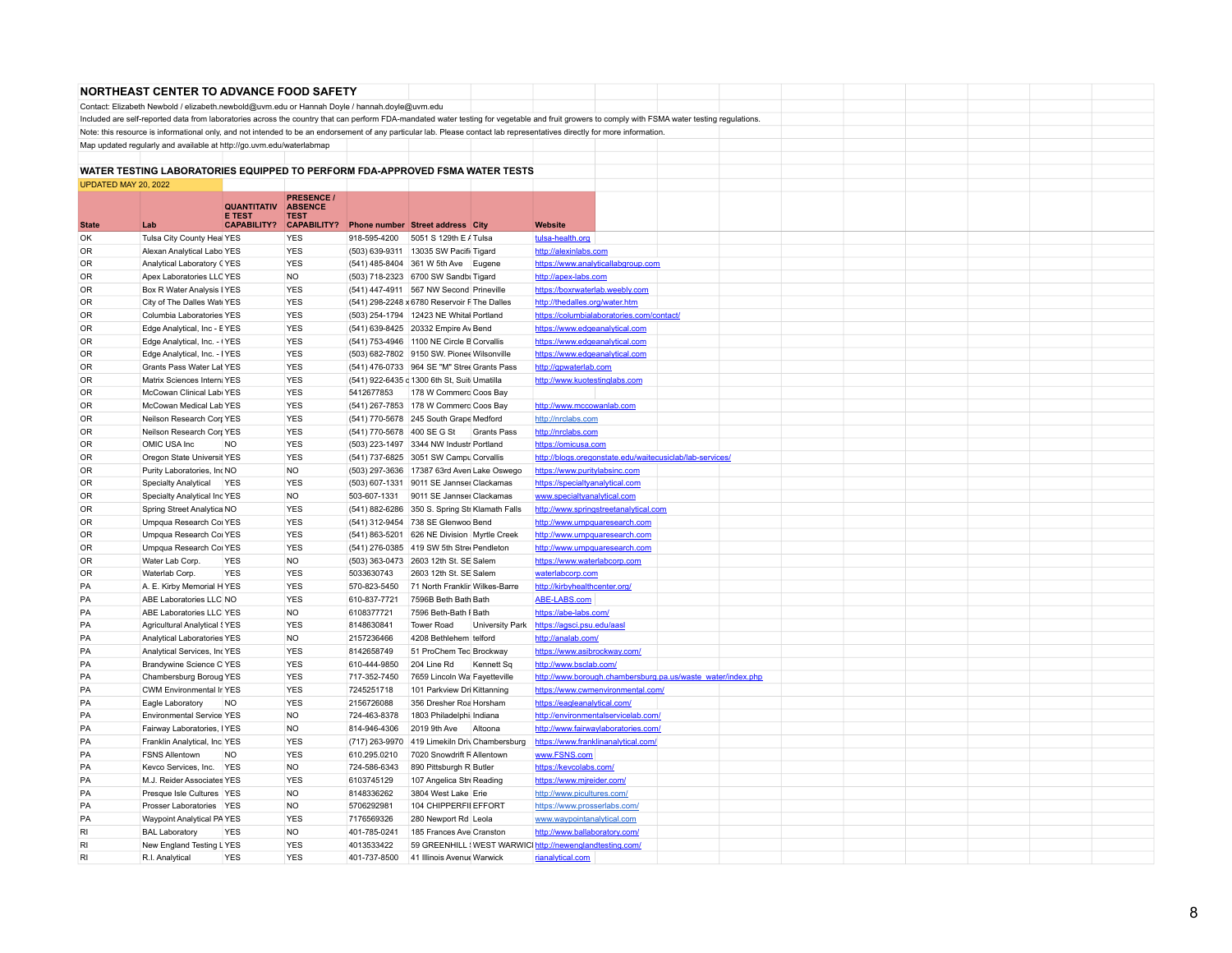|                      | <b>NORTHEAST CENTER TO ADVANCE FOOD SAFETY</b>                                                                                                                                                  |                              |                               |                            |                                                                                      |                    |                                                                  |  |  |  |  |
|----------------------|-------------------------------------------------------------------------------------------------------------------------------------------------------------------------------------------------|------------------------------|-------------------------------|----------------------------|--------------------------------------------------------------------------------------|--------------------|------------------------------------------------------------------|--|--|--|--|
|                      | Contact: Elizabeth Newbold / elizabeth.newbold@uvm.edu or Hannah Doyle / hannah.doyle@uvm.edu                                                                                                   |                              |                               |                            |                                                                                      |                    |                                                                  |  |  |  |  |
|                      | Included are self-reported data from laboratories across the country that can perform FDA-mandated water testing for vegetable and fruit growers to comply with FSMA water testing regulations. |                              |                               |                            |                                                                                      |                    |                                                                  |  |  |  |  |
|                      | Note: this resource is informational only, and not intended to be an endorsement of any particular lab. Please contact lab representatives directly for more information.                       |                              |                               |                            |                                                                                      |                    |                                                                  |  |  |  |  |
|                      | Map updated regularly and available at http://go.uvm.edu/waterlabmap                                                                                                                            |                              |                               |                            |                                                                                      |                    |                                                                  |  |  |  |  |
|                      |                                                                                                                                                                                                 |                              |                               |                            |                                                                                      |                    |                                                                  |  |  |  |  |
|                      | WATER TESTING LABORATORIES EQUIPPED TO PERFORM FDA-APPROVED FSMA WATER TESTS                                                                                                                    |                              |                               |                            |                                                                                      |                    |                                                                  |  |  |  |  |
| UPDATED MAY 20, 2022 |                                                                                                                                                                                                 |                              |                               |                            |                                                                                      |                    |                                                                  |  |  |  |  |
|                      |                                                                                                                                                                                                 |                              | <b>PRESENCE /</b>             |                            |                                                                                      |                    |                                                                  |  |  |  |  |
|                      |                                                                                                                                                                                                 | <b>QUANTITATIV</b><br>E TEST | <b>ABSENCE</b><br><b>TEST</b> |                            |                                                                                      |                    |                                                                  |  |  |  |  |
| <b>State</b>         | Lab                                                                                                                                                                                             | <b>CAPABILITY?</b>           | <b>CAPABILITY?</b>            |                            | Phone number Street address City                                                     |                    | Website                                                          |  |  |  |  |
| OK                   | Tulsa City County Heal YES                                                                                                                                                                      |                              | <b>YES</b>                    | 918-595-4200               | 5051 S 129th E / Tulsa                                                               |                    | tulsa-health.org                                                 |  |  |  |  |
| <b>OR</b>            | Alexan Analytical Labo YES                                                                                                                                                                      |                              | <b>YES</b>                    |                            | (503) 639-9311 13035 SW Pacifi Tigard                                                |                    | http://alexinlabs.com                                            |  |  |  |  |
| OR                   | Analytical Laboratory CYES                                                                                                                                                                      |                              | <b>YES</b>                    |                            | (541) 485-8404 361 W 5th Ave Eugene                                                  |                    | https://www.analyticallabgroup.com                               |  |  |  |  |
| <b>OR</b>            | Apex Laboratories LLC YES                                                                                                                                                                       |                              | <b>NO</b>                     |                            | (503) 718-2323 6700 SW Sandbi Tigard                                                 |                    | http://apex-labs.com                                             |  |  |  |  |
| OR                   | Box R Water Analysis I YES                                                                                                                                                                      |                              | <b>YES</b>                    |                            | (541) 447-4911 567 NW Second Prineville                                              |                    | https://boxrwaterlab.weebly.com                                  |  |  |  |  |
| <b>OR</b>            | City of The Dalles Wate YES                                                                                                                                                                     |                              | <b>YES</b>                    |                            | (541) 298-2248 x 6780 Reservoir F The Dalles                                         |                    | http://thedalles.org/water.htm                                   |  |  |  |  |
| <b>OR</b>            | Columbia Laboratories YES                                                                                                                                                                       |                              | <b>YES</b>                    |                            | (503) 254-1794 12423 NE Whital Portland                                              |                    | https://columbialaboratories.com/contact/                        |  |  |  |  |
| <b>OR</b>            | Edge Analytical, Inc - EYES                                                                                                                                                                     |                              | <b>YES</b>                    |                            | (541) 639-8425 20332 Empire Av Bend                                                  |                    | https://www.edgeanalytical.com                                   |  |  |  |  |
| <b>OR</b>            | Edge Analytical, Inc. - (YES                                                                                                                                                                    |                              | <b>YES</b>                    |                            | (541) 753-4946 1100 NE Circle B Corvallis                                            |                    | https://www.edgeanalytical.com                                   |  |  |  |  |
| <b>OR</b>            | Edge Analytical, Inc. - IYES                                                                                                                                                                    |                              | <b>YES</b>                    |                            | (503) 682-7802 9150 SW. Pionee Wilsonville                                           |                    | https://www.edgeanalytical.com                                   |  |  |  |  |
| <b>OR</b>            | Grants Pass Water Lat YES                                                                                                                                                                       |                              | <b>YES</b>                    |                            | (541) 476-0733 964 SE "M" Stree Grants Pass                                          |                    | http://gpwaterlab.com                                            |  |  |  |  |
| 0R                   | Matrix Sciences Intern; YES                                                                                                                                                                     |                              | <b>YES</b>                    |                            | (541) 922-6435 c 1300 6th St, Suit Umatilla                                          |                    | http://www.kuotestinglabs.com                                    |  |  |  |  |
| OR.                  | McCowan Clinical Labi YES                                                                                                                                                                       |                              | <b>YES</b>                    | 5412677853                 | 178 W Commerc Coos Bay                                                               |                    |                                                                  |  |  |  |  |
| <b>OR</b>            | McCowan Medical Lab YES                                                                                                                                                                         |                              | <b>YES</b>                    |                            | (541) 267-7853 178 W Commerc Coos Bay                                                |                    | http://www.mccowanlab.com                                        |  |  |  |  |
| <b>OR</b>            | Neilson Research Corr YES                                                                                                                                                                       |                              | <b>YES</b>                    |                            | (541) 770-5678 245 South Grape Medford                                               |                    | http://nrclabs.com                                               |  |  |  |  |
| <b>OR</b>            | Neilson Research Corr YES                                                                                                                                                                       |                              | <b>YES</b><br><b>YES</b>      | (541) 770-5678 400 SE G St |                                                                                      | <b>Grants Pass</b> | http://nrclabs.com                                               |  |  |  |  |
| 0R<br><b>OR</b>      | OMIC USA Inc                                                                                                                                                                                    | <b>NO</b>                    | <b>YES</b>                    |                            | (503) 223-1497 3344 NW Industr Portland                                              |                    | https://omicusa.com                                              |  |  |  |  |
| OR                   | Oregon State Universit YES<br>Purity Laboratories, IncNO                                                                                                                                        |                              | <b>NO</b>                     |                            | (541) 737-6825 3051 SW Campu Corvallis<br>(503) 297-3636 17387 63rd Aven Lake Oswego |                    | http://blogs.oregonstate.edu/waitecusiclab/lab-services/         |  |  |  |  |
| <b>OR</b>            | <b>Specialty Analytical</b>                                                                                                                                                                     | <b>YES</b>                   | <b>YES</b>                    |                            | (503) 607-1331 9011 SE Jannser Clackamas                                             |                    | https://www.puritylabsinc.com<br>https://specialtyanalytical.com |  |  |  |  |
| <b>OR</b>            | Specialty Analytical Inc YES                                                                                                                                                                    |                              | <b>NO</b>                     | 503-607-1331               | 9011 SE Jannser Clackamas                                                            |                    | www.specialtyanalytical.com                                      |  |  |  |  |
| OR                   | Spring Street Analytica NO                                                                                                                                                                      |                              | <b>YES</b>                    |                            | (541) 882-6286 350 S. Spring Str Klamath Falls                                       |                    | http://www.springstreetanalytical.com                            |  |  |  |  |
| <b>OR</b>            | Umpqua Research Col YES                                                                                                                                                                         |                              | <b>YES</b>                    |                            | (541) 312-9454 738 SE Glenwoo Bend                                                   |                    | http://www.umpquaresearch.com                                    |  |  |  |  |
| OR                   | Umpqua Research Cor YES                                                                                                                                                                         |                              | <b>YES</b>                    |                            | (541) 863-5201 626 NE Division Myrtle Creek                                          |                    | http://www.umpquaresearch.com                                    |  |  |  |  |
| 0 <sub>R</sub>       | Umpqua Research Col YES                                                                                                                                                                         |                              | <b>YES</b>                    |                            | (541) 276-0385 419 SW 5th Stree Pendleton                                            |                    | http://www.umpquaresearch.com                                    |  |  |  |  |
| 0 <sub>R</sub>       | Water Lab Corp.                                                                                                                                                                                 | <b>YES</b>                   | <b>NO</b>                     |                            | (503) 363-0473 2603 12th St. SE Salem                                                |                    | https://www.waterlabcorp.com                                     |  |  |  |  |
| <b>OR</b>            | Waterlab Corp.                                                                                                                                                                                  | <b>YES</b>                   | <b>YES</b>                    | 5033630743                 | 2603 12th St. SE Salem                                                               |                    | waterlabcorp.com                                                 |  |  |  |  |
| PA                   | A. E. Kirby Memorial HYES                                                                                                                                                                       |                              | <b>YES</b>                    | 570-823-5450               | 71 North Franklir Wilkes-Barre                                                       |                    | http://kirbyhealthcenter.org/                                    |  |  |  |  |
| PA                   | ABE Laboratories LLC NO                                                                                                                                                                         |                              | <b>YES</b>                    | 610-837-7721               | 7596B Beth Bath Bath                                                                 |                    | ABE-LABS.com                                                     |  |  |  |  |
| PA                   | ABE Laboratories LLC YES                                                                                                                                                                        |                              | <b>NO</b>                     | 6108377721                 | 7596 Beth-Bath I Bath                                                                |                    | https://abe-labs.com/                                            |  |  |  |  |
| PA                   | <b>Agricultural Analytical SYES</b>                                                                                                                                                             |                              | <b>YES</b>                    | 8148630841                 | <b>Tower Road</b>                                                                    | University Park    | https://aqsci.psu.edu/aasl                                       |  |  |  |  |
| PA                   | Analytical Laboratories YES                                                                                                                                                                     |                              | <b>NO</b>                     | 2157236466                 | 4208 Bethlehem telford                                                               |                    | http://analab.com/                                               |  |  |  |  |
| PA                   | Analytical Services, IncYES                                                                                                                                                                     |                              | <b>YES</b>                    | 8142658749                 | 51 ProChem Tec Brockway                                                              |                    | https://www.asibrockway.com/                                     |  |  |  |  |
| PA                   | Brandywine Science C YES                                                                                                                                                                        |                              | <b>YES</b>                    | 610-444-9850               | 204 Line Rd                                                                          | Kennett Sq         | http://www.bsclab.com/                                           |  |  |  |  |
| PA                   | Chambersburg Boroug YES                                                                                                                                                                         |                              | <b>YES</b>                    | 717-352-7450               | 7659 Lincoln Wa Fayetteville                                                         |                    | http://www.borough.chambersburg.pa.us/waste_water/index.php      |  |  |  |  |
| PA                   | CWM Environmental Ir YES                                                                                                                                                                        |                              | <b>YES</b>                    | 7245251718                 | 101 Parkview Dri Kittanning                                                          |                    | https://www.cwmenvironmental.com/                                |  |  |  |  |
| PA                   | Eagle Laboratory                                                                                                                                                                                | <b>NO</b>                    | <b>YES</b>                    | 2156726088                 | 356 Dresher Roa Horsham                                                              |                    | https://eagleanalytical.com/                                     |  |  |  |  |
| PA                   | <b>Environmental Service YES</b>                                                                                                                                                                |                              | <b>NO</b>                     | 724-463-8378               | 1803 Philadelphi: Indiana                                                            |                    | http://environmentalservicelab.com/                              |  |  |  |  |
| PA                   | Fairway Laboratories, IYES                                                                                                                                                                      |                              | <b>NO</b>                     | 814-946-4306               | 2019 9th Ave                                                                         | Altoona            | http://www.fairwaylaboratories.com/                              |  |  |  |  |
| PA                   | Franklin Analytical, Inc. YES                                                                                                                                                                   |                              | <b>YES</b>                    | (717) 263-9970             | 419 Limekiln Driv Chambersburg                                                       |                    | https://www.franklinanalytical.com/                              |  |  |  |  |
| PA                   | <b>FSNS Allentown</b>                                                                                                                                                                           | <b>NO</b>                    | <b>YES</b>                    | 610.295.0210               | 7020 Snowdrift R Allentown                                                           |                    | www.FSNS.com                                                     |  |  |  |  |
| PA<br>PA             | Kevco Services, Inc. YES<br>M.J. Reider Associates YES                                                                                                                                          |                              | <b>NO</b><br><b>YES</b>       | 724-586-6343<br>6103745129 | 890 Pittsburgh R Butler                                                              |                    | https://kevcolabs.com/                                           |  |  |  |  |
| PA                   |                                                                                                                                                                                                 |                              | <b>NO</b>                     | 8148336262                 | 107 Angelica Stre Reading                                                            |                    | https://www.mjreider.com/                                        |  |  |  |  |
| PA                   | Presque Isle Cultures YES<br>Prosser Laboratories YES                                                                                                                                           |                              | <b>NO</b>                     | 5706292981                 | 3804 West Lake Erie<br>104 CHIPPERFII EFFORT                                         |                    | http://www.picultures.com/                                       |  |  |  |  |
| PA                   | Waypoint Analytical PA YES                                                                                                                                                                      |                              | <b>YES</b>                    | 7176569326                 | 280 Newport Rd Leola                                                                 |                    | https://www.prosserlabs.com/                                     |  |  |  |  |
| RI                   | <b>BAL Laboratory</b>                                                                                                                                                                           | <b>YES</b>                   | <b>NO</b>                     | 401-785-0241               | 185 Frances Ave Cranston                                                             |                    | www.waypointanalytical.com<br>http://www.ballaboratory.com/      |  |  |  |  |
| RI                   | New England Testing LYES                                                                                                                                                                        |                              | <b>YES</b>                    | 4013533422                 |                                                                                      |                    | 59 GREENHILL (WEST WARWICI http://newenglandtesting.com/         |  |  |  |  |
| RI                   | R.I. Analytical                                                                                                                                                                                 | <b>YES</b>                   | <b>YES</b>                    | 401-737-8500               | 41 Illinois Avenue Warwick                                                           |                    | rianalytical.com                                                 |  |  |  |  |
|                      |                                                                                                                                                                                                 |                              |                               |                            |                                                                                      |                    |                                                                  |  |  |  |  |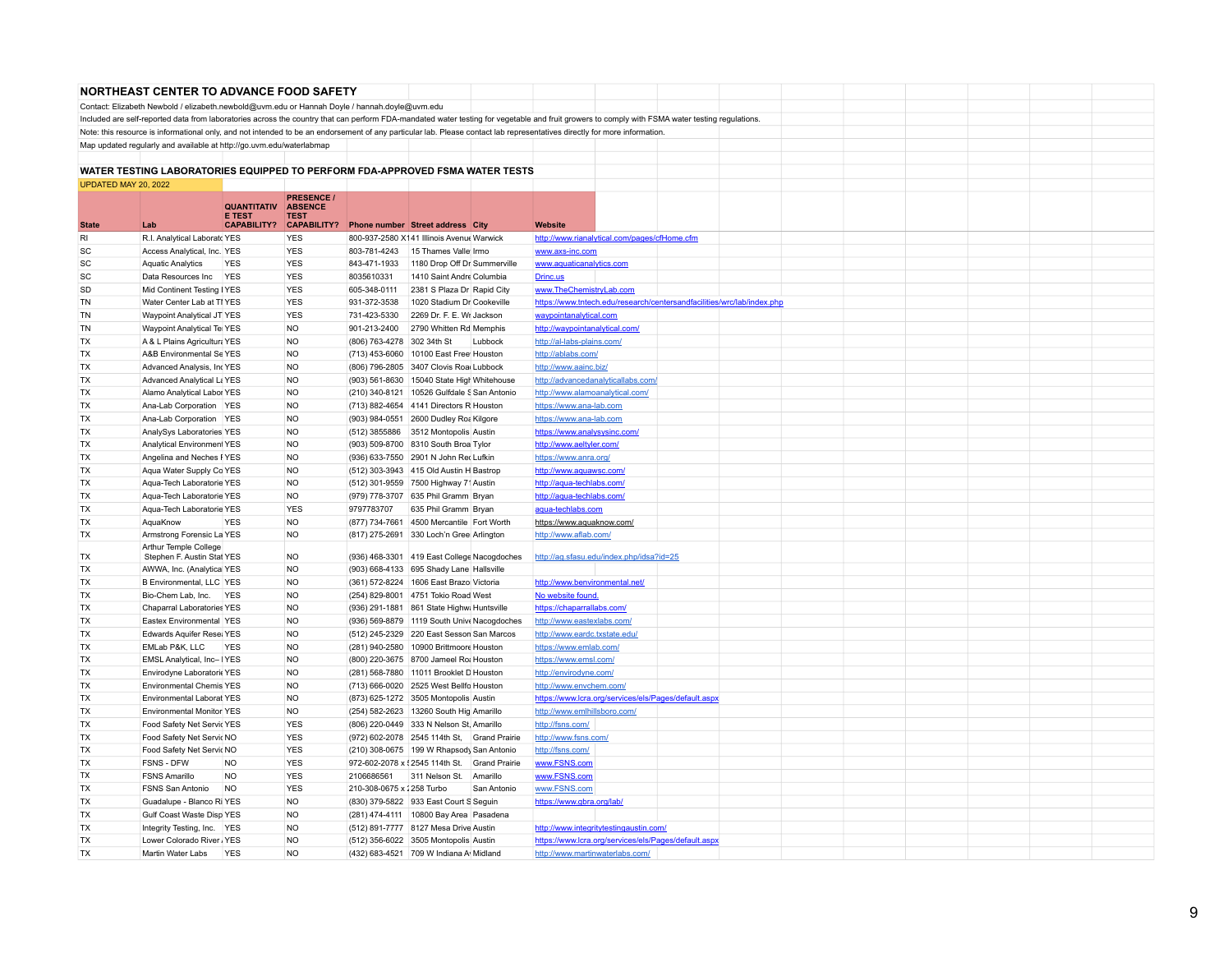|                      | <b>NORTHEAST CENTER TO ADVANCE FOOD SAFETY</b>                                                |                    |                    |                            |                                                                              |                                                                                                                                                                                                 |  |
|----------------------|-----------------------------------------------------------------------------------------------|--------------------|--------------------|----------------------------|------------------------------------------------------------------------------|-------------------------------------------------------------------------------------------------------------------------------------------------------------------------------------------------|--|
|                      | Contact: Elizabeth Newbold / elizabeth.newbold@uvm.edu or Hannah Doyle / hannah.doyle@uvm.edu |                    |                    |                            |                                                                              |                                                                                                                                                                                                 |  |
|                      |                                                                                               |                    |                    |                            |                                                                              | Included are self-reported data from laboratories across the country that can perform FDA-mandated water testing for vegetable and fruit growers to comply with FSMA water testing regulations. |  |
|                      |                                                                                               |                    |                    |                            |                                                                              | Note: this resource is informational only, and not intended to be an endorsement of any particular lab. Please contact lab representatives directly for more information.                       |  |
|                      | Map updated regularly and available at http://go.uvm.edu/waterlabmap                          |                    |                    |                            |                                                                              |                                                                                                                                                                                                 |  |
|                      |                                                                                               |                    |                    |                            |                                                                              |                                                                                                                                                                                                 |  |
|                      |                                                                                               |                    |                    |                            | WATER TESTING LABORATORIES EQUIPPED TO PERFORM FDA-APPROVED FSMA WATER TESTS |                                                                                                                                                                                                 |  |
| UPDATED MAY 20, 2022 |                                                                                               |                    |                    |                            |                                                                              |                                                                                                                                                                                                 |  |
|                      |                                                                                               |                    | <b>PRESENCE /</b>  |                            |                                                                              |                                                                                                                                                                                                 |  |
|                      |                                                                                               | <b>QUANTITATIV</b> | <b>ABSENCE</b>     |                            |                                                                              |                                                                                                                                                                                                 |  |
|                      |                                                                                               | <b>E TEST</b>      | TEST               |                            |                                                                              |                                                                                                                                                                                                 |  |
| <b>State</b>         | Lab                                                                                           | <b>CAPABILITY?</b> | <b>CAPABILITY?</b> |                            | Phone number Street address City                                             | <b>Website</b>                                                                                                                                                                                  |  |
| RI                   | R.I. Analytical Laboratc YES                                                                  |                    | <b>YES</b>         |                            | 800-937-2580 X141 Illinois Avenue Warwick                                    | http://www.rianalytical.com/pages/cfHome.cfm                                                                                                                                                    |  |
| <b>SC</b>            | Access Analytical, Inc. YES                                                                   |                    | <b>YES</b>         | 803-781-4243               | 15 Thames Valle Irmo                                                         | www.axs-inc.com                                                                                                                                                                                 |  |
| <b>SC</b>            | <b>Aquatic Analytics</b>                                                                      | <b>YES</b>         | <b>YES</b>         | 843-471-1933               | 1180 Drop Off Dr Summerville                                                 | www.aquaticanalytics.com                                                                                                                                                                        |  |
| <b>SC</b>            | Data Resources Inc YES                                                                        |                    | <b>YES</b>         | 8035610331                 | 1410 Saint Andre Columbia                                                    | Drinc.us                                                                                                                                                                                        |  |
| SD                   | Mid Continent Testing   YES                                                                   |                    | <b>YES</b>         | 605-348-0111               | 2381 S Plaza Dr Rapid City                                                   | www.TheChemistryLab.com                                                                                                                                                                         |  |
| TN                   | Water Center Lab at TI YES                                                                    |                    | <b>YES</b>         | 931-372-3538               | 1020 Stadium Dr Cookeville                                                   | https://www.tntech.edu/research/centersandfacilities/wrc/lab/index.php                                                                                                                          |  |
| TN                   | Waypoint Analytical JT YES                                                                    |                    | <b>YES</b>         | 731-423-5330               | 2269 Dr. F. E. Wr Jackson                                                    | waypointanalytical.com                                                                                                                                                                          |  |
| <b>TN</b>            | Waypoint Analytical Tei YES                                                                   |                    | <b>NO</b>          | 901-213-2400               | 2790 Whitten Rd Memphis                                                      | http://waypointanalytical.com/                                                                                                                                                                  |  |
| TX                   | A & L Plains Agricultura YES                                                                  |                    | <b>NO</b>          | (806) 763-4278 302 34th St | Lubbock                                                                      | http://al-labs-plains.com/                                                                                                                                                                      |  |
| <b>TX</b>            | A&B Environmental Se YES                                                                      |                    | <b>NO</b>          |                            | (713) 453-6060 10100 East Free Houston                                       | http://ablabs.com/                                                                                                                                                                              |  |
| <b>TX</b>            | Advanced Analysis, IncYES                                                                     |                    | <b>NO</b>          |                            | (806) 796-2805 3407 Clovis Roa Lubbock                                       | http://www.aainc.biz/                                                                                                                                                                           |  |
| TX                   | Advanced Analytical La YES                                                                    |                    | <b>NO</b>          |                            | (903) 561-8630 15040 State High Whitehouse                                   | http://advancedanalyticallabs.com/                                                                                                                                                              |  |
| TX                   | Alamo Analytical Labor YES                                                                    |                    | <b>NO</b>          |                            | (210) 340-8121 10526 Gulfdale S San Antonio                                  | http://www.alamoanalytical.com/                                                                                                                                                                 |  |
| <b>TX</b>            | Ana-Lab Corporation YES                                                                       |                    | <b>NO</b>          |                            | (713) 882-4654 4141 Directors R Houston                                      | https://www.ana-lab.com                                                                                                                                                                         |  |
| <b>TX</b>            | Ana-Lab Corporation YES                                                                       |                    | <b>NO</b>          |                            | (903) 984-0551 2600 Dudley Roa Kilgore                                       | https://www.ana-lab.com                                                                                                                                                                         |  |
| TX                   | AnalySys Laboratories YES                                                                     |                    | <b>NO</b>          |                            | (512) 3855886 3512 Montopolis Austin                                         | https://www.analysysinc.com/                                                                                                                                                                    |  |
| <b>TX</b>            | Analytical Environment YES                                                                    |                    | NO                 |                            | (903) 509-8700 8310 South Broa Tylor                                         | http://www.aeltyler.com/                                                                                                                                                                        |  |
| <b>TX</b>            | Angelina and Neches FYES                                                                      |                    | <b>NO</b>          |                            | (936) 633-7550 2901 N John Rec Lufkin                                        | https://www.anra.org/                                                                                                                                                                           |  |
| <b>TX</b>            | Aqua Water Supply Co YES                                                                      |                    | <b>NO</b>          |                            | (512) 303-3943 415 Old Austin H Bastrop                                      | http://www.aquawsc.com/                                                                                                                                                                         |  |
| <b>TX</b>            | Aqua-Tech Laboratorie YES                                                                     |                    | <b>NO</b>          |                            | (512) 301-9559 7500 Highway 71 Austin                                        | http://aqua-techlabs.com/                                                                                                                                                                       |  |
| <b>TX</b>            | Aqua-Tech Laboratorie YES                                                                     |                    | <b>NO</b>          |                            | (979) 778-3707 635 Phil Gramm Bryan                                          | http://aqua-techlabs.com/                                                                                                                                                                       |  |
| <b>TX</b>            | Aqua-Tech Laboratorie YES                                                                     |                    | <b>YES</b>         | 9797783707                 | 635 Phil Gramm Bryan                                                         | aqua-techlabs.com                                                                                                                                                                               |  |
| <b>TX</b>            | AquaKnow                                                                                      | <b>YES</b>         | N <sub>O</sub>     |                            | (877) 734-7661 4500 Mercantile   Fort Worth                                  | https://www.aquaknow.com/                                                                                                                                                                       |  |
| <b>TX</b>            | Armstrong Forensic La YES                                                                     |                    | <b>NO</b>          |                            | (817) 275-2691 330 Loch'n Gree Arlington                                     | http://www.aflab.com/                                                                                                                                                                           |  |
|                      | Arthur Temple College                                                                         |                    |                    |                            |                                                                              |                                                                                                                                                                                                 |  |
| <b>TX</b>            | Stephen F. Austin Stat YES                                                                    |                    | NO                 |                            | (936) 468-3301 419 East College Nacogdoches                                  | http://ag.sfasu.edu/index.php/idsa?id=25                                                                                                                                                        |  |
| TX                   | AWWA, Inc. (Analytical YES                                                                    |                    | <b>NO</b>          |                            | (903) 668-4133 695 Shady Lane Hallsville                                     |                                                                                                                                                                                                 |  |
| <b>TX</b>            | B Environmental, LLC YES                                                                      |                    | <b>NO</b>          |                            | (361) 572-8224 1606 East Brazo Victoria                                      | http://www.benvironmental.net/                                                                                                                                                                  |  |
| <b>TX</b>            | Bio-Chem Lab, Inc. YES                                                                        |                    | <b>NO</b>          |                            | (254) 829-8001 4751 Tokio Road West                                          | No website found.                                                                                                                                                                               |  |
| <b>TX</b>            | Chaparral Laboratories YES                                                                    |                    | <b>NO</b>          |                            | (936) 291-1881 861 State Highw: Huntsville                                   | https://chaparrallabs.com/                                                                                                                                                                      |  |
| <b>TX</b>            | Eastex Environmental   YES                                                                    |                    | NO                 |                            | (936) 569-8879 1119 South Unive Nacogdoches                                  | http://www.eastexlabs.com/                                                                                                                                                                      |  |
| <b>TX</b>            | Edwards Aquifer Rese; YES                                                                     |                    | <b>NO</b>          |                            | (512) 245-2329 220 East Sesson San Marcos                                    | http://www.eardc.txstate.edu/                                                                                                                                                                   |  |
| <b>TX</b>            | EMLab P&K, LLC                                                                                | <b>YES</b>         | <b>NO</b>          |                            | (281) 940-2580 10900 Brittmoore Houston                                      | https://www.emlab.com/                                                                                                                                                                          |  |
| <b>TX</b>            | EMSL Analytical, Inc- IYES                                                                    |                    | <b>NO</b>          |                            | (800) 220-3675 8700 Jameel Ro; Houston                                       | https://www.emsl.com/                                                                                                                                                                           |  |
| <b>TX</b>            | Envirodyne Laboratoric YES                                                                    |                    | <b>NO</b>          |                            | (281) 568-7880 11011 Brooklet D Houston                                      | http://envirodyne.com/                                                                                                                                                                          |  |
| <b>TX</b>            | <b>Environmental Chemis YES</b>                                                               |                    | <b>NO</b>          |                            | (713) 666-0020 2525 West Bellfo Houston                                      | http://www.envchem.com/                                                                                                                                                                         |  |
| <b>TX</b>            | <b>Environmental Laborat YES</b>                                                              |                    | <b>NO</b>          |                            | (873) 625-1272 3505 Montopolis Austin                                        | https://www.lcra.org/services/els/Pages/default.aspx                                                                                                                                            |  |
| <b>TX</b>            | <b>Environmental Monitor YES</b>                                                              |                    | NO                 |                            | (254) 582-2623 13260 South Hig Amarillo                                      | http://www.emlhillsboro.com/                                                                                                                                                                    |  |
| <b>TX</b>            | Food Safety Net Servic YES                                                                    |                    | <b>YES</b>         |                            | (806) 220-0449 333 N Nelson St, Amarillo                                     | http://fsns.com/                                                                                                                                                                                |  |
| <b>TX</b>            | Food Safety Net Servic NO                                                                     |                    | <b>YES</b>         |                            | (972) 602-2078 2545 114th St, Grand Prairie                                  | http://www.fsns.com/                                                                                                                                                                            |  |
| <b>TX</b>            | Food Safety Net Servic NO                                                                     |                    | <b>YES</b>         |                            | (210) 308-0675 199 W Rhapsody San Antonio                                    | http://fsns.com/                                                                                                                                                                                |  |
| <b>TX</b>            | FSNS - DFW                                                                                    | <b>NO</b>          | <b>YES</b>         |                            | 972-602-2078 x 12545 114th St. Grand Prairie                                 | www.FSNS.com                                                                                                                                                                                    |  |
| TX                   | <b>FSNS Amarillo</b>                                                                          | <b>NO</b>          | <b>YES</b>         | 2106686561                 | 311 Nelson St. Amarillo                                                      | www.FSNS.com                                                                                                                                                                                    |  |
| <b>TX</b>            | FSNS San Antonio                                                                              | <b>NO</b>          | <b>YES</b>         | 210-308-0675 x 1258 Turbo  | San Antonio                                                                  | www.FSNS.com                                                                                                                                                                                    |  |
| <b>TX</b>            | Guadalupe - Blanco Ri YES                                                                     |                    | <b>NO</b>          |                            | (830) 379-5822 933 East Court S Seguin                                       | https://www.gbra.org/lab/                                                                                                                                                                       |  |
| TX                   | Gulf Coast Waste Disp YES                                                                     |                    | <b>NO</b>          |                            | (281) 474-4111 10800 Bay Area   Pasadena                                     |                                                                                                                                                                                                 |  |
| TX                   | Integrity Testing, Inc. YES                                                                   |                    | <b>NO</b>          |                            | (512) 891-7777 8127 Mesa Drive Austin                                        | http://www.integritytestingaustin.com/                                                                                                                                                          |  |
| TX                   | Lower Colorado River, YES                                                                     |                    | <b>NO</b>          |                            | (512) 356-6022 3505 Montopolis Austin                                        | https://www.lcra.org/services/els/Pages/default.aspx                                                                                                                                            |  |
| <b>TX</b>            | Martin Water Labs                                                                             | <b>YES</b>         | <b>NO</b>          |                            | (432) 683-4521 709 W Indiana A Midland                                       | http://www.martinwaterlabs.com/                                                                                                                                                                 |  |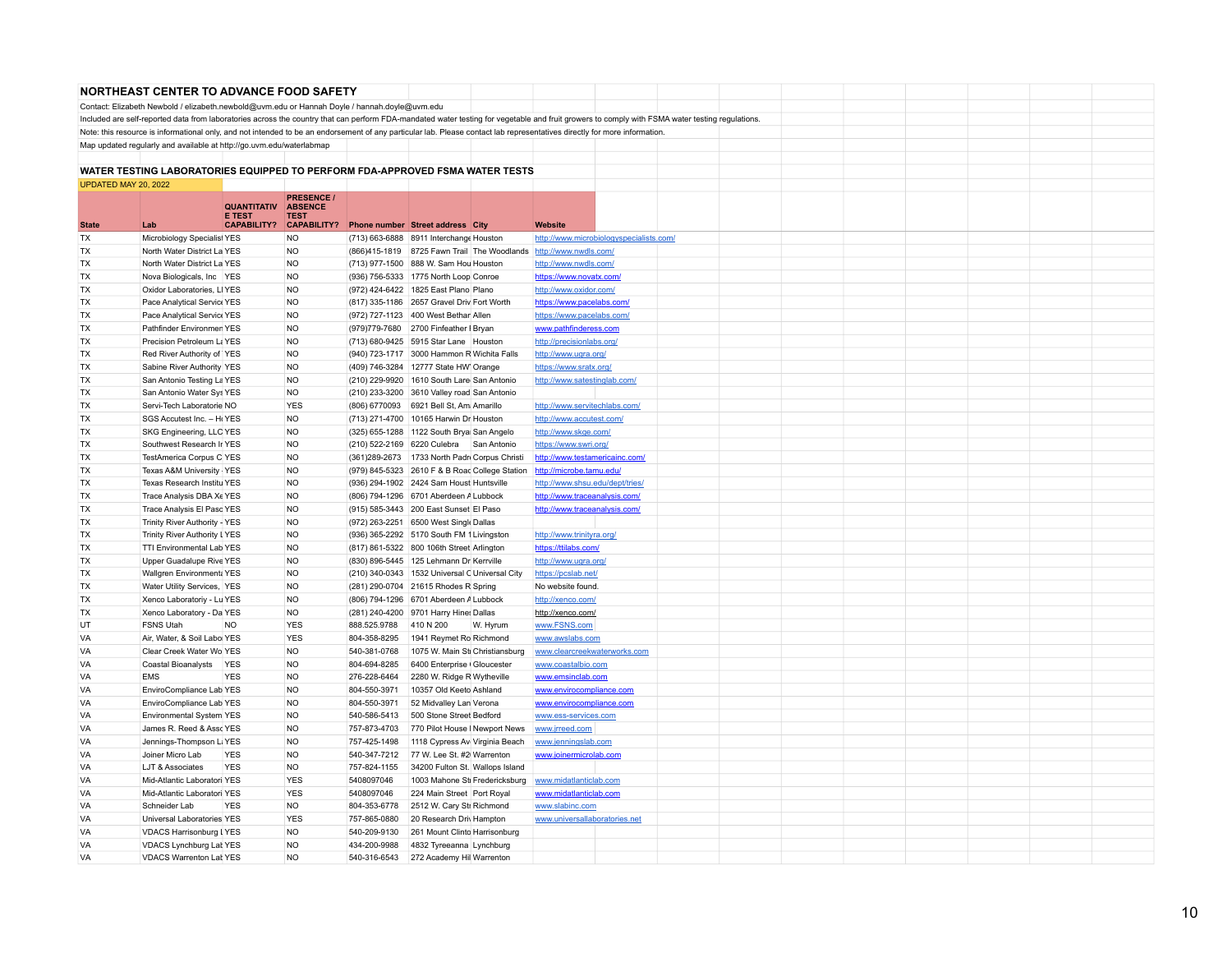|                      | <b>NORTHEAST CENTER TO ADVANCE FOOD SAFETY</b>                                                                                                                                                  |                                     |                               |                              |                                                                                          |                                                                   |                                                            |  |  |  |  |  |
|----------------------|-------------------------------------------------------------------------------------------------------------------------------------------------------------------------------------------------|-------------------------------------|-------------------------------|------------------------------|------------------------------------------------------------------------------------------|-------------------------------------------------------------------|------------------------------------------------------------|--|--|--|--|--|
|                      | Contact: Elizabeth Newbold / elizabeth.newbold@uvm.edu or Hannah Doyle / hannah.doyle@uvm.edu                                                                                                   |                                     |                               |                              |                                                                                          |                                                                   |                                                            |  |  |  |  |  |
|                      | Included are self-reported data from laboratories across the country that can perform FDA-mandated water testing for vegetable and fruit growers to comply with FSMA water testing regulations. |                                     |                               |                              |                                                                                          |                                                                   |                                                            |  |  |  |  |  |
|                      | Note: this resource is informational only, and not intended to be an endorsement of any particular lab. Please contact lab representatives directly for more information.                       |                                     |                               |                              |                                                                                          |                                                                   |                                                            |  |  |  |  |  |
|                      | Map updated regularly and available at http://go.uvm.edu/waterlabmap                                                                                                                            |                                     |                               |                              |                                                                                          |                                                                   |                                                            |  |  |  |  |  |
|                      |                                                                                                                                                                                                 |                                     |                               |                              |                                                                                          |                                                                   |                                                            |  |  |  |  |  |
|                      | WATER TESTING LABORATORIES EQUIPPED TO PERFORM FDA-APPROVED FSMA WATER TESTS                                                                                                                    |                                     |                               |                              |                                                                                          |                                                                   |                                                            |  |  |  |  |  |
| UPDATED MAY 20, 2022 |                                                                                                                                                                                                 |                                     |                               |                              |                                                                                          |                                                                   |                                                            |  |  |  |  |  |
|                      |                                                                                                                                                                                                 |                                     | <b>PRESENCE /</b>             |                              |                                                                                          |                                                                   |                                                            |  |  |  |  |  |
|                      |                                                                                                                                                                                                 | <b>QUANTITATIV</b><br><b>F TEST</b> | <b>ABSENCE</b><br><b>TEST</b> |                              |                                                                                          |                                                                   |                                                            |  |  |  |  |  |
| <b>State</b>         | Lab                                                                                                                                                                                             | <b>CAPABILITY?</b>                  | <b>CAPABILITY?</b>            |                              | Phone number Street address City                                                         |                                                                   | Website                                                    |  |  |  |  |  |
| TX                   | Microbiology Specialist YES                                                                                                                                                                     |                                     | <b>NO</b>                     |                              | (713) 663-6888 8911 Interchange Houston                                                  |                                                                   | http://www.microbiologyspecialists.com/                    |  |  |  |  |  |
| TX                   | North Water District La YES                                                                                                                                                                     |                                     | <b>NO</b>                     |                              |                                                                                          | (866)415-1819 8725 Fawn Trail The Woodlands http://www.nwdls.com/ |                                                            |  |  |  |  |  |
| TX                   | North Water District La YES                                                                                                                                                                     |                                     | <b>NO</b>                     |                              | (713) 977-1500 888 W. Sam Hou Houston                                                    |                                                                   | http://www.nwdls.com/                                      |  |  |  |  |  |
| TX                   | Nova Biologicals, Inc YES                                                                                                                                                                       |                                     | <b>NO</b>                     |                              | (936) 756-5333 1775 North Loop Conroe                                                    |                                                                   | https://www.novatx.com/                                    |  |  |  |  |  |
| <b>TX</b>            | Oxidor Laboratories, LIYES                                                                                                                                                                      |                                     | <b>NO</b>                     |                              | (972) 424-6422 1825 East Plano Plano                                                     |                                                                   | http://www.oxidor.com/                                     |  |  |  |  |  |
| <b>TX</b>            | Pace Analytical Service YES                                                                                                                                                                     |                                     | <b>NO</b>                     |                              | (817) 335-1186 2657 Gravel Driv Fort Worth                                               |                                                                   | https://www.pacelabs.com/                                  |  |  |  |  |  |
| <b>TX</b>            | Pace Analytical Service YES                                                                                                                                                                     |                                     | <b>NO</b>                     |                              | (972) 727-1123 400 West Bethar Allen                                                     |                                                                   | https://www.pacelabs.com/                                  |  |  |  |  |  |
| <b>TX</b>            | Pathfinder Environmen YES                                                                                                                                                                       |                                     | <b>NO</b>                     |                              | (979) 779-7680 2700 Finfeather   Bryan                                                   |                                                                   | www.pathfinderess.com                                      |  |  |  |  |  |
| <b>TX</b>            | Precision Petroleum La YES                                                                                                                                                                      |                                     | <b>NO</b>                     |                              | (713) 680-9425 5915 Star Lane Houston                                                    |                                                                   | http://precisionlabs.org/                                  |  |  |  |  |  |
| <b>TX</b>            | Red River Authority of YES                                                                                                                                                                      |                                     | <b>NO</b>                     |                              | (940) 723-1717 3000 Hammon R Wichita Falls                                               |                                                                   | http://www.ugra.org/                                       |  |  |  |  |  |
| <b>TX</b>            | Sabine River Authority YES                                                                                                                                                                      |                                     | <b>NO</b>                     |                              | (409) 746-3284 12777 State HW Orange                                                     |                                                                   | https://www.sratx.org/                                     |  |  |  |  |  |
| <b>TX</b>            | San Antonio Testing La YES                                                                                                                                                                      |                                     | <b>NO</b>                     |                              | (210) 229-9920 1610 South Lare San Antonio                                               |                                                                   | http://www.satestinglab.com/                               |  |  |  |  |  |
| <b>TX</b>            | San Antonio Water Sys YES                                                                                                                                                                       |                                     | <b>NO</b>                     |                              | (210) 233-3200 3610 Valley road San Antonio                                              |                                                                   |                                                            |  |  |  |  |  |
| <b>TX</b>            | Servi-Tech Laboratorie NO                                                                                                                                                                       |                                     | <b>YES</b>                    |                              | (806) 6770093 6921 Bell St, Am Amarillo                                                  |                                                                   | http://www.servitechlabs.com/                              |  |  |  |  |  |
| <b>TX</b>            | SGS Accutest Inc. - HrYES                                                                                                                                                                       |                                     | <b>NO</b>                     |                              | (713) 271-4700 10165 Harwin Dr Houston                                                   |                                                                   | http://www.accutest.com/                                   |  |  |  |  |  |
| <b>TX</b>            | SKG Engineering, LLC YES                                                                                                                                                                        |                                     | <b>NO</b>                     |                              | (325) 655-1288 1122 South Brya San Angelo                                                |                                                                   | http://www.skge.com/                                       |  |  |  |  |  |
| TX<br>TX             | Southwest Research Ir YES<br>TestAmerica Corpus C YES                                                                                                                                           |                                     | <b>NO</b><br><b>NO</b>        |                              | (210) 522-2169 6220 Culebra San Antonio<br>(361) 289-2673 1733 North Padr Corpus Christi |                                                                   | https://www.swri.org/                                      |  |  |  |  |  |
| <b>TX</b>            | Texas A&M University - YES                                                                                                                                                                      |                                     | <b>NO</b>                     |                              | (979) 845-5323 2610 F & B Road College Station                                           |                                                                   | http://www.testamericainc.com/<br>http://microbe.tamu.edu/ |  |  |  |  |  |
| TX                   | Texas Research Institu YES                                                                                                                                                                      |                                     | <b>NO</b>                     |                              | (936) 294-1902 2424 Sam Houst Huntsville                                                 |                                                                   | http://www.shsu.edu/dept/tries/                            |  |  |  |  |  |
| TX                   | Trace Analysis DBA Xe YES                                                                                                                                                                       |                                     | <b>NO</b>                     |                              | (806) 794-1296 6701 Aberdeen A Lubbock                                                   |                                                                   | http://www.traceanalysis.com/                              |  |  |  |  |  |
| TX                   | Trace Analysis El Paso YES                                                                                                                                                                      |                                     | <b>NO</b>                     |                              | (915) 585-3443 200 East Sunset El Paso                                                   |                                                                   | http://www.traceanalysis.com/                              |  |  |  |  |  |
| <b>TX</b>            | Trinity River Authority - YES                                                                                                                                                                   |                                     | <b>NO</b>                     |                              | (972) 263-2251 6500 West Single Dallas                                                   |                                                                   |                                                            |  |  |  |  |  |
| <b>TX</b>            | Trinity River Authority LYES                                                                                                                                                                    |                                     | <b>NO</b>                     |                              | (936) 365-2292 5170 South FM 1 Livingston                                                |                                                                   | http://www.trinityra.org/                                  |  |  |  |  |  |
| <b>TX</b>            | <b>TTI Environmental Lab YES</b>                                                                                                                                                                |                                     | <b>NO</b>                     |                              | (817) 861-5322 800 106th Street Arlington                                                |                                                                   | https://ttilabs.com/                                       |  |  |  |  |  |
| <b>TX</b>            | Upper Guadalupe Rive YES                                                                                                                                                                        |                                     | <b>NO</b>                     |                              | (830) 896-5445 125 Lehmann Dr Kerrville                                                  |                                                                   | http://www.ugra.org/                                       |  |  |  |  |  |
| <b>TX</b>            | Wallgren Environment YES                                                                                                                                                                        |                                     | <b>NO</b>                     |                              | (210) 340-0343 1532 Universal C Universal City                                           |                                                                   | https://pcslab.net/                                        |  |  |  |  |  |
| <b>TX</b>            | Water Utility Services, YES                                                                                                                                                                     |                                     | <b>NO</b>                     |                              | (281) 290-0704 21615 Rhodes R Spring                                                     |                                                                   | No website found                                           |  |  |  |  |  |
| <b>TX</b>            | Xenco Laboratoriy - Lu YES                                                                                                                                                                      |                                     | <b>NO</b>                     |                              | (806) 794-1296 6701 Aberdeen A Lubbock                                                   |                                                                   | http://xenco.com/                                          |  |  |  |  |  |
| <b>TX</b>            | Xenco Laboratory - Da YES                                                                                                                                                                       |                                     | <b>NO</b>                     |                              | (281) 240-4200 9701 Harry Hines Dallas                                                   |                                                                   | http://xenco.com/                                          |  |  |  |  |  |
| UT                   | <b>FSNS Utah</b>                                                                                                                                                                                | <b>NO</b>                           | <b>YES</b>                    | 888.525.9788                 | 410 N 200                                                                                | W. Hyrum                                                          | www.FSNS.com                                               |  |  |  |  |  |
| VA                   | Air, Water, & Soil Labol YES                                                                                                                                                                    |                                     | <b>YES</b>                    | 804-358-8295                 | 1941 Reymet Ro Richmond                                                                  |                                                                   | www.awslabs.com                                            |  |  |  |  |  |
| VA                   | Clear Creek Water Wo YES                                                                                                                                                                        |                                     | <b>NO</b>                     | 540-381-0768                 | 1075 W. Main Sti Christiansburg                                                          |                                                                   | www.clearcreekwaterworks.com                               |  |  |  |  |  |
| VA                   | Coastal Bioanalysts YES                                                                                                                                                                         |                                     | <b>NO</b>                     | 804-694-8285                 | 6400 Enterprise Gloucester                                                               |                                                                   | www.coastalbio.com                                         |  |  |  |  |  |
| VA                   | <b>EMS</b>                                                                                                                                                                                      | <b>YES</b>                          | <b>NO</b>                     | 276-228-6464                 | 2280 W. Ridge R Wytheville                                                               |                                                                   | www.emsinclab.com                                          |  |  |  |  |  |
| VA                   | EnviroCompliance Lab YES                                                                                                                                                                        |                                     | <b>NO</b>                     | 804-550-3971                 | 10357 Old Keeto Ashland                                                                  |                                                                   | www.envirocompliance.com                                   |  |  |  |  |  |
| VA                   | EnviroCompliance Lab YES                                                                                                                                                                        |                                     | <b>NO</b>                     | 804-550-3971                 | 52 Midvalley Lan Verona                                                                  |                                                                   | www.envirocompliance.com                                   |  |  |  |  |  |
| VA                   | Environmental System YES                                                                                                                                                                        |                                     | <b>NO</b>                     | 540-586-5413                 | 500 Stone Street Bedford                                                                 |                                                                   | www.ess-services.com                                       |  |  |  |  |  |
| VA                   | James R. Reed & Assc YES                                                                                                                                                                        |                                     | <b>NO</b>                     | 757-873-4703                 | 770 Pilot House I Newport News                                                           |                                                                   | www.jrreed.com                                             |  |  |  |  |  |
| VA                   | Jennings-Thompson Li YES                                                                                                                                                                        |                                     | <b>NO</b>                     | 757-425-1498                 | 1118 Cypress Av Virginia Beach                                                           |                                                                   | www.jenningslab.com                                        |  |  |  |  |  |
| VA                   | Joiner Micro Lab                                                                                                                                                                                | <b>YES</b>                          | <b>NO</b>                     | 540-347-7212                 | 77 W. Lee St. #2 Warrenton                                                               |                                                                   | www.joinermicrolab.com                                     |  |  |  |  |  |
| VA<br>VA             | LJT & Associates<br>Mid-Atlantic Laboratori YES                                                                                                                                                 | <b>YES</b>                          | <b>NO</b><br><b>YES</b>       | 757-824-1155<br>5408097046   | 34200 Fulton St. Wallops Island<br>1003 Mahone Sti Fredericksburg                        |                                                                   | www.midatlanticlab.com                                     |  |  |  |  |  |
|                      |                                                                                                                                                                                                 |                                     | <b>YES</b>                    |                              |                                                                                          |                                                                   |                                                            |  |  |  |  |  |
| VA<br>VA             | Mid-Atlantic Laboratori YES<br>Schneider Lab                                                                                                                                                    | <b>YES</b>                          | <b>NO</b>                     | 5408097046                   | 224 Main Street Port Royal                                                               |                                                                   | www.midatlanticlab.com                                     |  |  |  |  |  |
| VA                   | Universal Laboratories YES                                                                                                                                                                      |                                     | <b>YES</b>                    | 804-353-6778<br>757-865-0880 | 2512 W. Cary Str Richmond<br>20 Research Driv Hampton                                    |                                                                   | www.slabinc.com<br>www.universallaboratories.net           |  |  |  |  |  |
| <b>VA</b>            | VDACS Harrisonburg LYES                                                                                                                                                                         |                                     | <b>NO</b>                     | 540-209-9130                 | 261 Mount Clinto Harrisonburg                                                            |                                                                   |                                                            |  |  |  |  |  |
| <b>VA</b>            | VDACS Lynchburg Lat YES                                                                                                                                                                         |                                     | NO.                           | 434-200-9988                 | 4832 Tyreeanna Lynchburg                                                                 |                                                                   |                                                            |  |  |  |  |  |
| VA                   | <b>VDACS Warrenton Lat YES</b>                                                                                                                                                                  |                                     | <b>NO</b>                     | 540-316-6543                 | 272 Academy Hil Warrenton                                                                |                                                                   |                                                            |  |  |  |  |  |
|                      |                                                                                                                                                                                                 |                                     |                               |                              |                                                                                          |                                                                   |                                                            |  |  |  |  |  |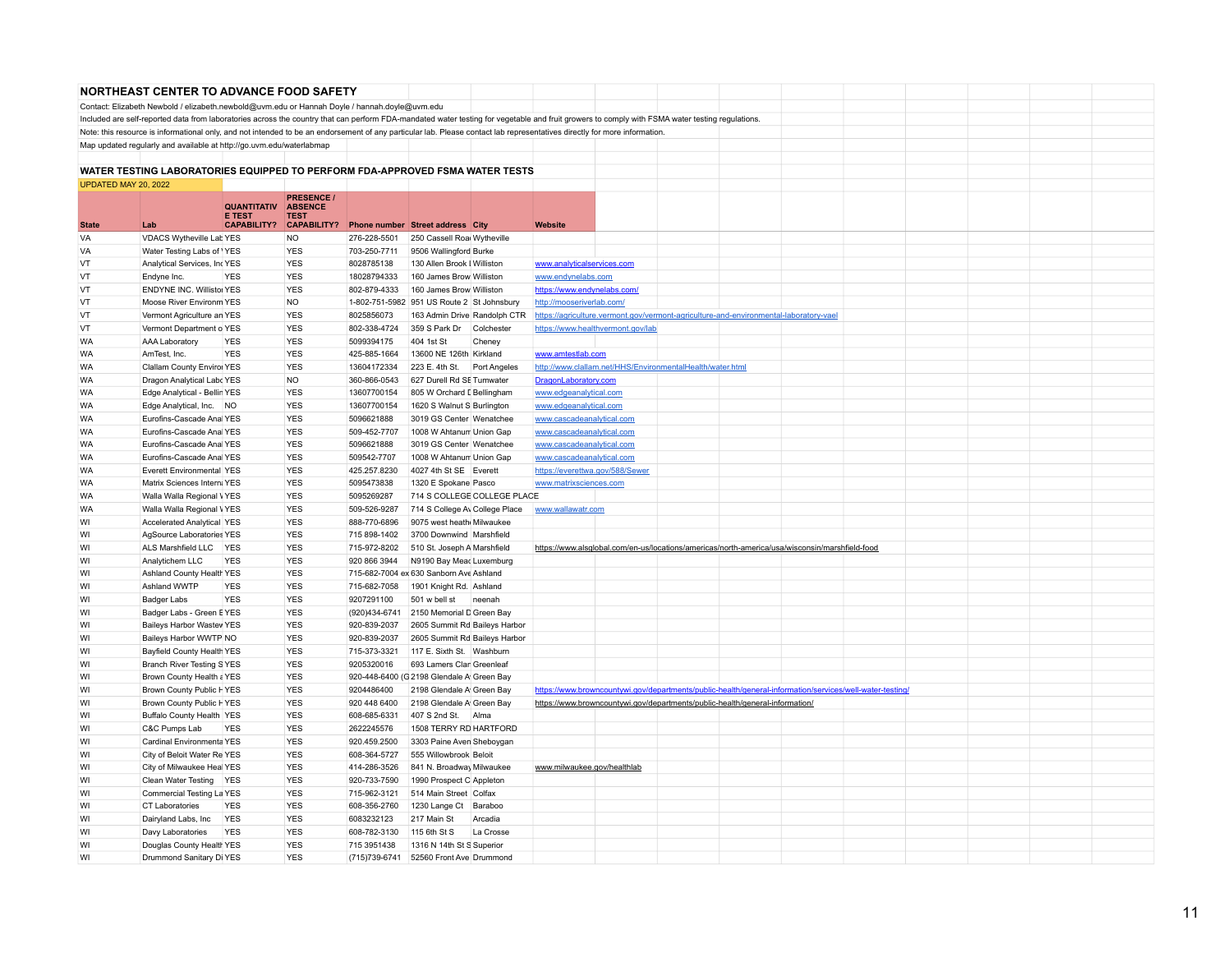|                        | <b>NORTHEAST CENTER TO ADVANCE FOOD SAFETY</b>                                                |                                     |                               |                             |                                                                                                                                                                                                 |                                                        |                                                           |                                                                                                          |  |  |  |
|------------------------|-----------------------------------------------------------------------------------------------|-------------------------------------|-------------------------------|-----------------------------|-------------------------------------------------------------------------------------------------------------------------------------------------------------------------------------------------|--------------------------------------------------------|-----------------------------------------------------------|----------------------------------------------------------------------------------------------------------|--|--|--|
|                        | Contact: Elizabeth Newbold / elizabeth.newbold@uvm.edu or Hannah Doyle / hannah.doyle@uvm.edu |                                     |                               |                             |                                                                                                                                                                                                 |                                                        |                                                           |                                                                                                          |  |  |  |
|                        |                                                                                               |                                     |                               |                             | Included are self-reported data from laboratories across the country that can perform FDA-mandated water testing for vegetable and fruit growers to comply with FSMA water testing regulations. |                                                        |                                                           |                                                                                                          |  |  |  |
|                        |                                                                                               |                                     |                               |                             | Note: this resource is informational only, and not intended to be an endorsement of any particular lab. Please contact lab representatives directly for more information.                       |                                                        |                                                           |                                                                                                          |  |  |  |
|                        | Map updated regularly and available at http://go.uvm.edu/waterlabmap                          |                                     |                               |                             |                                                                                                                                                                                                 |                                                        |                                                           |                                                                                                          |  |  |  |
|                        |                                                                                               |                                     |                               |                             |                                                                                                                                                                                                 |                                                        |                                                           |                                                                                                          |  |  |  |
|                        |                                                                                               |                                     |                               |                             | WATER TESTING LABORATORIES EQUIPPED TO PERFORM FDA-APPROVED FSMA WATER TESTS                                                                                                                    |                                                        |                                                           |                                                                                                          |  |  |  |
| UPDATED MAY 20, 2022   |                                                                                               |                                     |                               |                             |                                                                                                                                                                                                 |                                                        |                                                           |                                                                                                          |  |  |  |
|                        |                                                                                               |                                     | <b>PRESENCE /</b>             |                             |                                                                                                                                                                                                 |                                                        |                                                           |                                                                                                          |  |  |  |
|                        |                                                                                               | <b>QUANTITATIV</b><br><b>E TEST</b> | <b>ABSENCE</b><br><b>TEST</b> |                             |                                                                                                                                                                                                 |                                                        |                                                           |                                                                                                          |  |  |  |
| <b>State</b>           | Lab                                                                                           | <b>CAPABILITY?</b>                  | <b>CAPABILITY?</b>            |                             | Phone number Street address City                                                                                                                                                                | Website                                                |                                                           |                                                                                                          |  |  |  |
| VA                     | VDACS Wytheville Lab YES                                                                      |                                     | NO                            | 276-228-5501                | 250 Cassell Roa Wytheville                                                                                                                                                                      |                                                        |                                                           |                                                                                                          |  |  |  |
| VA                     | Water Testing Labs of <i>YES</i>                                                              |                                     | <b>YES</b>                    | 703-250-7711                | 9506 Wallingford Burke                                                                                                                                                                          |                                                        |                                                           |                                                                                                          |  |  |  |
| VT                     | Analytical Services, IncYES                                                                   |                                     | <b>YES</b>                    | 8028785138                  | 130 Allen Brook   Williston                                                                                                                                                                     | www.analyticalservices.com                             |                                                           |                                                                                                          |  |  |  |
| VT                     | Endyne Inc.                                                                                   | <b>YES</b>                          | <b>YES</b>                    | 18028794333                 | 160 James Brow Williston                                                                                                                                                                        | www.endynelabs.com                                     |                                                           |                                                                                                          |  |  |  |
| VT                     | ENDYNE INC. Willistoi YES                                                                     |                                     | <b>YES</b>                    | 802-879-4333                | 160 James Brow Williston                                                                                                                                                                        | https://www.endynelabs.com/                            |                                                           |                                                                                                          |  |  |  |
| VT                     | Moose River Environm YES                                                                      |                                     | NO                            |                             | 1-802-751-5982 951 US Route 2   St Johnsbury                                                                                                                                                    | http://mooseriverlab.com/                              |                                                           |                                                                                                          |  |  |  |
| VT                     | Vermont Agriculture an YES                                                                    |                                     | <b>YES</b>                    | 8025856073                  | 163 Admin Drive Randolph CTR                                                                                                                                                                    |                                                        |                                                           | https://agriculture.vermont.gov/vermont-agriculture-and-environmental-laboratory-vael                    |  |  |  |
| VT                     | Vermont Department o YES                                                                      |                                     | <b>YES</b>                    | 802-338-4724                | 359 S Park Dr<br>Colchester                                                                                                                                                                     |                                                        | https://www.healthvermont.gov/lab                         |                                                                                                          |  |  |  |
| <b>WA</b>              | AAA Laboratory                                                                                | <b>YES</b>                          | <b>YES</b>                    | 5099394175                  | 404 1st St<br>Cheney                                                                                                                                                                            |                                                        |                                                           |                                                                                                          |  |  |  |
| <b>WA</b>              | AmTest, Inc.                                                                                  | <b>YES</b>                          | <b>YES</b>                    | 425-885-1664                | 13600 NE 126th Kirkland                                                                                                                                                                         | www.amtestlab.com                                      |                                                           |                                                                                                          |  |  |  |
| <b>WA</b><br><b>WA</b> | Clallam County Enviror YES                                                                    |                                     | <b>YES</b><br><b>NO</b>       | 13604172334                 | 223 E. 4th St.<br>Port Angeles                                                                                                                                                                  |                                                        | http://www.clallam.net/HHS/EnvironmentalHealth/water.html |                                                                                                          |  |  |  |
|                        | Dragon Analytical Labc YES                                                                    |                                     | <b>YES</b>                    | 360-866-0543<br>13607700154 | 627 Durell Rd SE Tumwater                                                                                                                                                                       | DragonLaboratory.com                                   |                                                           |                                                                                                          |  |  |  |
| <b>WA</b><br><b>WA</b> | Edge Analytical - Bellin YES                                                                  |                                     | <b>YES</b>                    | 13607700154                 | 805 W Orchard [ Bellingham<br>1620 S Walnut S Burlington                                                                                                                                        | www.edgeanalytical.com                                 |                                                           |                                                                                                          |  |  |  |
| <b>WA</b>              | Edge Analytical, Inc. NO<br>Eurofins-Cascade Anal YES                                         |                                     | <b>YES</b>                    | 5096621888                  | 3019 GS Center Wenatchee                                                                                                                                                                        | www.edgeanalytical.com                                 |                                                           |                                                                                                          |  |  |  |
| <b>WA</b>              | Eurofins-Cascade Anal YES                                                                     |                                     | <b>YES</b>                    | 509-452-7707                | 1008 W Ahtanum Union Gap                                                                                                                                                                        | www.cascadeanalytical.com<br>www.cascadeanalytical.com |                                                           |                                                                                                          |  |  |  |
| <b>WA</b>              | Eurofins-Cascade Anal YES                                                                     |                                     | <b>YES</b>                    | 5096621888                  | 3019 GS Center Wenatchee                                                                                                                                                                        | www.cascadeanalytical.com                              |                                                           |                                                                                                          |  |  |  |
| <b>WA</b>              | Eurofins-Cascade Anal YES                                                                     |                                     | <b>YES</b>                    | 509542-7707                 | 1008 W Ahtanun Union Gap                                                                                                                                                                        | www.cascadeanalytical.com                              |                                                           |                                                                                                          |  |  |  |
| <b>WA</b>              | Everett Environmental YES                                                                     |                                     | <b>YES</b>                    | 425.257.8230                | 4027 4th St SE Everett                                                                                                                                                                          |                                                        | https://everettwa.gov/588/Sewer                           |                                                                                                          |  |  |  |
| <b>WA</b>              | Matrix Sciences Intern: YES                                                                   |                                     | <b>YES</b>                    | 5095473838                  | 1320 E Spokane Pasco                                                                                                                                                                            | www.matrixsciences.com                                 |                                                           |                                                                                                          |  |  |  |
| <b>WA</b>              | Walla Walla Regional VYES                                                                     |                                     | <b>YES</b>                    | 5095269287                  | 714 S COLLEGE COLLEGE PLACE                                                                                                                                                                     |                                                        |                                                           |                                                                                                          |  |  |  |
| <b>WA</b>              | Walla Walla Regional VYES                                                                     |                                     | <b>YES</b>                    | 509-526-9287                | 714 S College Av College Place                                                                                                                                                                  | www.wallawatr.com                                      |                                                           |                                                                                                          |  |  |  |
| WI                     | <b>Accelerated Analytical YES</b>                                                             |                                     | <b>YES</b>                    | 888-770-6896                | 9075 west heath Milwaukee                                                                                                                                                                       |                                                        |                                                           |                                                                                                          |  |  |  |
| WI                     | AgSource Laboratories YES                                                                     |                                     | <b>YES</b>                    | 715 898-1402                | 3700 Downwind   Marshfield                                                                                                                                                                      |                                                        |                                                           |                                                                                                          |  |  |  |
| WI                     | ALS Marshfield LLC YES                                                                        |                                     | <b>YES</b>                    | 715-972-8202                | 510 St. Joseph A Marshfield                                                                                                                                                                     |                                                        |                                                           | https://www.alsglobal.com/en-us/locations/americas/north-america/usa/wisconsin/marshfield-food           |  |  |  |
| WI                     | Analytichem LLC                                                                               | <b>YES</b>                          | <b>YES</b>                    | 920 866 3944                | N9190 Bay Meac Luxemburg                                                                                                                                                                        |                                                        |                                                           |                                                                                                          |  |  |  |
| WI                     | Ashland County Health YES                                                                     |                                     | <b>YES</b>                    |                             | 715-682-7004 ex 630 Sanborn Ave Ashland                                                                                                                                                         |                                                        |                                                           |                                                                                                          |  |  |  |
| WI                     | Ashland WWTP                                                                                  | <b>YES</b>                          | <b>YES</b>                    | 715-682-7058                | 1901 Knight Rd. Ashland                                                                                                                                                                         |                                                        |                                                           |                                                                                                          |  |  |  |
| WI                     | Badger Labs                                                                                   | <b>YES</b>                          | <b>YES</b>                    | 9207291100                  | 501 w bell st<br>neenah                                                                                                                                                                         |                                                        |                                                           |                                                                                                          |  |  |  |
| WI                     | Badger Labs - Green EYES                                                                      |                                     | <b>YES</b>                    | (920)434-6741               | 2150 Memorial D Green Bay                                                                                                                                                                       |                                                        |                                                           |                                                                                                          |  |  |  |
| WI                     | Baileys Harbor Wastev YES                                                                     |                                     | <b>YES</b>                    | 920-839-2037                | 2605 Summit Rd Baileys Harbor                                                                                                                                                                   |                                                        |                                                           |                                                                                                          |  |  |  |
| WI                     | Baileys Harbor WWTP NO                                                                        |                                     | <b>YES</b>                    | 920-839-2037                | 2605 Summit Rd Baileys Harbor                                                                                                                                                                   |                                                        |                                                           |                                                                                                          |  |  |  |
| WI                     | Bayfield County Health YES                                                                    |                                     | <b>YES</b>                    | 715-373-3321                | 117 E. Sixth St. Washburn                                                                                                                                                                       |                                                        |                                                           |                                                                                                          |  |  |  |
| WI                     | <b>Branch River Testing SYES</b>                                                              |                                     | <b>YES</b>                    | 9205320016                  | 693 Lamers Clan Greenleaf                                                                                                                                                                       |                                                        |                                                           |                                                                                                          |  |  |  |
| WI                     | Brown County Health a YES                                                                     |                                     | <b>YES</b>                    |                             | 920-448-6400 (G 2198 Glendale A Green Bay                                                                                                                                                       |                                                        |                                                           |                                                                                                          |  |  |  |
| WI                     | Brown County Public HYES                                                                      |                                     | <b>YES</b>                    | 9204486400                  | 2198 Glendale A Green Bay                                                                                                                                                                       |                                                        |                                                           | https://www.browncountywi.gov/departments/public-health/general-information/services/well-water-testing/ |  |  |  |
| WI                     | Brown County Public HYES                                                                      |                                     | <b>YES</b>                    | 920 448 6400                | 2198 Glendale A Green Bay                                                                                                                                                                       |                                                        |                                                           | https://www.browncountywi.gov/departments/public-health/general-information/                             |  |  |  |
| WI                     | Buffalo County Health YES                                                                     |                                     | <b>YES</b>                    | 608-685-6331                | 407 S 2nd St. Alma                                                                                                                                                                              |                                                        |                                                           |                                                                                                          |  |  |  |
| WI                     | C&C Pumps Lab                                                                                 | <b>YES</b>                          | <b>YES</b><br><b>YES</b>      | 2622245576<br>920.459.2500  | 1508 TERRY RD HARTFORD                                                                                                                                                                          |                                                        |                                                           |                                                                                                          |  |  |  |
| WI<br>WI               | Cardinal Environmenta YES<br>City of Beloit Water Re YES                                      |                                     | <b>YES</b>                    | 608-364-5727                | 3303 Paine Aven Sheboygan<br>555 Willowbrook Beloit                                                                                                                                             |                                                        |                                                           |                                                                                                          |  |  |  |
| WI                     | City of Milwaukee Heal YES                                                                    |                                     | <b>YES</b>                    | 414-286-3526                | 841 N. Broadway Milwaukee                                                                                                                                                                       | www.milwaukee.gov/healthlab                            |                                                           |                                                                                                          |  |  |  |
| WI                     | Clean Water Testing YES                                                                       |                                     | <b>YES</b>                    | 920-733-7590                | 1990 Prospect C Appleton                                                                                                                                                                        |                                                        |                                                           |                                                                                                          |  |  |  |
| WI                     | Commercial Testing La YES                                                                     |                                     | <b>YES</b>                    | 715-962-3121                | 514 Main Street Colfax                                                                                                                                                                          |                                                        |                                                           |                                                                                                          |  |  |  |
| WI                     | <b>CT Laboratories</b>                                                                        | <b>YES</b>                          | <b>YES</b>                    | 608-356-2760                | 1230 Lange Ct Baraboo                                                                                                                                                                           |                                                        |                                                           |                                                                                                          |  |  |  |
| WI                     | Dairyland Labs, Inc                                                                           | <b>YES</b>                          | <b>YES</b>                    | 6083232123                  | 217 Main St<br>Arcadia                                                                                                                                                                          |                                                        |                                                           |                                                                                                          |  |  |  |
| WI                     | Davy Laboratories                                                                             | <b>YES</b>                          | <b>YES</b>                    | 608-782-3130                | 115 6th St S<br>La Crosse                                                                                                                                                                       |                                                        |                                                           |                                                                                                          |  |  |  |
| WI                     | Douglas County Health YES                                                                     |                                     | <b>YES</b>                    | 715 3951438                 | 1316 N 14th St S Superior                                                                                                                                                                       |                                                        |                                                           |                                                                                                          |  |  |  |
| WI                     | Drummond Sanitary Di YES                                                                      |                                     | <b>YES</b>                    | (715) 739-6741              | 52560 Front Ave Drummond                                                                                                                                                                        |                                                        |                                                           |                                                                                                          |  |  |  |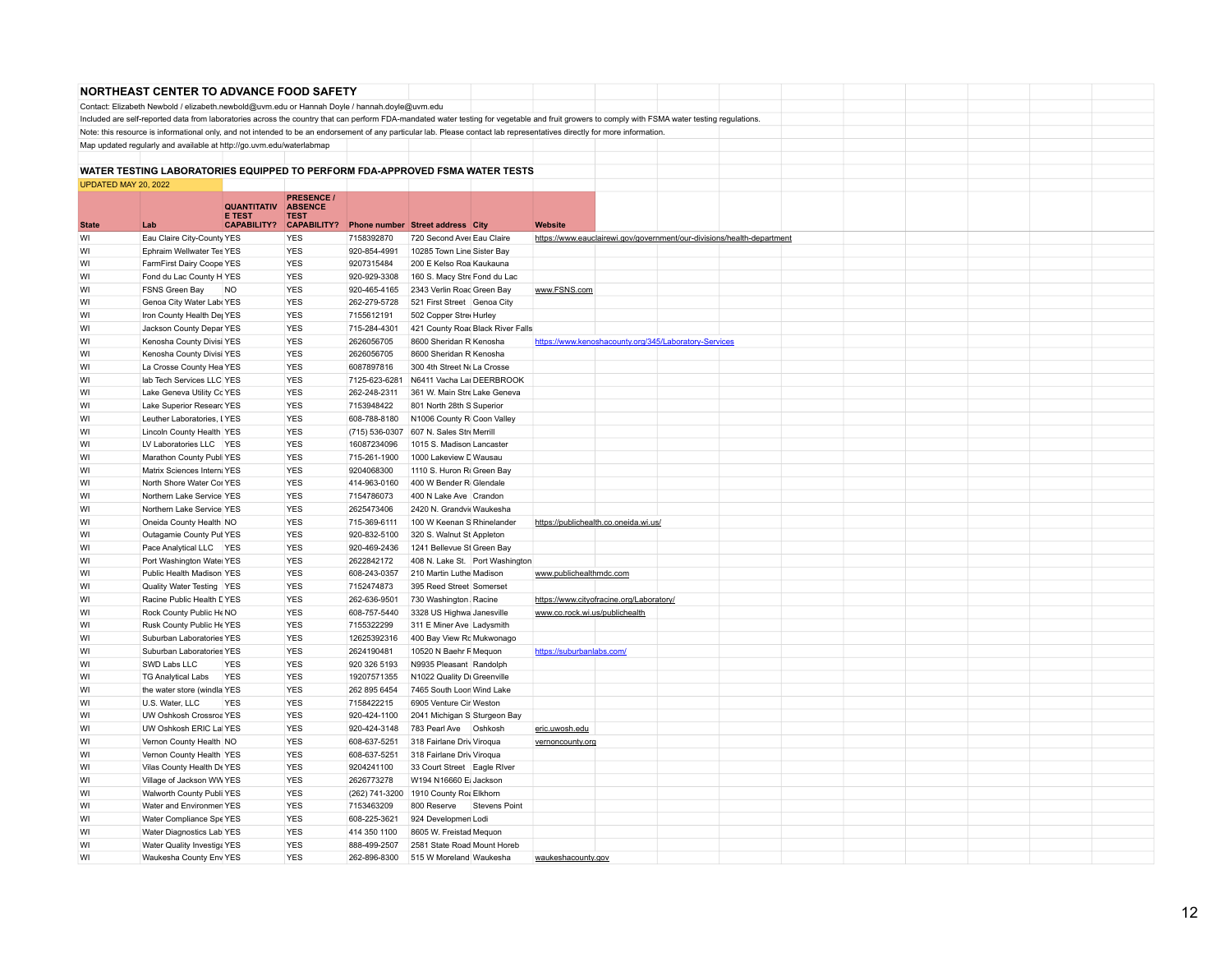|                      | <b>NORTHEAST CENTER TO ADVANCE FOOD SAFETY</b>                                                                                                                                                  |                                     |                               |                               |                                                         |                                 |                                |                                          |                                                       |                                                                        |  |  |  |
|----------------------|-------------------------------------------------------------------------------------------------------------------------------------------------------------------------------------------------|-------------------------------------|-------------------------------|-------------------------------|---------------------------------------------------------|---------------------------------|--------------------------------|------------------------------------------|-------------------------------------------------------|------------------------------------------------------------------------|--|--|--|
|                      | Contact: Elizabeth Newbold / elizabeth.newbold@uvm.edu or Hannah Doyle / hannah.doyle@uvm.edu                                                                                                   |                                     |                               |                               |                                                         |                                 |                                |                                          |                                                       |                                                                        |  |  |  |
|                      | Included are self-reported data from laboratories across the country that can perform FDA-mandated water testing for vegetable and fruit growers to comply with FSMA water testing regulations. |                                     |                               |                               |                                                         |                                 |                                |                                          |                                                       |                                                                        |  |  |  |
|                      | Note: this resource is informational only, and not intended to be an endorsement of any particular lab. Please contact lab representatives directly for more information.                       |                                     |                               |                               |                                                         |                                 |                                |                                          |                                                       |                                                                        |  |  |  |
|                      | Map updated regularly and available at http://go.uvm.edu/waterlabmap                                                                                                                            |                                     |                               |                               |                                                         |                                 |                                |                                          |                                                       |                                                                        |  |  |  |
|                      |                                                                                                                                                                                                 |                                     |                               |                               |                                                         |                                 |                                |                                          |                                                       |                                                                        |  |  |  |
|                      | WATER TESTING LABORATORIES EQUIPPED TO PERFORM FDA-APPROVED FSMA WATER TESTS                                                                                                                    |                                     |                               |                               |                                                         |                                 |                                |                                          |                                                       |                                                                        |  |  |  |
| UPDATED MAY 20, 2022 |                                                                                                                                                                                                 |                                     |                               |                               |                                                         |                                 |                                |                                          |                                                       |                                                                        |  |  |  |
|                      |                                                                                                                                                                                                 |                                     | <b>PRESENCE /</b>             |                               |                                                         |                                 |                                |                                          |                                                       |                                                                        |  |  |  |
|                      |                                                                                                                                                                                                 | <b>QUANTITATIV</b><br><b>E TEST</b> | <b>ABSENCE</b><br><b>TEST</b> |                               |                                                         |                                 |                                |                                          |                                                       |                                                                        |  |  |  |
| <b>State</b>         | Lab                                                                                                                                                                                             | <b>CAPABILITY?</b>                  | <b>CAPABILITY?</b>            |                               | Phone number Street address City                        |                                 | Website                        |                                          |                                                       |                                                                        |  |  |  |
| WI                   | Eau Claire City-County YES                                                                                                                                                                      |                                     | <b>YES</b>                    | 7158392870                    | 720 Second Aver Eau Claire                              |                                 |                                |                                          |                                                       | https://www.eauclairewi.gov/government/our-divisions/health-department |  |  |  |
| WI                   | Ephraim Wellwater Tes YES                                                                                                                                                                       |                                     | <b>YES</b>                    | 920-854-4991                  | 10285 Town Line Sister Bay                              |                                 |                                |                                          |                                                       |                                                                        |  |  |  |
| WI                   | FarmFirst Dairy Coope YES                                                                                                                                                                       |                                     | <b>YES</b>                    | 9207315484                    | 200 E Kelso Roa Kaukauna                                |                                 |                                |                                          |                                                       |                                                                        |  |  |  |
| WI                   | Fond du Lac County H YES                                                                                                                                                                        |                                     | <b>YES</b>                    | 920-929-3308                  | 160 S. Macy Stre Fond du Lac                            |                                 |                                |                                          |                                                       |                                                                        |  |  |  |
| WI                   | FSNS Green Bay                                                                                                                                                                                  | <b>NO</b>                           | <b>YES</b>                    | 920-465-4165                  | 2343 Verlin Road Green Bay                              |                                 | www.FSNS.com                   |                                          |                                                       |                                                                        |  |  |  |
| WI                   | Genoa City Water Lab: YES                                                                                                                                                                       |                                     | <b>YES</b>                    | 262-279-5728                  | 521 First Street Genoa City                             |                                 |                                |                                          |                                                       |                                                                        |  |  |  |
| WI                   | Iron County Health De YES                                                                                                                                                                       |                                     | <b>YES</b>                    | 7155612191                    | 502 Copper Stre Hurley                                  |                                 |                                |                                          |                                                       |                                                                        |  |  |  |
| WI                   | Jackson County Depar YES                                                                                                                                                                        |                                     | <b>YES</b>                    | 715-284-4301                  | 421 County Roac Black River Falls                       |                                 |                                |                                          |                                                       |                                                                        |  |  |  |
| WI                   | Kenosha County Divisi YES                                                                                                                                                                       |                                     | <b>YES</b>                    | 2626056705                    | 8600 Sheridan R Kenosha                                 |                                 |                                |                                          | https://www.kenoshacounty.org/345/Laboratory-Services |                                                                        |  |  |  |
| WI                   | Kenosha County Divisi YES                                                                                                                                                                       |                                     | <b>YES</b>                    | 2626056705                    | 8600 Sheridan R Kenosha                                 |                                 |                                |                                          |                                                       |                                                                        |  |  |  |
| WI                   | La Crosse County Hea YES                                                                                                                                                                        |                                     | <b>YES</b>                    | 6087897816                    | 300 4th Street No La Crosse                             |                                 |                                |                                          |                                                       |                                                                        |  |  |  |
| WI                   | lab Tech Services LLC YES                                                                                                                                                                       |                                     | <b>YES</b>                    | 7125-623-6281                 | N6411 Vacha Lai DEERBROOK                               |                                 |                                |                                          |                                                       |                                                                        |  |  |  |
| WI                   | Lake Geneva Utility Cc YES                                                                                                                                                                      |                                     | <b>YES</b>                    | 262-248-2311                  | 361 W. Main Stre Lake Geneva                            |                                 |                                |                                          |                                                       |                                                                        |  |  |  |
| WI                   | Lake Superior Researd YES                                                                                                                                                                       |                                     | <b>YES</b>                    | 7153948422                    | 801 North 28th S Superior                               |                                 |                                |                                          |                                                       |                                                                        |  |  |  |
| WI<br>WI             | Leuther Laboratories, I YES                                                                                                                                                                     |                                     | <b>YES</b><br><b>YES</b>      | 608-788-8180                  | N1006 County R Coon Valley<br>607 N. Sales Stre Merrill |                                 |                                |                                          |                                                       |                                                                        |  |  |  |
| WI                   | Lincoln County Health YES<br>LV Laboratories LLC YES                                                                                                                                            |                                     | <b>YES</b>                    | (715) 536-0307<br>16087234096 | 1015 S. Madison Lancaster                               |                                 |                                |                                          |                                                       |                                                                        |  |  |  |
| WI                   | Marathon County Publi YES                                                                                                                                                                       |                                     | <b>YES</b>                    | 715-261-1900                  | 1000 Lakeview D Wausau                                  |                                 |                                |                                          |                                                       |                                                                        |  |  |  |
| WI                   | Matrix Sciences Intern; YES                                                                                                                                                                     |                                     | <b>YES</b>                    | 9204068300                    | 1110 S. Huron R. Green Bay                              |                                 |                                |                                          |                                                       |                                                                        |  |  |  |
| WI                   | North Shore Water Cor YES                                                                                                                                                                       |                                     | <b>YES</b>                    | 414-963-0160                  | 400 W Bender R Glendale                                 |                                 |                                |                                          |                                                       |                                                                        |  |  |  |
| WI                   | Northern Lake Service YES                                                                                                                                                                       |                                     | <b>YES</b>                    | 7154786073                    | 400 N Lake Ave Crandon                                  |                                 |                                |                                          |                                                       |                                                                        |  |  |  |
| WI                   | Northern Lake Service YES                                                                                                                                                                       |                                     | <b>YES</b>                    | 2625473406                    | 2420 N. Grandvie Waukesha                               |                                 |                                |                                          |                                                       |                                                                        |  |  |  |
| WI                   | Oneida County Health NO                                                                                                                                                                         |                                     | <b>YES</b>                    | 715-369-6111                  | 100 W Keenan S Rhinelander                              |                                 |                                | https://publichealth.co.oneida.wi.us/    |                                                       |                                                                        |  |  |  |
| WI                   | Outagamie County Pul YES                                                                                                                                                                        |                                     | <b>YES</b>                    | 920-832-5100                  | 320 S. Walnut St Appleton                               |                                 |                                |                                          |                                                       |                                                                        |  |  |  |
| WI                   | Pace Analytical LLC YES                                                                                                                                                                         |                                     | <b>YES</b>                    | 920-469-2436                  | 1241 Bellevue St Green Bay                              |                                 |                                |                                          |                                                       |                                                                        |  |  |  |
| WI                   | Port Washington Water YES                                                                                                                                                                       |                                     | <b>YES</b>                    | 2622842172                    |                                                         | 408 N. Lake St. Port Washington |                                |                                          |                                                       |                                                                        |  |  |  |
| WI                   | Public Health Madison YES                                                                                                                                                                       |                                     | <b>YES</b>                    | 608-243-0357                  | 210 Martin Luthe Madison                                |                                 | www.publichealthmdc.com        |                                          |                                                       |                                                                        |  |  |  |
| WI                   | Quality Water Testing YES                                                                                                                                                                       |                                     | <b>YES</b>                    | 7152474873                    | 395 Reed Street Somerset                                |                                 |                                |                                          |                                                       |                                                                        |  |  |  |
| WI                   | Racine Public Health LYES                                                                                                                                                                       |                                     | <b>YES</b>                    | 262-636-9501                  | 730 Washington Racine                                   |                                 |                                | https://www.cityofracine.org/Laboratory/ |                                                       |                                                                        |  |  |  |
| WI                   | Rock County Public He NO                                                                                                                                                                        |                                     | <b>YES</b>                    | 608-757-5440                  | 3328 US Highwa Janesville                               |                                 | www.co.rock.wi.us/publichealth |                                          |                                                       |                                                                        |  |  |  |
| WI                   | Rusk County Public He YES                                                                                                                                                                       |                                     | <b>YES</b>                    | 7155322299                    | 311 E Miner Ave Ladysmith                               |                                 |                                |                                          |                                                       |                                                                        |  |  |  |
| WI                   | Suburban Laboratories YES                                                                                                                                                                       |                                     | <b>YES</b>                    | 12625392316                   | 400 Bay View Rd Mukwonago                               |                                 |                                |                                          |                                                       |                                                                        |  |  |  |
| WI                   | Suburban Laboratories YES                                                                                                                                                                       |                                     | <b>YES</b>                    | 2624190481                    | 10520 N Baehr F Mequon                                  |                                 | https://suburbanlabs.com/      |                                          |                                                       |                                                                        |  |  |  |
| WI                   | SWD Labs LLC                                                                                                                                                                                    | <b>YES</b>                          | <b>YES</b>                    | 920 326 5193                  | N9935 Pleasant   Randolph                               |                                 |                                |                                          |                                                       |                                                                        |  |  |  |
| WI                   | <b>TG Analytical Labs</b>                                                                                                                                                                       | <b>YES</b>                          | <b>YES</b>                    | 19207571355                   | N1022 Quality Di Greenville                             |                                 |                                |                                          |                                                       |                                                                        |  |  |  |
| WI                   | the water store (windla YES                                                                                                                                                                     |                                     | <b>YES</b>                    | 262 895 6454                  | 7465 South Loon Wind Lake                               |                                 |                                |                                          |                                                       |                                                                        |  |  |  |
| WI                   | U.S. Water, LLC                                                                                                                                                                                 | <b>YES</b>                          | <b>YES</b>                    | 7158422215                    | 6905 Venture Cir Weston                                 |                                 |                                |                                          |                                                       |                                                                        |  |  |  |
| WI                   | UW Oshkosh Crossroa YES                                                                                                                                                                         |                                     | <b>YES</b>                    | 920-424-1100                  | 2041 Michigan S Sturgeon Bay                            |                                 |                                |                                          |                                                       |                                                                        |  |  |  |
| WI                   | UW Oshkosh ERIC Lal YES                                                                                                                                                                         |                                     | <b>YES</b>                    | 920-424-3148                  | 783 Pearl Ave                                           | Oshkosh                         | eric.uwosh.edu                 |                                          |                                                       |                                                                        |  |  |  |
| WI<br>WI             | Vernon County Health NO<br>Vernon County Health YES                                                                                                                                             |                                     | <b>YES</b><br><b>YES</b>      | 608-637-5251<br>608-637-5251  | 318 Fairlane Driv Viroqua<br>318 Fairlane Driv Viroqua  |                                 | vernoncounty.org               |                                          |                                                       |                                                                        |  |  |  |
| WI                   | Vilas County Health De YES                                                                                                                                                                      |                                     | <b>YES</b>                    | 9204241100                    | 33 Court Street Eagle River                             |                                 |                                |                                          |                                                       |                                                                        |  |  |  |
| WI                   | Village of Jackson WW YES                                                                                                                                                                       |                                     | <b>YES</b>                    | 2626773278                    | W194 N16660 Ei Jackson                                  |                                 |                                |                                          |                                                       |                                                                        |  |  |  |
| WI                   | Walworth County Publi YES                                                                                                                                                                       |                                     | <b>YES</b>                    | (262) 741-3200                | 1910 County Ro: Elkhorn                                 |                                 |                                |                                          |                                                       |                                                                        |  |  |  |
| WI                   | Water and Environmen YES                                                                                                                                                                        |                                     | <b>YES</b>                    | 7153463209                    | 800 Reserve                                             | <b>Stevens Point</b>            |                                |                                          |                                                       |                                                                        |  |  |  |
| WI                   | Water Compliance Spe YES                                                                                                                                                                        |                                     | <b>YES</b>                    | 608-225-3621                  | 924 Developmen Lodi                                     |                                 |                                |                                          |                                                       |                                                                        |  |  |  |
| WI                   | Water Diagnostics Lab YES                                                                                                                                                                       |                                     | <b>YES</b>                    | 414 350 1100                  | 8605 W. Freistad Mequon                                 |                                 |                                |                                          |                                                       |                                                                        |  |  |  |
| WI                   | Water Quality Investiga YES                                                                                                                                                                     |                                     | <b>YES</b>                    | 888-499-2507                  | 2581 State Road Mount Horeb                             |                                 |                                |                                          |                                                       |                                                                        |  |  |  |
| WI                   | Waukesha County Env YES                                                                                                                                                                         |                                     | <b>YES</b>                    | 262-896-8300                  | 515 W Moreland Waukesha                                 |                                 | waukeshacounty.gov             |                                          |                                                       |                                                                        |  |  |  |